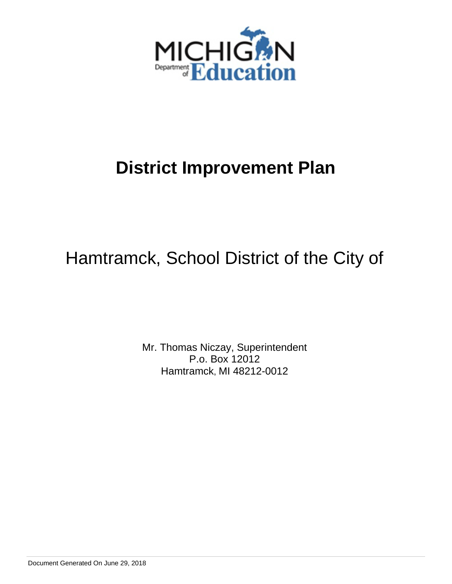

# Hamtramck, School District of the City of

Mr. Thomas Niczay, Superintendent P.o. Box 12012 Hamtramck, MI 48212-0012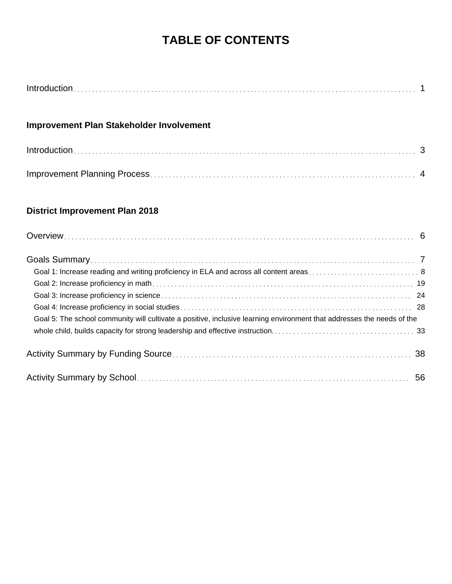# **TABLE OF CONTENTS**

| Introduction. |  |
|---------------|--|
|---------------|--|

# **Improvement Plan Stakeholder Involvement**

# **District Improvement Plan 2018**

| Goal 5: The school community will cultivate a positive, inclusive learning environment that addresses the needs of the |  |
|------------------------------------------------------------------------------------------------------------------------|--|
|                                                                                                                        |  |
|                                                                                                                        |  |
|                                                                                                                        |  |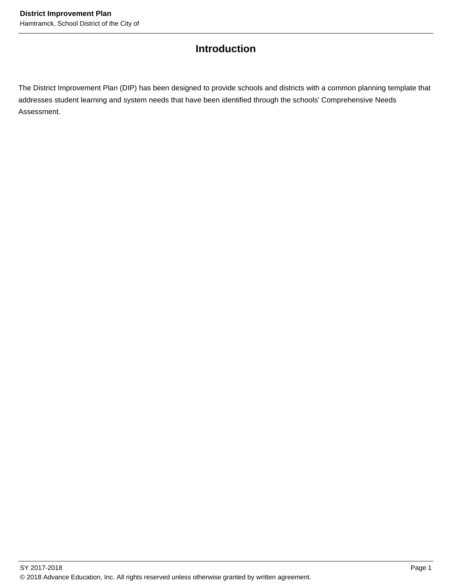# **Introduction**

The District Improvement Plan (DIP) has been designed to provide schools and districts with a common planning template that addresses student learning and system needs that have been identified through the schools' Comprehensive Needs Assessment.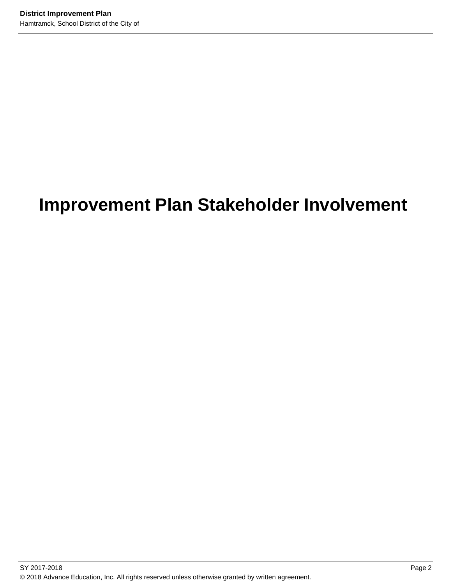# **Improvement Plan Stakeholder Involvement**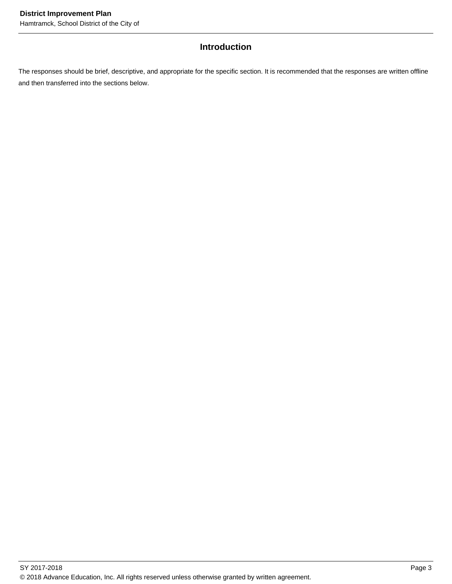# **Introduction**

The responses should be brief, descriptive, and appropriate for the specific section. It is recommended that the responses are written offline and then transferred into the sections below.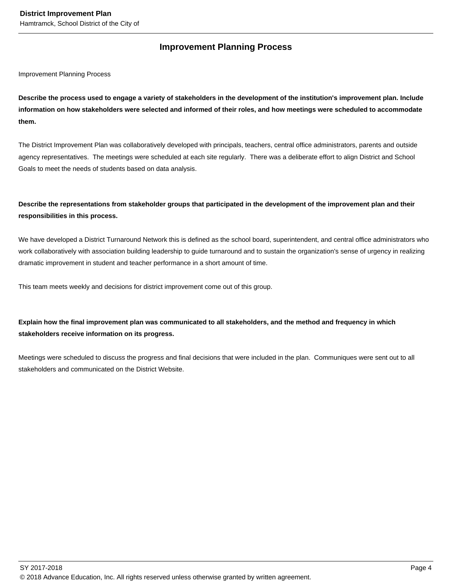# **Improvement Planning Process**

Improvement Planning Process

**Describe the process used to engage a variety of stakeholders in the development of the institution's improvement plan. Include information on how stakeholders were selected and informed of their roles, and how meetings were scheduled to accommodate them.** 

The District Improvement Plan was collaboratively developed with principals, teachers, central office administrators, parents and outside agency representatives. The meetings were scheduled at each site regularly. There was a deliberate effort to align District and School Goals to meet the needs of students based on data analysis.

# **Describe the representations from stakeholder groups that participated in the development of the improvement plan and their responsibilities in this process.**

We have developed a District Turnaround Network this is defined as the school board, superintendent, and central office administrators who work collaboratively with association building leadership to guide turnaround and to sustain the organization's sense of urgency in realizing dramatic improvement in student and teacher performance in a short amount of time.

This team meets weekly and decisions for district improvement come out of this group.

# **Explain how the final improvement plan was communicated to all stakeholders, and the method and frequency in which stakeholders receive information on its progress.**

Meetings were scheduled to discuss the progress and final decisions that were included in the plan. Communiques were sent out to all stakeholders and communicated on the District Website.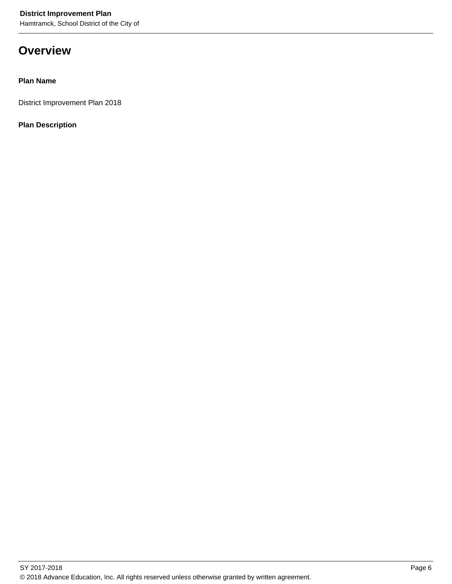Hamtramck, School District of the City of

# **Overview**

## **Plan Name**

District Improvement Plan 2018

**Plan Description**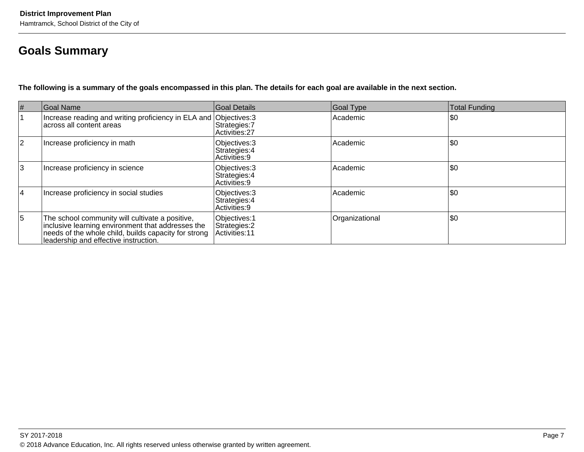# **Goals Summary**

**The following is a summary of the goals encompassed in this plan. The details for each goal are available in the next section.**

| $\#$           | Goal Name                                                                                                                                                                                             | Goal Details                                      | Goal Type      | Total Funding |
|----------------|-------------------------------------------------------------------------------------------------------------------------------------------------------------------------------------------------------|---------------------------------------------------|----------------|---------------|
|                | Increase reading and writing proficiency in ELA and Objectives: 3<br>lacross all content areas                                                                                                        | Strategies: 7<br>Activities: 27                   | Academic       | \$0           |
| 2              | Increase proficiency in math                                                                                                                                                                          | Objectives: 3<br>Strategies: 4<br>Activities: 9   | Academic       | \$0           |
| 3              | Increase proficiency in science                                                                                                                                                                       | Objectives: 3<br>Strategies: 4<br>l Activities: 9 | Academic       | \$0           |
| 14             | Increase proficiency in social studies                                                                                                                                                                | Objectives: 3<br>Strategies: 4<br>Activities: 9   | Academic       | \$0           |
| $\overline{5}$ | The school community will cultivate a positive,<br>inclusive learning environment that addresses the<br>needs of the whole child, builds capacity for strong<br>leadership and effective instruction. | Objectives: 1<br>Strategies: 2<br>Activities: 11  | Organizational | \$0           |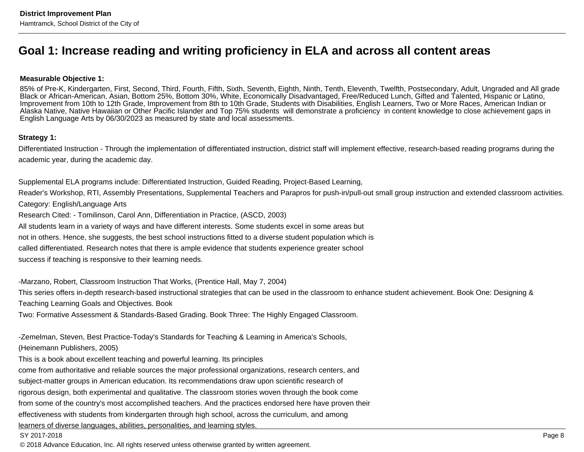# **Goal 1: Increase reading and writing proficiency in ELA and across all content areas**

#### **Measurable Objective 1:**

 85% of Pre-K, Kindergarten, First, Second, Third, Fourth, Fifth, Sixth, Seventh, Eighth, Ninth, Tenth, Eleventh, Twelfth, Postsecondary, Adult, Ungraded and All gradeBlack or African-American, Asian, Bottom 25%, Bottom 30%, White, Economically Disadvantaged, Free/Reduced Lunch, Gifted and Talented, Hispanic or Latino, Improvement from 10th to 12th Grade, Improvement from 8th to 10th Grade, Students with Disabilities, English Learners, Two or More Races, American Indian or Alaska Native, Native Hawaiian or Other Pacific Islander and Top 75% students will demonstrate a proficiency in content knowledge to close achievement gaps inEnglish Language Arts by 06/30/2023 as measured by state and local assessments.

#### **Strategy 1:**

Differentiated Instruction - Through the implementation of differentiated instruction, district staff will implement effective, research-based reading programs during theacademic year, during the academic day.

Supplemental ELA programs include: Differentiated Instruction, Guided Reading, Project-Based Learning,

Reader's Workshop, RTI, Assembly Presentations, Supplemental Teachers and Parapros for push-in/pull-out small group instruction and extended classroom activities.Category: English/Language Arts

Research Cited: - Tomilinson, Carol Ann, Differentiation in Practice, (ASCD, 2003)

All students learn in a variety of ways and have different interests. Some students excel in some areas but

not in others. Hence, she suggests, the best school instructions fitted to a diverse student population which is

called differentiated. Research notes that there is ample evidence that students experience greater school

success if teaching is responsive to their learning needs.

-Marzano, Robert, Classroom Instruction That Works, (Prentice Hall, May 7, 2004)

This series offers in-depth research-based instructional strategies that can be used in the classroom to enhance student achievement. Book One: Designing &Teaching Learning Goals and Objectives. Book

Two: Formative Assessment & Standards-Based Grading. Book Three: The Highly Engaged Classroom.

-Zemelman, Steven, Best Practice-Today's Standards for Teaching & Learning in America's Schools,

(Heinemann Publishers, 2005)

This is a book about excellent teaching and powerful learning. Its principles

come from authoritative and reliable sources the major professional organizations, research centers, and

subject-matter groups in American education. Its recommendations draw upon scientific research of

rigorous design, both experimental and qualitative. The classroom stories woven through the book come

from some of the country's most accomplished teachers. And the practices endorsed here have proven their

effectiveness with students from kindergarten through high school, across the curriculum, and among

learners of diverse languages, abilities, personalities, and learning styles.

#### SY 2017-2018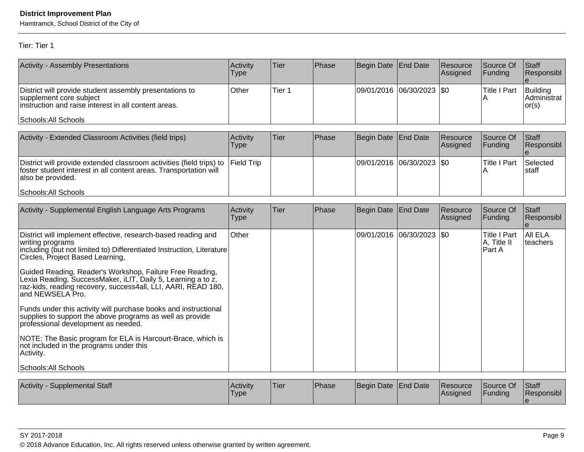Hamtramck, School District of the City of

Tier: Tier 1

| <b>Activity - Assembly Presentations</b>                                                                                                                            | Activitv<br>Type | Tier          | <b>IPhase</b> | Begin Date End Date         | <b>Resource</b><br> Assigned | <b>Source Of</b><br> Funding | <b>Staff</b><br>Responsibl           |
|---------------------------------------------------------------------------------------------------------------------------------------------------------------------|------------------|---------------|---------------|-----------------------------|------------------------------|------------------------------|--------------------------------------|
| District will provide student assembly presentations to<br>supplement core subject<br>linstruction and raise interest in all content areas.<br>Schools: All Schools | Other            | <b>Tier</b> 1 |               | 09/01/2016 06/30/2023   \$0 |                              | lTitle I Part                | Building<br>IAdministrat l<br> or(s) |

| Activity - Extended Classroom Activities (field trips)                                                                                                                     | <b>Activity</b><br>Type | Tier | Phase | Begin Date End Date       | Resource<br>Assigned | Source Of<br>IFundina | <b>Staff</b><br><b>Responsibl</b> |
|----------------------------------------------------------------------------------------------------------------------------------------------------------------------------|-------------------------|------|-------|---------------------------|----------------------|-----------------------|-----------------------------------|
| District will provide extended classroom activities (field trips) to Field Trip<br>foster student interest in all content areas. Transportation will<br>lalso be provided. |                         |      |       | 09/01/2016 06/30/2023 \$0 |                      | ITitle I Part         | Selected<br>Istaff                |
| Schools: All Schools                                                                                                                                                       |                         |      |       |                           |                      |                       |                                   |

| Activity - Supplemental English Language Arts Programs                                                                                                                                                        | Activity<br><b>Type</b> | Tier | Phase | Begin Date End Date         | <b>Resource</b><br> Assigned | Source Of<br>Funding                           | Staff<br>Responsibl |
|---------------------------------------------------------------------------------------------------------------------------------------------------------------------------------------------------------------|-------------------------|------|-------|-----------------------------|------------------------------|------------------------------------------------|---------------------|
| District will implement effective, research-based reading and<br>writing programs<br>including (but not limited to) Differentiated Instruction, Literature<br>Circles, Project Based Learning,                | Other                   |      |       | 09/01/2016  06/30/2023  \$0 |                              | <b>Title I Part</b><br> A, Title II<br>lPart A | AII ELA<br>teachers |
| Guided Reading, Reader's Workshop, Failure Free Reading,<br>Lexia Reading, SuccessMaker, iLIT, Daily 5, Learning a to z,<br>raz-kids, reading recovery, success4all, LLI, AARI, READ 180.<br>and NEWSELA Pro. |                         |      |       |                             |                              |                                                |                     |
| Funds under this activity will purchase books and instructional<br>supplies to support the above programs as well as provide<br>professional development as needed.                                           |                         |      |       |                             |                              |                                                |                     |
| NOTE: The Basic program for ELA is Harcourt-Brace, which is<br>not included in the programs under this<br>Activity.                                                                                           |                         |      |       |                             |                              |                                                |                     |
| Schools: All Schools                                                                                                                                                                                          |                         |      |       |                             |                              |                                                |                     |

| Activity<br>Supplemental Staff | Activity<br>'Type | <b>Tier</b> | <b>Phase</b> | Begin Date End Date | Resource<br> Assigned | Source Of<br>Funding | <b>Staff</b><br>Responsibl |
|--------------------------------|-------------------|-------------|--------------|---------------------|-----------------------|----------------------|----------------------------|
|                                |                   |             |              |                     |                       |                      |                            |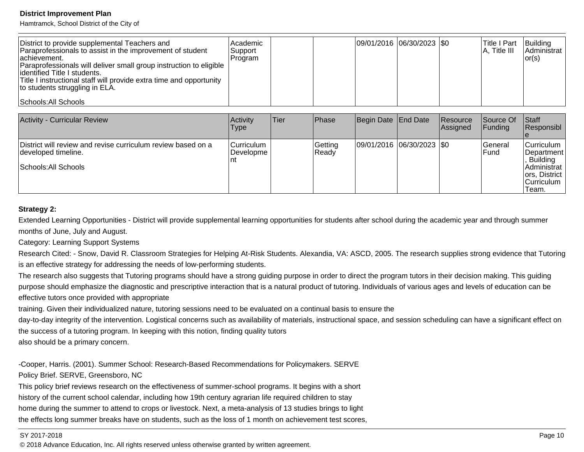Hamtramck, School District of the City of

| District to provide supplemental Teachers and<br>Paraprofessionals to assist in the improvement of student<br>lachievement.<br>Paraprofessionals will deliver small group instruction to eligible<br>dentified Title I students.<br>Title I instructional staff will provide extra time and opportunity<br>to students struggling in ELA. | Academic <br>Support<br>Program |  | 09/01/2016 06/30/2023 \$0 | <b>Title I Part</b><br>$A$ , Title III | <b>Building</b><br>Administrat<br>lor(s) |
|-------------------------------------------------------------------------------------------------------------------------------------------------------------------------------------------------------------------------------------------------------------------------------------------------------------------------------------------|---------------------------------|--|---------------------------|----------------------------------------|------------------------------------------|
| Schools: All Schools                                                                                                                                                                                                                                                                                                                      |                                 |  |                           |                                        |                                          |

| <b>Activity - Curricular Review</b>                                                                         | Activity<br>Type                              | <b>Tier</b> | Phase             | Begin Date End Date       | <b>IResource</b><br><b>Assigned</b> | Source Of<br><b>Funding</b> | Staff<br>Responsibl                                                                                            |
|-------------------------------------------------------------------------------------------------------------|-----------------------------------------------|-------------|-------------------|---------------------------|-------------------------------------|-----------------------------|----------------------------------------------------------------------------------------------------------------|
| District will review and revise curriculum review based on a<br>developed timeline.<br>Schools: All Schools | <b>Curriculum</b><br><b>IDevelopme</b><br>Int |             | Getting<br> Ready | 09/01/2016 06/30/2023 \$0 |                                     | lGeneral<br>lFund           | Curriculum  <br> Department <br><b>Building</b><br> Administrat<br>ors, District<br><b>Curriculum</b><br>Team. |

#### **Strategy 2:**

Extended Learning Opportunities - District will provide supplemental learning opportunities for students after school during the academic year and through summermonths of June, July and August.

#### Category: Learning Support Systems

Research Cited: - Snow, David R. Classroom Strategies for Helping At-Risk Students. Alexandia, VA: ASCD, 2005. The research supplies strong evidence that Tutoringis an effective strategy for addressing the needs of low-performing students.

The research also suggests that Tutoring programs should have a strong guiding purpose in order to direct the program tutors in their decision making. This guiding purpose should emphasize the diagnostic and prescriptive interaction that is a natural product of tutoring. Individuals of various ages and levels of education can beeffective tutors once provided with appropriate

training. Given their individualized nature, tutoring sessions need to be evaluated on a continual basis to ensure the

day-to-day integrity of the intervention. Logistical concerns such as availability of materials, instructional space, and session scheduling can have a significant effect on the success of a tutoring program. In keeping with this notion, finding quality tutors

also should be a primary concern.

-Cooper, Harris. (2001). Summer School: Research-Based Recommendations for Policymakers. SERVEPolicy Brief. SERVE, Greensboro, NC

 This policy brief reviews research on the effectiveness of summer-school programs. It begins with a shorthistory of the current school calendar, including how 19th century agrarian life required children to stayhome during the summer to attend to crops or livestock. Next, a meta-analysis of 13 studies brings to lightthe effects long summer breaks have on students, such as the loss of 1 month on achievement test scores,

#### SY 2017-2018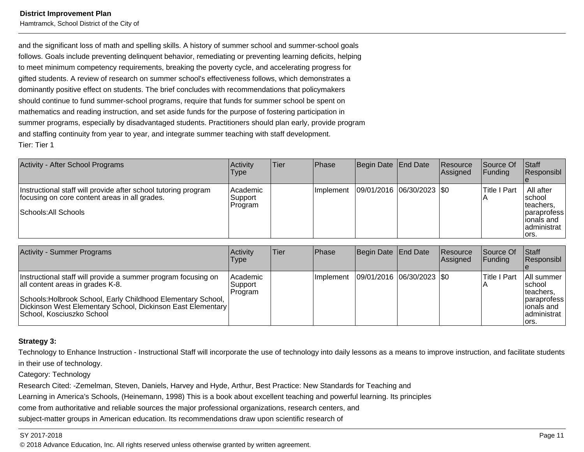Hamtramck, School District of the City of

and the significant loss of math and spelling skills. A history of summer school and summer-school goals follows. Goals include preventing delinquent behavior, remediating or preventing learning deficits, helpingto meet minimum competency requirements, breaking the poverty cycle, and accelerating progress forgifted students. A review of research on summer school's effectiveness follows, which demonstrates adominantly positive effect on students. The brief concludes with recommendations that policymakersshould continue to fund summer-school programs, require that funds for summer school be spent onmathematics and reading instruction, and set aside funds for the purpose of fostering participation in summer programs, especially by disadvantaged students. Practitioners should plan early, provide programand staffing continuity from year to year, and integrate summer teaching with staff development.Tier: Tier 1

| Activity - After School Programs                                                                                                        | Activity<br>Type                | lTier | <b>Phase</b>     | Begin Date End Date     | Resource<br>Assigned | <b>Source Of</b><br> Fundina | <b>Staff</b><br>Responsibl                                                                      |
|-----------------------------------------------------------------------------------------------------------------------------------------|---------------------------------|-------|------------------|-------------------------|----------------------|------------------------------|-------------------------------------------------------------------------------------------------|
| Instructional staff will provide after school tutoring program<br>focusing on core content areas in all grades.<br>Schools: All Schools | Academic<br> Support<br>Program |       | <b>Implement</b> | 09/01/2016 06/30/2023 0 |                      | Title I Part                 | All after<br>Ischool<br>Iteachers,<br><i>paraprofess</i><br>lionals and<br>administrat<br>lors. |

| Activity - Summer Programs                                                                                                                                                                                                                                    | Activity<br>Type               | lTier: | <b>Phase</b> | Begin Date   End Date       | <b>IResource</b><br><b>Assigned</b> | lSource Of<br><b>IFundina</b> | Staff<br><b>Responsibl</b>                                                                |
|---------------------------------------------------------------------------------------------------------------------------------------------------------------------------------------------------------------------------------------------------------------|--------------------------------|--------|--------------|-----------------------------|-------------------------------------|-------------------------------|-------------------------------------------------------------------------------------------|
| Instructional staff will provide a summer program focusing on<br>all content areas in grades K-8.<br>Schools: Holbrook School, Early Childhood Elementary School,<br>Dickinson West Elementary School, Dickinson East Elementary<br>School, Kosciuszko School | Academic<br>Support<br>Program |        | Ilmplement   | 09/01/2016  06/30/2023  \$0 |                                     | lTitle I Part                 | All summer<br>Ischool<br>Iteachers.<br>paraprofess<br> ionals and<br>administrat<br>lors. |

#### **Strategy 3:**

Technology to Enhance Instruction - Instructional Staff will incorporate the use of technology into daily lessons as a means to improve instruction, and facilitate studentsin their use of technology.

Category: Technology

Research Cited: -Zemelman, Steven, Daniels, Harvey and Hyde, Arthur, Best Practice: New Standards for Teaching and

Learning in America's Schools, (Heinemann, 1998) This is a book about excellent teaching and powerful learning. Its principles

come from authoritative and reliable sources the major professional organizations, research centers, and

subject-matter groups in American education. Its recommendations draw upon scientific research of

#### SY 2017-2018

en and the set of the set of the set of the set of the set of the set of the set of the set of the set of the set of the set of the set of the set of the set of the set of the set of the set of the set of the set of the se © 2018 Advance Education, Inc. All rights reserved unless otherwise granted by written agreement.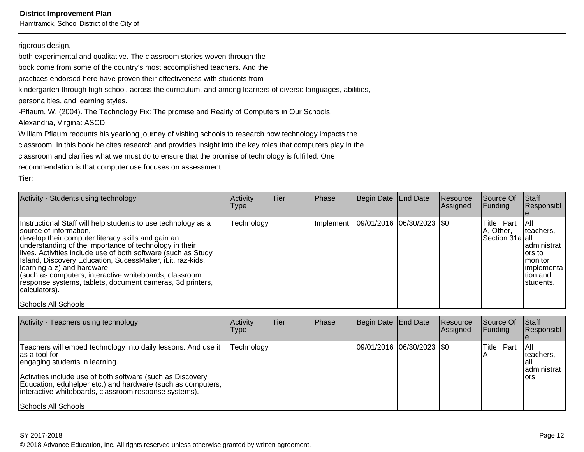Hamtramck, School District of the City of

#### rigorous design,

both experimental and qualitative. The classroom stories woven through the

book come from some of the country's most accomplished teachers. And the

practices endorsed here have proven their effectiveness with students from

kindergarten through high school, across the curriculum, and among learners of diverse languages, abilities,

personalities, and learning styles.

-Pflaum, W. (2004). The Technology Fix: The promise and Reality of Computers in Our Schools.Alexandria, Virgina: ASCD.

William Pflaum recounts his yearlong journey of visiting schools to research how technology impacts the classroom. In this book he cites research and provides insight into the key roles that computers play in theclassroom and clarifies what we must do to ensure that the promise of technology is fulfilled. Onerecommendation is that computer use focuses on assessment.

Tier:

| Activity - Students using technology                                                                                                                                                                                                                                                                                                                                                                                                                                                                                                | Activity<br><b>Type</b> | <b>Tier</b> | Phase     | Begin Date End Date     | Resource<br>Assigned | Source Of<br><b>Funding</b>                  | Staff<br>Responsibl                                                                                         |
|-------------------------------------------------------------------------------------------------------------------------------------------------------------------------------------------------------------------------------------------------------------------------------------------------------------------------------------------------------------------------------------------------------------------------------------------------------------------------------------------------------------------------------------|-------------------------|-------------|-----------|-------------------------|----------------------|----------------------------------------------|-------------------------------------------------------------------------------------------------------------|
| Instructional Staff will help students to use technology as a<br>source of information.<br>develop their computer literacy skills and gain an<br>understanding of the importance of technology in their<br>lives. Activities include use of both software (such as Study<br>Island, Discovery Education, SucessMaker, iLit, raz-kids,<br>learning a-z) and hardware<br>(such as computers, interactive whiteboards, classroom<br>response systems, tablets, document cameras, 3d printers,<br>calculators).<br>Schools: All Schools | Technology              |             | Implement | 09/01/2016 06/30/2023 0 |                      | Title I Part<br>A, Other,<br>Section 31a all | I All<br>Iteachers.<br>administrat<br>lors to<br><i>I</i> monitor<br>limplementa<br>Ition and<br>Istudents. |

| Activity - Teachers using technology                                                                                                                                                                                                                                                                                            | Activity<br><b>Type</b> | Tier | Phase | Begin Date End Date         | Resource<br>Assigned | Source Of<br><b>Funding</b> | <b>Staff</b><br>Responsibl                          |
|---------------------------------------------------------------------------------------------------------------------------------------------------------------------------------------------------------------------------------------------------------------------------------------------------------------------------------|-------------------------|------|-------|-----------------------------|----------------------|-----------------------------|-----------------------------------------------------|
| Teachers will embed technology into daily lessons. And use it<br>las a tool for<br>engaging students in learning.<br>Activities include use of both software (such as Discovery<br>Education, eduhelper etc.) and hardware (such as computers,<br>interactive whiteboards, classroom response systems).<br>Schools: All Schools | Technology              |      |       | 09/01/2016 06/30/2023   \$0 |                      | <b>Title I Part</b>         | - I All<br>teachers.<br>lall<br>administrat<br>lors |

SY 2017-2018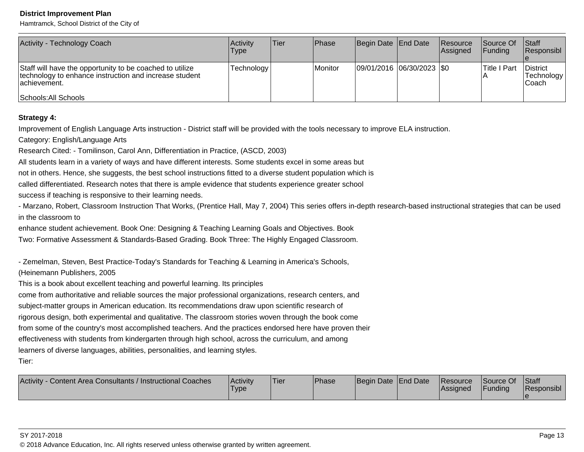Hamtramck, School District of the City of

| Activity - Technology Coach                                                                                                                                 | Activity<br><b>Type</b> | <b>Tier</b> | <b>IPhase</b> | Begin Date End Date      | <b>Resource</b><br><b>Assigned</b> | <b>Source Of</b><br>IFundina | <b>Staff</b><br>Responsibl              |
|-------------------------------------------------------------------------------------------------------------------------------------------------------------|-------------------------|-------------|---------------|--------------------------|------------------------------------|------------------------------|-----------------------------------------|
| Staff will have the opportunity to be coached to utilize<br>technology to enhance instruction and increase student<br>lachievement.<br>Schools: All Schools | Technology              |             | Monitor       | 09/01/2016 06/30/2023 50 |                                    | <b>Title I Part</b>          | <b>IDistrict</b><br>Technology<br>Coach |

#### **Strategy 4:**

Improvement of English Language Arts instruction - District staff will be provided with the tools necessary to improve ELA instruction.

Category: English/Language Arts

Research Cited: - Tomilinson, Carol Ann, Differentiation in Practice, (ASCD, 2003)

All students learn in a variety of ways and have different interests. Some students excel in some areas but

not in others. Hence, she suggests, the best school instructions fitted to a diverse student population which is

called differentiated. Research notes that there is ample evidence that students experience greater school

success if teaching is responsive to their learning needs.

- Marzano, Robert, Classroom Instruction That Works, (Prentice Hall, May 7, 2004) This series offers in-depth research-based instructional strategies that can be usedin the classroom to

enhance student achievement. Book One: Designing & Teaching Learning Goals and Objectives. Book

Two: Formative Assessment & Standards-Based Grading. Book Three: The Highly Engaged Classroom.

- Zemelman, Steven, Best Practice-Today's Standards for Teaching & Learning in America's Schools,

(Heinemann Publishers, 2005

This is a book about excellent teaching and powerful learning. Its principles

come from authoritative and reliable sources the major professional organizations, research centers, and

subject-matter groups in American education. Its recommendations draw upon scientific research of

rigorous design, both experimental and qualitative. The classroom stories woven through the book come

from some of the country's most accomplished teachers. And the practices endorsed here have proven their

effectiveness with students from kindergarten through high school, across the curriculum, and among

learners of diverse languages, abilities, personalities, and learning styles.

Tier:

| Begin Date End Date<br>Funding<br>Type<br> Assianed | Content Area Consultants / Instructional Coaches<br><b>Activity</b> | Activity | 'Tier | <b>Phase</b> |  |  | Resource | Source Of | <b>Staff</b><br>Responsibl |
|-----------------------------------------------------|---------------------------------------------------------------------|----------|-------|--------------|--|--|----------|-----------|----------------------------|
|-----------------------------------------------------|---------------------------------------------------------------------|----------|-------|--------------|--|--|----------|-----------|----------------------------|

#### SY 2017-2018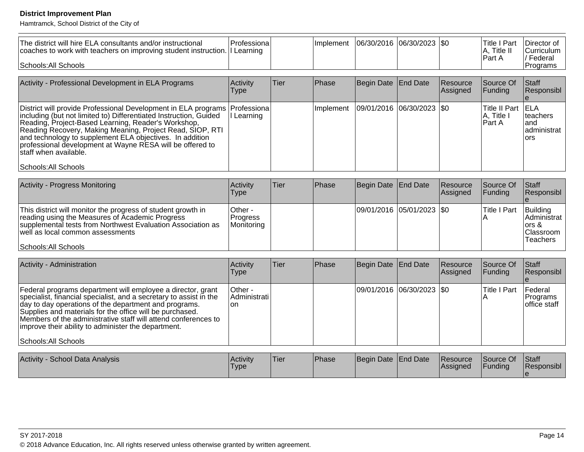| The district will hire ELA consultants and/or instructional<br>coaches to work with teachers on improving student instruction.   I<br>Schools: All Schools                                                                                                                                                                                                                                                                        | Professiona<br>Learning           |      | Implement | 06/30/2016        | $ 06/30/2023 $ \$0 |                      | <b>Title I Part</b><br>A, Title II<br>Part A | Director of<br>Curriculum<br>/ Federal<br>Programs               |
|-----------------------------------------------------------------------------------------------------------------------------------------------------------------------------------------------------------------------------------------------------------------------------------------------------------------------------------------------------------------------------------------------------------------------------------|-----------------------------------|------|-----------|-------------------|--------------------|----------------------|----------------------------------------------|------------------------------------------------------------------|
| Activity - Professional Development in ELA Programs                                                                                                                                                                                                                                                                                                                                                                               | Activity<br><b>Type</b>           | Tier | Phase     | <b>Begin Date</b> | <b>End Date</b>    | Resource<br>Assigned | Source Of<br>Funding                         | <b>Staff</b><br>Responsibl<br>$\mathbf{e}$                       |
| District will provide Professional Development in ELA programs<br>including (but not limited to) Differentiated Instruction, Guided<br>Reading, Project-Based Learning, Reader's Workshop,<br>Reading Recovery, Making Meaning, Project Read, SIOP, RTI<br>and technology to supplement ELA objectives. In addition<br>professional development at Wayne RESA will be offered to<br>staff when available.<br>Schools: All Schools | Professiona<br>Learning           |      | Implement | 09/01/2016        | 06/30/2023         | l\$0                 | <b>Title II Part</b><br>A, Title I<br>Part A | <b>ELA</b><br>teachers<br>and<br>administrat<br>ors              |
|                                                                                                                                                                                                                                                                                                                                                                                                                                   |                                   |      |           |                   |                    |                      |                                              |                                                                  |
| <b>Activity - Progress Monitoring</b>                                                                                                                                                                                                                                                                                                                                                                                             | Activity<br><b>Type</b>           | Tier | Phase     | <b>Begin Date</b> | <b>End Date</b>    | Resource<br>Assigned | Source Of<br>Funding                         | <b>Staff</b><br>Responsibl<br>$\mathbf{e}$                       |
| This district will monitor the progress of student growth in<br>reading using the Measures of Academic Progress<br>supplemental tests from Northwest Evaluation Association as<br>well as local common assessments                                                                                                                                                                                                                | Other -<br>Progress<br>Monitoring |      |           | 09/01/2016        | 05/01/2023         | \$0                  | <b>Title I Part</b><br>Α                     | Building<br>Administrat<br>ors &<br>Classroom<br><b>Teachers</b> |
| Schools: All Schools                                                                                                                                                                                                                                                                                                                                                                                                              |                                   |      |           |                   |                    |                      |                                              |                                                                  |
|                                                                                                                                                                                                                                                                                                                                                                                                                                   |                                   |      |           |                   |                    |                      |                                              |                                                                  |
| Activity - Administration                                                                                                                                                                                                                                                                                                                                                                                                         | Activity<br><b>Type</b>           | Tier | Phase     | Begin Date        | <b>End Date</b>    | Resource<br>Assigned | Source Of<br>Funding                         | <b>Staff</b><br>Responsibl<br>e                                  |
| Federal programs department will employee a director, grant<br>specialist, financial specialist, and a secretary to assist in the<br>day to day operations of the department and programs.<br>Supplies and materials for the office will be purchased.<br>Members of the administrative staff will attend conferences to<br>improve their ability to administer the department.<br>Schools: All Schools                           | Other -<br>Administrati<br>on     |      |           | 09/01/2016        | 06/30/2023         | \$0                  | <b>Title I Part</b><br>Α                     | Federal<br>Programs<br>office staff                              |
|                                                                                                                                                                                                                                                                                                                                                                                                                                   |                                   |      |           |                   |                    |                      |                                              |                                                                  |
| Activity - School Data Analysis                                                                                                                                                                                                                                                                                                                                                                                                   | Activity<br><b>Type</b>           | Tier | Phase     | Begin Date        | <b>End Date</b>    | Resource<br>Assigned | Source Of<br>Funding                         | <b>Staff</b><br>Responsibl<br>$\mathbf{e}$                       |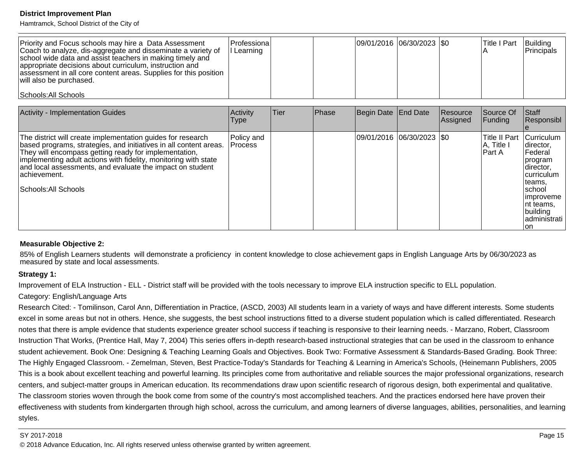Hamtramck, School District of the City of

| Priority and Focus schools may hire a Data Assessment<br>Coach to analyze, dis-aggregate and disseminate a variety of<br>school wide data and assist teachers in making timely and<br>appropriate decisions about curriculum, instruction and<br>assessment in all core content areas. Supplies for this position<br>will also be purchased. | Professiona <br>I Learning | 09/01/2016 06/30/2023 0 |  | <b>Title I Part</b> | Building<br><b>IPrincipals</b> |
|----------------------------------------------------------------------------------------------------------------------------------------------------------------------------------------------------------------------------------------------------------------------------------------------------------------------------------------------|----------------------------|-------------------------|--|---------------------|--------------------------------|
| Schools: All Schools                                                                                                                                                                                                                                                                                                                         |                            |                         |  |                     |                                |

| <b>Activity - Implementation Guides</b>                                                                                                                                                                                                                                                                                                                             | Activity<br>Type      | Tier | Phase | Begin Date End Date |                             | Resource<br>Assigned | Source Of<br>Funding                     | <b>Staff</b><br>Responsibl                                                                                                                                                                      |
|---------------------------------------------------------------------------------------------------------------------------------------------------------------------------------------------------------------------------------------------------------------------------------------------------------------------------------------------------------------------|-----------------------|------|-------|---------------------|-----------------------------|----------------------|------------------------------------------|-------------------------------------------------------------------------------------------------------------------------------------------------------------------------------------------------|
| The district will create implementation guides for research<br>based programs, strategies, and initiatives in all content areas.<br>They will encompass getting ready for implementation,<br>implementing adult actions with fidelity, monitoring with state<br>and local assessments, and evaluate the impact on student<br>lachievement.<br> Schools: All Schools | Policy and<br>Process |      |       |                     | 09/01/2016  06/30/2023  \$0 |                      | lTitle II Part<br> A, Title I<br>lPart A | Curriculum<br>Idirector,<br>Federal<br><i><u><b>I</b>program</u></i><br>Idirector,<br><b>Icurriculum</b><br>Iteams.<br>Ischool<br>limproveme<br>Int teams.<br>building<br>Iadministrati<br>lon. |

#### **Measurable Objective 2:**

85% of English Learners students will demonstrate a proficiency in content knowledge to close achievement gaps in English Language Arts by 06/30/2023 asmeasured by state and local assessments.

#### **Strategy 1:**

Improvement of ELA Instruction - ELL - District staff will be provided with the tools necessary to improve ELA instruction specific to ELL population.

#### Category: English/Language Arts

Research Cited: - Tomilinson, Carol Ann, Differentiation in Practice, (ASCD, 2003) All students learn in a variety of ways and have different interests. Some studentsexcel in some areas but not in others. Hence, she suggests, the best school instructions fitted to a diverse student population which is called differentiated. Research notes that there is ample evidence that students experience greater school success if teaching is responsive to their learning needs. - Marzano, Robert, Classroom Instruction That Works, (Prentice Hall, May 7, 2004) This series offers in-depth research-based instructional strategies that can be used in the classroom to enhance student achievement. Book One: Designing & Teaching Learning Goals and Objectives. Book Two: Formative Assessment & Standards-Based Grading. Book Three:The Highly Engaged Classroom. - Zemelman, Steven, Best Practice-Today's Standards for Teaching & Learning in America's Schools, (Heinemann Publishers, 2005This is a book about excellent teaching and powerful learning. Its principles come from authoritative and reliable sources the major professional organizations, researchcenters, and subject-matter groups in American education. Its recommendations draw upon scientific research of rigorous design, both experimental and qualitative.The classroom stories woven through the book come from some of the country's most accomplished teachers. And the practices endorsed here have proven theireffectiveness with students from kindergarten through high school, across the curriculum, and among learners of diverse languages, abilities, personalities, and learningstyles.

#### SY 2017-2018

en and the set of the set of the set of the set of the set of the set of the set of the set of the Page 15  $\,$ © 2018 Advance Education, Inc. All rights reserved unless otherwise granted by written agreement.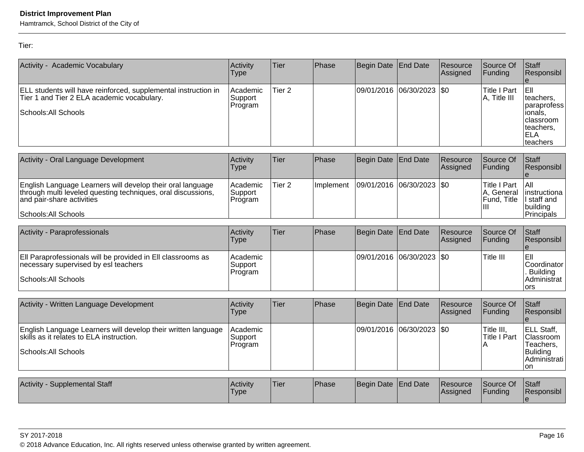Hamtramck, School District of the City of

Tier:

| Activity - Academic Vocabulary                                                                                                                                                  | Activity<br>Type               | Tier              | Phase     | Begin Date            | <b>End Date</b> | Resource<br>Assigned | Source Of<br>Funding                                  | <b>Staff</b><br>Responsibl                                                                     |
|---------------------------------------------------------------------------------------------------------------------------------------------------------------------------------|--------------------------------|-------------------|-----------|-----------------------|-----------------|----------------------|-------------------------------------------------------|------------------------------------------------------------------------------------------------|
| ELL students will have reinforced, supplemental instruction in<br>Tier 1 and Tier 2 ELA academic vocabulary.<br>Schools: All Schools                                            | Academic<br>Support<br>Program | Tier 2            |           | 09/01/2016            | 06/30/2023      | <b>\$0</b>           | <b>Title I Part</b><br>A, Title III                   | EII<br>teachers.<br>paraprofess<br>ionals,<br>classroom<br>teachers,<br><b>ELA</b><br>teachers |
| Activity - Oral Language Development                                                                                                                                            | Activity<br>Type               | Tier              | Phase     | Begin Date            | <b>End Date</b> | Resource<br>Assigned | Source Of<br> Funding                                 | Staff<br>Responsibl                                                                            |
| English Language Learners will develop their oral language<br>through multi leveled questing techniques, oral discussions,<br>and pair-share activities<br>Schools: All Schools | Academic<br>Support<br>Program | Tier <sub>2</sub> | Implement | 09/01/2016            | 06/30/2023      | <b>SO</b>            | <b>Title I Part</b><br>A, General<br>Fund, Title<br>Ш | All<br>linstructiona<br>I staff and<br>building<br>Principals                                  |
| Activity - Paraprofessionals                                                                                                                                                    | Activity<br>Type               | Tier              | Phase     | Begin Date            | <b>End Date</b> | Resource<br>Assigned | Source Of<br>Funding                                  | Staff<br>Responsibl                                                                            |
| Ell Paraprofessionals will be provided in Ell classrooms as<br>necessary supervised by esl teachers<br> Schools: All Schools                                                    | Academic<br>Support<br>Program |                   |           | 09/01/2016 06/30/2023 |                 | \$0                  | Title III                                             | EII<br>Coordinator<br><b>Building</b><br>Administrat                                           |

| Activity - Written Language Development                                                                                           | Activity<br>Type                | Tier  | Phase         | Begin Date   End Date         | <b>Resource</b><br> Assigned | Source Of<br><b>IFundina</b>      | <b>Staff</b><br>IResponsibl                                                            |
|-----------------------------------------------------------------------------------------------------------------------------------|---------------------------------|-------|---------------|-------------------------------|------------------------------|-----------------------------------|----------------------------------------------------------------------------------------|
| English Language Learners will develop their written language<br>skills as it relates to ELA instruction.<br>Schools: All Schools | Academic<br> Support<br>Program |       |               | $ 09/01/2016 06/30/2023 $ \$0 |                              | Title III.<br><b>Title I Part</b> | <b>ELL Staff,</b><br><b>Classroom</b><br>Teachers.<br>Buliding<br>IAdministrati<br>lon |
| Activity - Supplemental Staff                                                                                                     | <b>Activity</b>                 | lTier | <b>IPhase</b> | <b>IBegin Date IFnd Date</b>  | <b>Resource</b>              | <b>ISource Of</b>                 | <b>Staff</b>                                                                           |

| Activity<br><b>Supplemental Staff</b> | <b>Activity</b><br>'Type | 'Tier | Phase | Begin Date End Date |  | Resource<br><b>Assigned</b> | Source Of<br>Funding | Staff<br><b>Responsibl</b> |
|---------------------------------------|--------------------------|-------|-------|---------------------|--|-----------------------------|----------------------|----------------------------|
|---------------------------------------|--------------------------|-------|-------|---------------------|--|-----------------------------|----------------------|----------------------------|

© 2018 Advance Education, Inc. All rights reserved unless otherwise granted by written agreement.

ors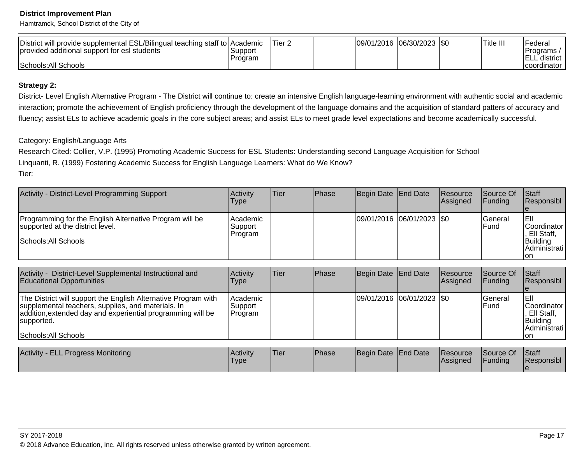Hamtramck, School District of the City of

| District will provide supplemental ESL/Bilingual teaching staff to Academic |         | 'Tier 2 | 09/01/2016  06/30/2023  \$0 |  | Title III | Federal               |
|-----------------------------------------------------------------------------|---------|---------|-----------------------------|--|-----------|-----------------------|
| provided additional support for esl students                                | Support |         |                             |  |           | 'Programs /           |
|                                                                             | Program |         |                             |  |           | ⊡ELL.<br>. district I |
| Schools: All Schools                                                        |         |         |                             |  |           | Icoordinator I        |

## **Strategy 2:**

District- Level English Alternative Program - The District will continue to: create an intensive English language-learning environment with authentic social and academic interaction; promote the achievement of English proficiency through the development of the language domains and the acquisition of standard patters of accuracy andfluency; assist ELs to achieve academic goals in the core subject areas; and assist ELs to meet grade level expectations and become academically successful.

### Category: English/Language Arts

 Research Cited: Collier, V.P. (1995) Promoting Academic Success for ESL Students: Understanding second Language Acquisition for SchoolLinquanti, R. (1999) Fostering Academic Success for English Language Learners: What do We Know?Tier:

| Activity - District-Level Programming Support                                                                       | Activity<br>Type                   | ∣Tier | <b>Phase</b> | Begin Date End Date       | Resource<br><b>Assigned</b> | Source Of<br><b>IFunding</b> | <b>Staff</b><br><b>Responsibl</b>                                         |
|---------------------------------------------------------------------------------------------------------------------|------------------------------------|-------|--------------|---------------------------|-----------------------------|------------------------------|---------------------------------------------------------------------------|
| Programming for the English Alternative Program will be<br>supported at the district level.<br>Schools: All Schools | Academic <br> Support <br>∣Program |       |              | 09/01/2016 06/01/2023 \$0 |                             | lGeneral<br><b>IFund</b>     | IEII<br> Coordinator  <br>, Ell Staff,<br>Building<br>Administrati<br>Ton |

| District-Level Supplemental Instructional and<br>Activity -<br><b>Educational Opportunities</b>                                                                                                                           | Activity<br>Type                 | Tier | <b>Phase</b> | Begin Date End Date           | <b>Resource</b><br>Assigned | <b>Source Of</b><br>IFundina   | <b>Staff</b><br><b>Responsibl</b>                                                  |
|---------------------------------------------------------------------------------------------------------------------------------------------------------------------------------------------------------------------------|----------------------------------|------|--------------|-------------------------------|-----------------------------|--------------------------------|------------------------------------------------------------------------------------|
| The District will support the English Alternative Program with<br>supplemental teachers, supplies, and materials. In<br>addition, extended day and experiential programming will be<br>supported.<br>Schools: All Schools | Academic<br> Support_<br>Program |      |              | $ 09/01/2016 06/01/2023 $ \$0 |                             | <b>Seneral</b><br><b>IFund</b> | lEll<br><b>Coordinator</b><br>Ell Staff.<br>Building<br><b>Administrati</b><br>lon |

| <b>Activity - ELL Progress Monitoring</b> | Activity<br>'Type | 'Tier | <b>Phase</b> | Begin Date End Date | Resource<br><b>IAssigned</b> | Source Of<br>Funding | Staff<br>Responsibl |
|-------------------------------------------|-------------------|-------|--------------|---------------------|------------------------------|----------------------|---------------------|
|                                           |                   |       |              |                     |                              |                      |                     |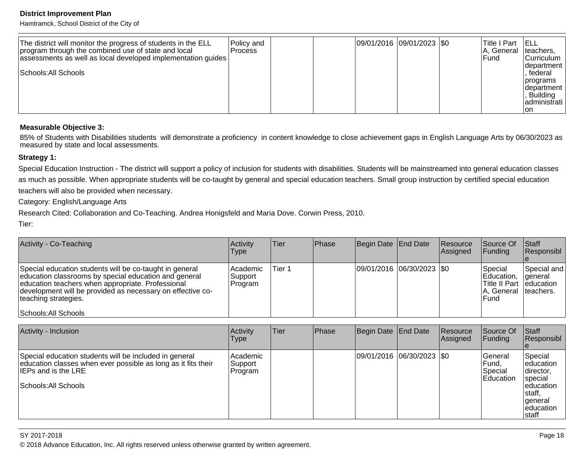Hamtramck, School District of the City of

| The district will monitor the progress of students in the ELL<br>program through the combined use of state and local<br>assessments as well as local developed implementation guides<br> Schools: All Schools | Policy and<br>Process |  |  | 09/01/2016 09/01/2023 \$0 |  | Title I Part<br>IA, General Iteachers,<br>IFund. | - IELL<br><b>Curriculum</b><br>department<br>. federal<br> programs <br>Idepartment<br>Building<br>ladministrati<br>ıon |
|---------------------------------------------------------------------------------------------------------------------------------------------------------------------------------------------------------------|-----------------------|--|--|---------------------------|--|--------------------------------------------------|-------------------------------------------------------------------------------------------------------------------------|
|---------------------------------------------------------------------------------------------------------------------------------------------------------------------------------------------------------------|-----------------------|--|--|---------------------------|--|--------------------------------------------------|-------------------------------------------------------------------------------------------------------------------------|

#### **Measurable Objective 3:**

85% of Students with Disabilities students will demonstrate a proficiency in content knowledge to close achievement gaps in English Language Arts by 06/30/2023 as measured by state and local assessments.

#### **Strategy 1:**

Special Education Instruction - The district will support a policy of inclusion for students with disabilities. Students will be mainstreamed into general education classes as much as possible. When appropriate students will be co-taught by general and special education teachers. Small group instruction by certified special educationteachers will also be provided when necessary.

Category: English/Language Arts

Research Cited: Collaboration and Co-Teaching. Andrea Honigsfeld and Maria Dove. Corwin Press, 2010.

Tier:

| Activity - Co-Teaching                                                                                                                                                                                                                                                              | Activity<br><b>Type</b>           | lTier.  | Phase | Begin Date End Date         | <b>Resource</b><br>Assigned | <b>Source Of</b><br>IFundina                                                           | <b>Staff</b><br>Responsibl |
|-------------------------------------------------------------------------------------------------------------------------------------------------------------------------------------------------------------------------------------------------------------------------------------|-----------------------------------|---------|-------|-----------------------------|-----------------------------|----------------------------------------------------------------------------------------|----------------------------|
| Special education students will be co-taught in general<br>education classrooms by special education and general<br>education teachers when appropriate. Professional<br>development will be provided as necessary on effective co-<br>teaching strategies.<br>Schools: All Schools | Academic<br> Support_<br> Program | lTier 1 |       | 09/01/2016 06/30/2023   \$0 |                             | Special<br>Education,<br>Title II Part   education<br>IA, General Iteachers.<br>lFund. | Special and<br>lgeneral    |

| Activity - Inclusion                                                                                                                                                          | Activity<br>Type                 | <b>Tier</b> | Phase | Begin Date End Date |                           | Resource<br>Assigned | Source Of<br> Funding                                     | <b>Staff</b><br>Responsibl                                                                                |
|-------------------------------------------------------------------------------------------------------------------------------------------------------------------------------|----------------------------------|-------------|-------|---------------------|---------------------------|----------------------|-----------------------------------------------------------|-----------------------------------------------------------------------------------------------------------|
| Special education students will be included in general<br>education classes when ever possible as long as it fits their<br><b>IEPs and is the LRE</b><br>Schools: All Schools | l Academic<br>Support<br>Program |             |       |                     | 09/01/2016 06/30/2023 \$0 |                      | <b>IGeneral</b><br> Fund,<br>Special<br><b>IEducation</b> | Special<br>leducation<br> director,<br>special<br>leducation<br>!staff,<br>general<br>leducation<br>staff |

#### SY 2017-2018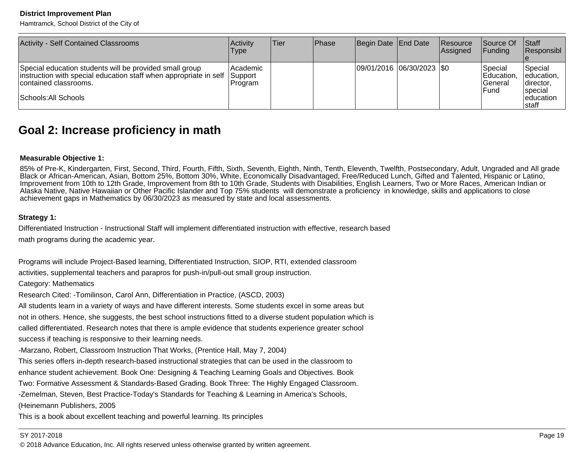Hamtramck, School District of the City of

| <b>Activity - Self Contained Classrooms</b>                                                                                                                                   | Activity<br><b>Type</b>         | lTier. | <b>IPhase</b> | Begin Date End Date        | Resource<br>Assigned | Source Of<br><b>Funding</b>                 | <b>Staff</b><br>Responsibl                                                     |
|-------------------------------------------------------------------------------------------------------------------------------------------------------------------------------|---------------------------------|--------|---------------|----------------------------|----------------------|---------------------------------------------|--------------------------------------------------------------------------------|
| Special education students will be provided small group<br>instruction with special education staff when appropriate in self<br>contained classrooms.<br>Schools: All Schools | Academic<br>Support<br> Program |        |               | 09/01/2016 06/30/2023  \$0 |                      | Special<br>Education.<br>lGeneral<br>l Fund | Special<br>education,<br>Idirector,<br><b>Ispecial</b><br>leducation<br>Istaff |

# **Goal 2: Increase proficiency in math**

#### **Measurable Objective 1:**

 85% of Pre-K, Kindergarten, First, Second, Third, Fourth, Fifth, Sixth, Seventh, Eighth, Ninth, Tenth, Eleventh, Twelfth, Postsecondary, Adult, Ungraded and All gradeBlack or African-American, Asian, Bottom 25%, Bottom 30%, White, Economically Disadvantaged, Free/Reduced Lunch, Gifted and Talented, Hispanic or Latino, Improvement from 10th to 12th Grade, Improvement from 8th to 10th Grade, Students with Disabilities, English Learners, Two or More Races, American Indian or<br>Alaska Native, Native Hawaiian or Other Pacific Islander and Top achievement gaps in Mathematics by 06/30/2023 as measured by state and local assessments.

#### **Strategy 1:**

Differentiated Instruction - Instructional Staff will implement differentiated instruction with effective, research basedmath programs during the academic year.

Programs will include Project-Based learning, Differentiated Instruction, SIOP, RTI, extended classroom

activities, supplemental teachers and parapros for push-in/pull-out small group instruction.

Category: Mathematics

Research Cited: -Tomilinson, Carol Ann, Differentiation in Practice, (ASCD, 2003)

All students learn in a variety of ways and have different interests. Some students excel in some areas butnot in others. Hence, she suggests, the best school instructions fitted to a diverse student population which iscalled differentiated. Research notes that there is ample evidence that students experience greater schoolsuccess if teaching is responsive to their learning needs.

-Marzano, Robert, Classroom Instruction That Works, (Prentice Hall, May 7, 2004)

This series offers in-depth research-based instructional strategies that can be used in the classroom to

enhance student achievement. Book One: Designing & Teaching Learning Goals and Objectives. Book

Two: Formative Assessment & Standards-Based Grading. Book Three: The Highly Engaged Classroom.

-Zemelman, Steven, Best Practice-Today's Standards for Teaching & Learning in America's Schools,

(Heinemann Publishers, 2005

This is a book about excellent teaching and powerful learning. Its principles

#### SY 2017-2018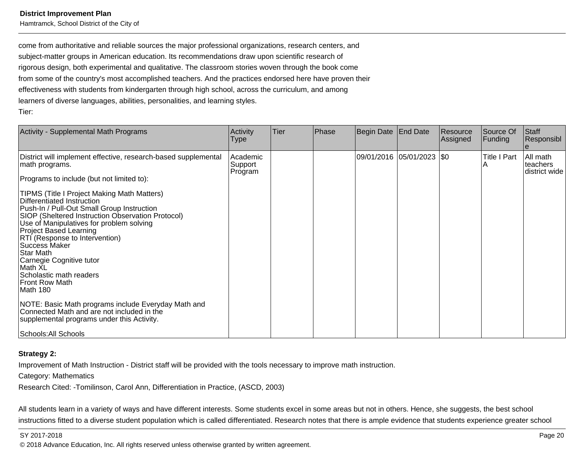Hamtramck, School District of the City of

come from authoritative and reliable sources the major professional organizations, research centers, andsubject-matter groups in American education. Its recommendations draw upon scientific research ofrigorous design, both experimental and qualitative. The classroom stories woven through the book come from some of the country's most accomplished teachers. And the practices endorsed here have proven theireffectiveness with students from kindergarten through high school, across the curriculum, and amonglearners of diverse languages, abilities, personalities, and learning styles.Tier:

| Activity - Supplemental Math Programs                                                                                                                                                                                                                                                                                                                                                                                                   | Activity<br><b>Type</b>        | Tier | Phase | Begin Date   End Date |                           | Resource<br>Assigned | Source Of<br>Funding | Staff<br>Responsibl                   |
|-----------------------------------------------------------------------------------------------------------------------------------------------------------------------------------------------------------------------------------------------------------------------------------------------------------------------------------------------------------------------------------------------------------------------------------------|--------------------------------|------|-------|-----------------------|---------------------------|----------------------|----------------------|---------------------------------------|
| District will implement effective, research-based supplemental<br>math programs.                                                                                                                                                                                                                                                                                                                                                        | Academic<br>Support<br>Program |      |       |                       | 09/01/2016 05/01/2023 \$0 |                      | Title I Part<br>ΙA   | All math<br>teachers<br>district wide |
| Programs to include (but not limited to):                                                                                                                                                                                                                                                                                                                                                                                               |                                |      |       |                       |                           |                      |                      |                                       |
| TIPMS (Title I Project Making Math Matters)<br>Differentiated Instruction<br>Push-In / Pull-Out Small Group Instruction<br>SIOP (Sheltered Instruction Observation Protocol)<br>Use of Manipulatives for problem solving<br><b>Project Based Learning</b><br>RTI (Response to Intervention)<br><b>Success Maker</b><br>Star Math<br>Carnegie Cognitive tutor<br>Math XL<br>Scholastic math readers<br><b>Front Row Math</b><br>Math 180 |                                |      |       |                       |                           |                      |                      |                                       |
| NOTE: Basic Math programs include Everyday Math and<br>Connected Math and are not included in the<br>supplemental programs under this Activity.                                                                                                                                                                                                                                                                                         |                                |      |       |                       |                           |                      |                      |                                       |
| Schools: All Schools                                                                                                                                                                                                                                                                                                                                                                                                                    |                                |      |       |                       |                           |                      |                      |                                       |

#### **Strategy 2:**

Improvement of Math Instruction - District staff will be provided with the tools necessary to improve math instruction.

Category: Mathematics

Research Cited: -Tomilinson, Carol Ann, Differentiation in Practice, (ASCD, 2003)

All students learn in a variety of ways and have different interests. Some students excel in some areas but not in others. Hence, she suggests, the best schoolinstructions fitted to a diverse student population which is called differentiated. Research notes that there is ample evidence that students experience greater school

en and the set of the set of the set of the set of the set of the set of the set of the set of the set of the set of the set of the set of the set of the set of the set of the set of the set of the set of the set of the se © 2018 Advance Education, Inc. All rights reserved unless otherwise granted by written agreement.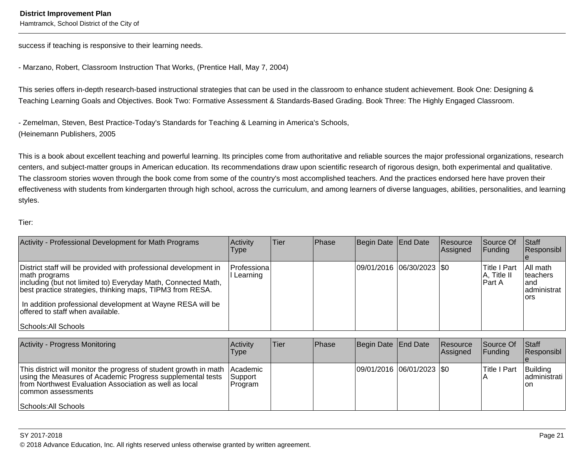success if teaching is responsive to their learning needs.

- Marzano, Robert, Classroom Instruction That Works, (Prentice Hall, May 7, 2004)

This series offers in-depth research-based instructional strategies that can be used in the classroom to enhance student achievement. Book One: Designing &Teaching Learning Goals and Objectives. Book Two: Formative Assessment & Standards-Based Grading. Book Three: The Highly Engaged Classroom.

- Zemelman, Steven, Best Practice-Today's Standards for Teaching & Learning in America's Schools,(Heinemann Publishers, 2005

This is a book about excellent teaching and powerful learning. Its principles come from authoritative and reliable sources the major professional organizations, researchcenters, and subject-matter groups in American education. Its recommendations draw upon scientific research of rigorous design, both experimental and qualitative.The classroom stories woven through the book come from some of the country's most accomplished teachers. And the practices endorsed here have proven theireffectiveness with students from kindergarten through high school, across the curriculum, and among learners of diverse languages, abilities, personalities, and learningstyles.

#### Tier:

| Activity - Professional Development for Math Programs                                                                                                                                                                                                                                                                                     | Activity<br>Type          | Tier | <b>Phase</b> | Begin Date End Date |                               | <b>Resource</b><br>Assigned | <b>Source Of</b><br><b>IFunding</b>      | <b>Staff</b><br>Responsibl                                  |
|-------------------------------------------------------------------------------------------------------------------------------------------------------------------------------------------------------------------------------------------------------------------------------------------------------------------------------------------|---------------------------|------|--------------|---------------------|-------------------------------|-----------------------------|------------------------------------------|-------------------------------------------------------------|
| District staff will be provided with professional development in<br>math programs<br>including (but not limited to) Everyday Math, Connected Math,<br>best practice strategies, thinking maps, TIPM3 from RESA.<br>In addition professional development at Wayne RESA will be<br>offered to staff when available.<br>Schools: All Schools | Professiona<br>l Learning |      |              |                     | $ 09/01/2016 06/30/2023 $ \$0 |                             | lTitle I Part<br> A, Title II<br>lPart A | All math<br><b>Iteachers</b><br>land<br>administrat<br>lors |

| Activity - Progress Monitoring                                                                                                                                                                                                          | <b>Activity</b><br>Type                         | lTier. | <b>Phase</b> | Begin Date End Date       | Resource<br><b>Assigned</b> | Source Of<br>IFundina | <b>Staff</b><br>Responsibl      |
|-----------------------------------------------------------------------------------------------------------------------------------------------------------------------------------------------------------------------------------------|-------------------------------------------------|--------|--------------|---------------------------|-----------------------------|-----------------------|---------------------------------|
| This district will monitor the progress of student growth in math<br>using the Measures of Academic Progress supplemental tests<br>from Northwest Evaluation Association as well as local<br>common assessments<br>Schools: All Schools | <b>IAcademic</b><br> Support<br><b>IProgram</b> |        |              | 09/01/2016 06/01/2023 \$0 |                             | <b>ITitle I Part</b>  | Building<br>administrati<br>Ion |

#### SY 2017-2018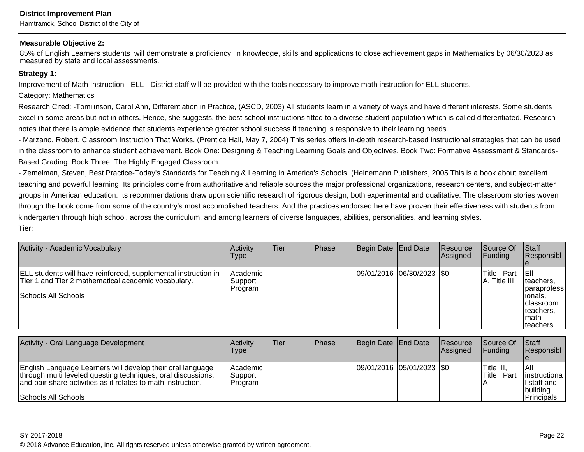Hamtramck, School District of the City of

#### **Measurable Objective 2:**

85% of English Learners students will demonstrate a proficiency in knowledge, skills and applications to close achievement gaps in Mathematics by 06/30/2023 asmeasured by state and local assessments.

#### **Strategy 1:**

Improvement of Math Instruction - ELL - District staff will be provided with the tools necessary to improve math instruction for ELL students.

Category: Mathematics

Research Cited: -Tomilinson, Carol Ann, Differentiation in Practice, (ASCD, 2003) All students learn in a variety of ways and have different interests. Some students excel in some areas but not in others. Hence, she suggests, the best school instructions fitted to a diverse student population which is called differentiated. Researchnotes that there is ample evidence that students experience greater school success if teaching is responsive to their learning needs.

- Marzano, Robert, Classroom Instruction That Works, (Prentice Hall, May 7, 2004) This series offers in-depth research-based instructional strategies that can be usedin the classroom to enhance student achievement. Book One: Designing & Teaching Learning Goals and Objectives. Book Two: Formative Assessment & Standards-Based Grading. Book Three: The Highly Engaged Classroom.

- Zemelman, Steven, Best Practice-Today's Standards for Teaching & Learning in America's Schools, (Heinemann Publishers, 2005 This is a book about excellentteaching and powerful learning. Its principles come from authoritative and reliable sources the major professional organizations, research centers, and subject-mattergroups in American education. Its recommendations draw upon scientific research of rigorous design, both experimental and qualitative. The classroom stories woventhrough the book come from some of the country's most accomplished teachers. And the practices endorsed here have proven their effectiveness with students fromkindergarten through high school, across the curriculum, and among learners of diverse languages, abilities, personalities, and learning styles. Tier:

| Activity - Academic Vocabulary                                                                                                                | Activity<br>Type               | Tier | Phase | Begin Date End Date |                           | Resource<br><b>Assigned</b> | Source Of<br><b>Funding</b>      | <b>Staff</b><br>Responsibl                                                                       |
|-----------------------------------------------------------------------------------------------------------------------------------------------|--------------------------------|------|-------|---------------------|---------------------------|-----------------------------|----------------------------------|--------------------------------------------------------------------------------------------------|
| ELL students will have reinforced, supplemental instruction in<br>Tier 1 and Tier 2 mathematical academic vocabulary.<br>Schools: All Schools | Academic<br>Support<br>Program |      |       |                     | 09/01/2016 06/30/2023 \$0 |                             | 'Title I Part<br>$ A,$ Title III | TEIL<br>Iteachers.<br>Iparaprofess<br>lionals.<br>Iclassroom<br>Iteachers,<br>Imath<br>Iteachers |

| Activity - Oral Language Development                                                                                                                                                                               | Activity<br>Type                   | Tier | <b>IPhase</b> | Begin Date End Date         | <b>Resource</b><br><b>Assigned</b> | Source Of<br><b>IFunding</b> | Staff<br>Responsibl                                               |
|--------------------------------------------------------------------------------------------------------------------------------------------------------------------------------------------------------------------|------------------------------------|------|---------------|-----------------------------|------------------------------------|------------------------------|-------------------------------------------------------------------|
| English Language Learners will develop their oral language<br>through multi leveled questing techniques, oral discussions,<br>and pair-share activities as it relates to math instruction.<br>Schools: All Schools | l Academic<br> Support <br>Program |      |               | 09/01/2016  05/01/2023  \$0 |                                    | Title III.<br>lTitle I Part  | IAII<br>linstructional<br>II staff and<br> building<br>Principals |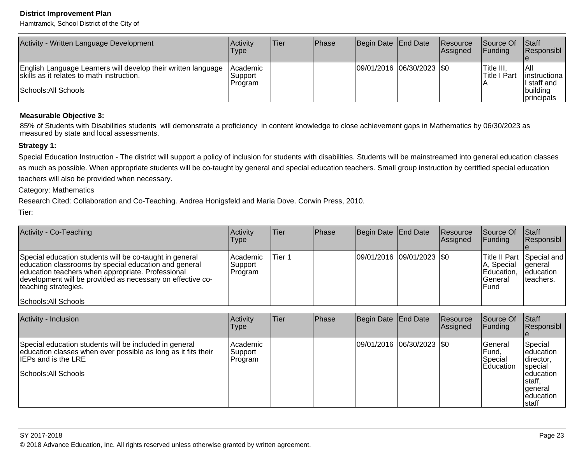Hamtramck, School District of the City of

| Activity - Written Language Development                                                                    | Activitv<br>Type               | Tier | <b>IPhase</b> | Begin Date End Date         | Resource<br>Assigned | <b>Source Of</b><br> Funding            | <b>Staff</b><br> Responsibl           |
|------------------------------------------------------------------------------------------------------------|--------------------------------|------|---------------|-----------------------------|----------------------|-----------------------------------------|---------------------------------------|
| English Language Learners will develop their written language<br>skills as it relates to math instruction. | Academic<br>Support<br>Program |      |               | 09/01/2016 06/30/2023   \$0 |                      | <sup>1</sup> Title III,<br>Title I Part | IAII<br> instructiona<br>II staff and |
| Schools: All Schools                                                                                       |                                |      |               |                             |                      |                                         | building<br>principals                |

#### **Measurable Objective 3:**

85% of Students with Disabilities students will demonstrate a proficiency in content knowledge to close achievement gaps in Mathematics by 06/30/2023 asmeasured by state and local assessments.

#### **Strategy 1:**

Special Education Instruction - The district will support a policy of inclusion for students with disabilities. Students will be mainstreamed into general education classesas much as possible. When appropriate students will be co-taught by general and special education teachers. Small group instruction by certified special educationteachers will also be provided when necessary.

Category: Mathematics

 Research Cited: Collaboration and Co-Teaching. Andrea Honigsfeld and Maria Dove. Corwin Press, 2010.Tier:

Activity - Co-Teachingg  $\overline{A}$  and  $\overline{A}$  and  $\overline{A}$  and  $\overline{A}$  and  $\overline{A}$  and  $\overline{A}$  and  $\overline{A}$  and  $\overline{A}$  and  $\overline{A}$  and  $\overline{A}$  and  $\overline{A}$  and  $\overline{A}$  and  $\overline{A}$  and  $\overline{A}$  and  $\overline{A}$  and  $\overline{A}$  and  $\overline{A}$  an Type**Tier**  PhaseBegin Date End Date Resource AssignedSource OfFundingStaff Responsible Special andSpecial education students will be co-taught in general education classrooms by special education and generaleducation teachers when appropriate. Professional development will be provided as necessary on effective coteaching strategies.Schools: All Schools AcademicSupport ProgramTier 109/01/2016 09/01/2023 \\$0 Title II Part A, Special Education,**General** Fundgeneral educationteachers.

| Activity - Inclusion                                                                                                                                                          | Activity<br>Type                  | Tier | Phase | Begin Date End Date |                             | Resource<br>Assigned | Source Of<br><b>Funding</b>                        | Staff<br>Responsibl                                                                                      |
|-------------------------------------------------------------------------------------------------------------------------------------------------------------------------------|-----------------------------------|------|-------|---------------------|-----------------------------|----------------------|----------------------------------------------------|----------------------------------------------------------------------------------------------------------|
| Special education students will be included in general<br>education classes when ever possible as long as it fits their<br><b>IEPs and is the LRE</b><br>Schools: All Schools | Academic <br> Support<br> Program |      |       |                     | 09/01/2016  06/30/2023  \$0 |                      | lGeneral<br>IFund.<br>Special<br><b>IEducation</b> | Special<br>education<br> director,<br>special<br>education<br>staff,<br> general<br>leducation<br>∣staff |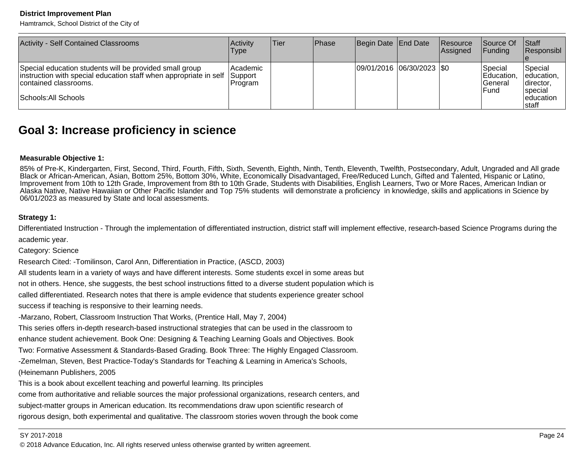Hamtramck, School District of the City of

| <b>Activity - Self Contained Classrooms</b>                                                                                                                                   | Activity<br>Type                        | lTier. | <b>IPhase</b> | Begin Date End Date        | Resource<br>Assigned | Source Of<br> Funding                       | <b>Staff</b><br><b>Responsibl</b>                                               |
|-------------------------------------------------------------------------------------------------------------------------------------------------------------------------------|-----------------------------------------|--------|---------------|----------------------------|----------------------|---------------------------------------------|---------------------------------------------------------------------------------|
| Special education students will be provided small group<br>instruction with special education staff when appropriate in self<br>contained classrooms.<br>Schools: All Schools | Academic <br>Support<br><b>IProgram</b> |        |               | 09/01/2016 06/30/2023  \$0 |                      | Special<br>Education,<br>lGeneral<br>lFund. | <b>S</b> pecial<br>leducation,<br>director,<br>Ispecial<br>leducation<br>Istaff |

# **Goal 3: Increase proficiency in science**

#### **Measurable Objective 1:**

 85% of Pre-K, Kindergarten, First, Second, Third, Fourth, Fifth, Sixth, Seventh, Eighth, Ninth, Tenth, Eleventh, Twelfth, Postsecondary, Adult, Ungraded and All gradeBlack or African-American, Asian, Bottom 25%, Bottom 30%, White, Economically Disadvantaged, Free/Reduced Lunch, Gifted and Talented, Hispanic or Latino, Improvement from 10th to 12th Grade, Improvement from 8th to 10th Grade, Students with Disabilities, English Learners, Two or More Races, American Indian or Alaska Native, Native Hawaiian or Other Pacific Islander and Top 75% students will demonstrate a proficiency in knowledge, skills and applications in Science by06/01/2023 as measured by State and local assessments.

#### **Strategy 1:**

Differentiated Instruction - Through the implementation of differentiated instruction, district staff will implement effective, research-based Science Programs during theacademic year.

Category: Science

Research Cited: -Tomilinson, Carol Ann, Differentiation in Practice, (ASCD, 2003)

All students learn in a variety of ways and have different interests. Some students excel in some areas but

not in others. Hence, she suggests, the best school instructions fitted to a diverse student population which is

called differentiated. Research notes that there is ample evidence that students experience greater school

success if teaching is responsive to their learning needs.

-Marzano, Robert, Classroom Instruction That Works, (Prentice Hall, May 7, 2004)

This series offers in-depth research-based instructional strategies that can be used in the classroom to

enhance student achievement. Book One: Designing & Teaching Learning Goals and Objectives. Book

Two: Formative Assessment & Standards-Based Grading. Book Three: The Highly Engaged Classroom.

-Zemelman, Steven, Best Practice-Today's Standards for Teaching & Learning in America's Schools,

(Heinemann Publishers, 2005

This is a book about excellent teaching and powerful learning. Its principles

come from authoritative and reliable sources the major professional organizations, research centers, andsubject-matter groups in American education. Its recommendations draw upon scientific research ofrigorous design, both experimental and qualitative. The classroom stories woven through the book come

#### SY 2017-2018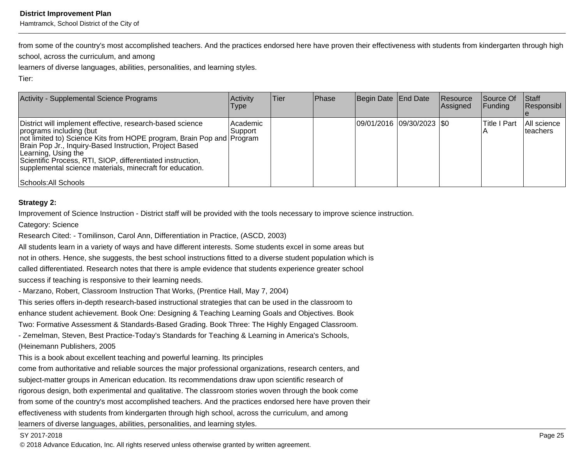Hamtramck, School District of the City of

from some of the country's most accomplished teachers. And the practices endorsed here have proven their effectiveness with students from kindergarten through highschool, across the curriculum, and among

learners of diverse languages, abilities, personalities, and learning styles.

Tier:

| Activity - Supplemental Science Programs                                                                                                                                                                                                                                                                                                                                                          | Activity<br>Type     | Tier | Phase | Begin Date End Date         | Resource<br><b>Assigned</b> | Source Of<br> Funding | Start<br> Responsibl     |
|---------------------------------------------------------------------------------------------------------------------------------------------------------------------------------------------------------------------------------------------------------------------------------------------------------------------------------------------------------------------------------------------------|----------------------|------|-------|-----------------------------|-----------------------------|-----------------------|--------------------------|
| District will implement effective, research-based science<br>programs including (but<br>not limited to) Science Kits from HOPE program, Brain Pop and Program<br>Brain Pop Jr., Inquiry-Based Instruction, Project Based<br>Learning, Using the<br>Scientific Process, RTI, SIOP, differentiated instruction,<br>supplemental science materials, minecraft for education.<br>Schools: All Schools | Academic<br> Support |      |       | 09/01/2016  09/30/2023  \$0 |                             | <b>Title I Part</b>   | All science<br>Iteachers |

#### **Strategy 2:**

Improvement of Science Instruction - District staff will be provided with the tools necessary to improve science instruction.

Category: Science

Research Cited: - Tomilinson, Carol Ann, Differentiation in Practice, (ASCD, 2003)

All students learn in a variety of ways and have different interests. Some students excel in some areas butnot in others. Hence, she suggests, the best school instructions fitted to a diverse student population which iscalled differentiated. Research notes that there is ample evidence that students experience greater schoolsuccess if teaching is responsive to their learning needs.

- Marzano, Robert, Classroom Instruction That Works, (Prentice Hall, May 7, 2004)

This series offers in-depth research-based instructional strategies that can be used in the classroom toenhance student achievement. Book One: Designing & Teaching Learning Goals and Objectives. Book

Two: Formative Assessment & Standards-Based Grading. Book Three: The Highly Engaged Classroom.

- Zemelman, Steven, Best Practice-Today's Standards for Teaching & Learning in America's Schools,(Heinemann Publishers, 2005

This is a book about excellent teaching and powerful learning. Its principles

come from authoritative and reliable sources the major professional organizations, research centers, andsubject-matter groups in American education. Its recommendations draw upon scientific research ofrigorous design, both experimental and qualitative. The classroom stories woven through the book comefrom some of the country's most accomplished teachers. And the practices endorsed here have proven theireffectiveness with students from kindergarten through high school, across the curriculum, and amonglearners of diverse languages, abilities, personalities, and learning styles.

#### SY 2017-2018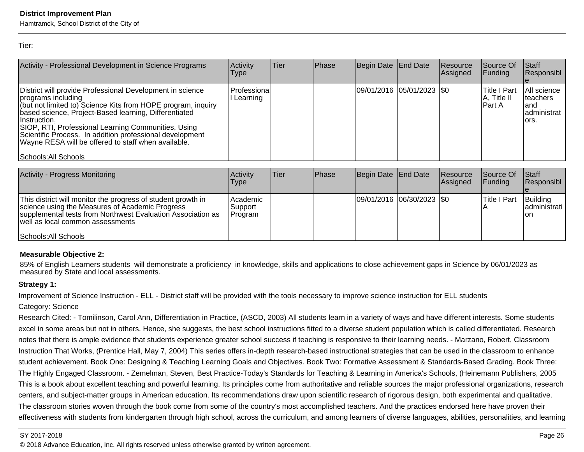Hamtramck, School District of the City of

Tier:

| Activity - Professional Development in Science Programs                                                                                                                                                                                                                                                                                                                                                                     | Activity<br>Type         | lTier | Phase | Begin Date End Date         | Resource<br>Assigned | lSource Of<br><b>IFunding</b>                  | <b>Staff</b><br>Responsibl                                |
|-----------------------------------------------------------------------------------------------------------------------------------------------------------------------------------------------------------------------------------------------------------------------------------------------------------------------------------------------------------------------------------------------------------------------------|--------------------------|-------|-------|-----------------------------|----------------------|------------------------------------------------|-----------------------------------------------------------|
| District will provide Professional Development in science<br>programs including<br>(but not limited to) Science Kits from HOPE program, inquiry<br>based science, Project-Based learning, Differentiated<br>⊺Instruction.<br>SIOP, RTI, Professional Learning Communities, Using<br>Scientific Process. In addition professional development<br>Wayne RESA will be offered to staff when available.<br>Schools: All Schools | Professional<br>Learning |       |       | 09/01/2016  05/01/2023  \$0 |                      | <b>Title I Part</b><br> A, Title II<br>lPart A | All science<br>Iteachers<br>land<br>ladministrat<br>lors. |

| Activity - Progress Monitoring                                                                                                                                                                                                             | Activity<br><b>Type</b>           | lTier. | <b>IPhase</b> | Begin Date End Date       | Resource<br>Assigned | Source Of<br><b>Funding</b> | Start<br>Responsibl                 |
|--------------------------------------------------------------------------------------------------------------------------------------------------------------------------------------------------------------------------------------------|-----------------------------------|--------|---------------|---------------------------|----------------------|-----------------------------|-------------------------------------|
| This district will monitor the progress of student growth in<br>science using the Measures of Academic Progress<br>supplemental tests from Northwest Evaluation Association as<br>well as local common assessments<br>Schools: All Schools | Academic<br> Support <br> Program |        |               | 09/01/2016 06/30/2023 \$0 |                      | <b>Title I Part</b>         | Building<br>ladministrati l<br>lon. |

#### **Measurable Objective 2:**

85% of English Learners students will demonstrate a proficiency in knowledge, skills and applications to close achievement gaps in Science by 06/01/2023 asmeasured by State and local assessments.

#### **Strategy 1:**

Improvement of Science Instruction - ELL - District staff will be provided with the tools necessary to improve science instruction for ELL students

#### Category: Science

Research Cited: - Tomilinson, Carol Ann, Differentiation in Practice, (ASCD, 2003) All students learn in a variety of ways and have different interests. Some studentsexcel in some areas but not in others. Hence, she suggests, the best school instructions fitted to a diverse student population which is called differentiated. Researchnotes that there is ample evidence that students experience greater school success if teaching is responsive to their learning needs. - Marzano, Robert, Classroom Instruction That Works, (Prentice Hall, May 7, 2004) This series offers in-depth research-based instructional strategies that can be used in the classroom to enhancestudent achievement. Book One: Designing & Teaching Learning Goals and Objectives. Book Two: Formative Assessment & Standards-Based Grading. Book Three:The Highly Engaged Classroom. - Zemelman, Steven, Best Practice-Today's Standards for Teaching & Learning in America's Schools, (Heinemann Publishers, 2005This is a book about excellent teaching and powerful learning. Its principles come from authoritative and reliable sources the major professional organizations, researchcenters, and subject-matter groups in American education. Its recommendations draw upon scientific research of rigorous design, both experimental and qualitative.The classroom stories woven through the book come from some of the country's most accomplished teachers. And the practices endorsed here have proven theireffectiveness with students from kindergarten through high school, across the curriculum, and among learners of diverse languages, abilities, personalities, and learning

#### SY 2017-2018

en and the set of the set of the set of the set of the set of the set of the set of the set of the set of the set of the set of the set of the set of the set of the set of the set of the set of the set of the set of the se © 2018 Advance Education, Inc. All rights reserved unless otherwise granted by written agreement.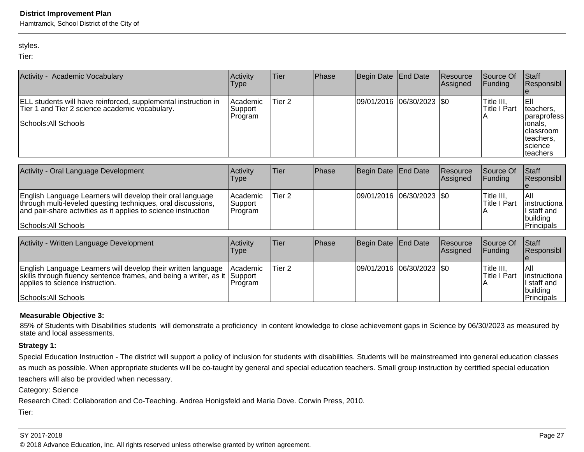Hamtramck, School District of the City of

#### styles.

Tier:

| Activity - Academic Vocabulary                                                                                                                                                                | Activity<br>Type               | Tier              | Phase | Begin Date | End Date   | Resource<br>Assigned | Source Of<br>Funding                   | <b>Staff</b><br>Responsibl                                   |
|-----------------------------------------------------------------------------------------------------------------------------------------------------------------------------------------------|--------------------------------|-------------------|-------|------------|------------|----------------------|----------------------------------------|--------------------------------------------------------------|
| ELL students will have reinforced, supplemental instruction in<br>Tier 1 and Tier 2 science academic vocabulary.                                                                              | Academic<br>Support<br>Program | Tier <sub>2</sub> |       | 09/01/2016 | 06/30/2023 | \$0                  | Title III,<br><b>Title I Part</b><br>А | EII<br>teachers,<br>paraprofess                              |
| Schools: All Schools                                                                                                                                                                          |                                |                   |       |            |            |                      |                                        | ionals.<br>classroom<br>teachers.<br>science<br>teachers     |
| Activity - Oral Language Development                                                                                                                                                          | Activity<br>Type               | Tier              | Phase | Begin Date | End Date   | Resource<br>Assigned | Source Of<br> Funding                  | Staff<br>Responsibl<br>е                                     |
| English Language Learners will develop their oral language<br>through multi-leveled questing techniques, oral discussions,<br>and pair-share activities as it applies to science instruction  | Academic<br>Support<br>Program | Tier 2            |       | 09/01/2016 | 06/30/2023 | \$0                  | Title III,<br><b>Title I Part</b><br>Α | All<br>instructiona<br>l staff and<br>building               |
| Schools: All Schools                                                                                                                                                                          |                                |                   |       |            |            |                      |                                        | Principals                                                   |
| Activity - Written Language Development                                                                                                                                                       | Activity<br>Type               | Tier              | Phase | Begin Date | End Date   | Resource<br>Assigned | Source Of<br> Funding                  | Staff<br>Responsibl                                          |
| English Language Learners will develop their written language<br>skills through fluency sentence frames, and being a writer, as it<br>applies to science instruction.<br>Schools: All Schools | Academic<br>Support<br>Program | Tier <sub>2</sub> |       | 09/01/2016 | 06/30/2023 | \$0                  | Title III,<br><b>Title I Part</b><br>Α | All<br>instructiona<br>I staff and<br>building<br>Principals |

#### **Measurable Objective 3:**

85% of Students with Disabilities students will demonstrate a proficiency in content knowledge to close achievement gaps in Science by 06/30/2023 as measured by state and local assessments.

#### **Strategy 1:**

Special Education Instruction - The district will support a policy of inclusion for students with disabilities. Students will be mainstreamed into general education classes as much as possible. When appropriate students will be co-taught by general and special education teachers. Small group instruction by certified special education

teachers will also be provided when necessary.

Category: Science

Research Cited: Collaboration and Co-Teaching. Andrea Honigsfeld and Maria Dove. Corwin Press, 2010.

Tier: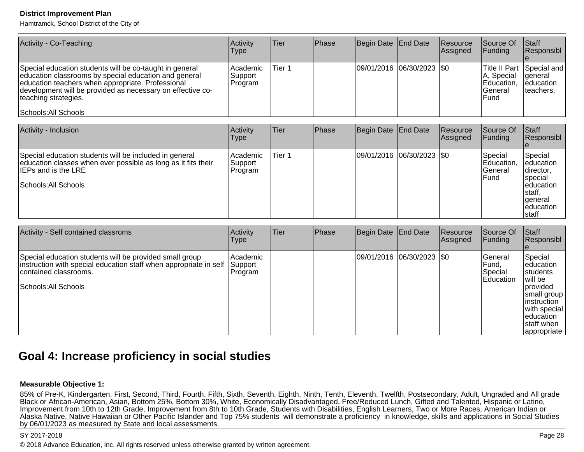Hamtramck, School District of the City of

| Activity - Co-Teaching                                                                                                                                                                                                                                                              | Activity<br>Type               | Tier              | Phase | Begin Date                  | End Date                    | Resource<br>Assigned | Source Of<br>Funding                                         | Staff<br>Responsibl                                                                                      |
|-------------------------------------------------------------------------------------------------------------------------------------------------------------------------------------------------------------------------------------------------------------------------------------|--------------------------------|-------------------|-------|-----------------------------|-----------------------------|----------------------|--------------------------------------------------------------|----------------------------------------------------------------------------------------------------------|
| Special education students will be co-taught in general<br>education classrooms by special education and general<br>education teachers when appropriate. Professional<br>development will be provided as necessary on effective co-<br>teaching strategies.<br>Schools: All Schools | Academic<br>Support<br>Program | Tier <sub>1</sub> |       | 09/01/2016  06/30/2023  \$0 |                             |                      | Title II Part<br>A, Special<br>Education,<br>General<br>Fund | Special and<br>general<br>leducation<br>lteachers.                                                       |
|                                                                                                                                                                                                                                                                                     |                                |                   |       |                             |                             |                      |                                                              |                                                                                                          |
| Activity - Inclusion                                                                                                                                                                                                                                                                | Activity<br>Type               | Tier              | Phase | Begin Date                  | End Date                    | Resource<br>Assigned | Source Of<br> Funding                                        | Staff<br>Responsibl                                                                                      |
| Special education students will be included in general<br>education classes when ever possible as long as it fits their<br><b>IEPs and is the LRE</b><br>Schools: All Schools                                                                                                       | Academic<br>Support<br>Program | Tier 1            |       |                             | 09/01/2016  06/30/2023  \$0 |                      | Special<br>Education,<br>General<br>Fund                     | Special<br>education<br>director,<br>∣special<br>leducation<br>staff,<br> general<br>education<br>Istaff |

| Activity - Self contained classroms                                                                                                                                           | Activity<br>Type                | Tier | Phase | Begin Date End Date       | Resource<br>Assigned | Source Of<br>Funding                              | Staff<br>Responsibl                                                                                                                                                          |
|-------------------------------------------------------------------------------------------------------------------------------------------------------------------------------|---------------------------------|------|-------|---------------------------|----------------------|---------------------------------------------------|------------------------------------------------------------------------------------------------------------------------------------------------------------------------------|
| Special education students will be provided small group<br>instruction with special education staff when appropriate in self<br>contained classrooms.<br>Schools: All Schools | Academic <br>Support<br>Program |      |       | 09/01/2016 06/30/2023 \$0 |                      | General<br>IFund.<br>Special<br><b>IEducation</b> | Special<br>leducation<br><b>Istudents</b><br>will be<br><i>I</i> provided<br>small group<br>linstruction<br>with special<br><b>leducation</b><br>staff when<br>  appropriate |

# **Goal 4: Increase proficiency in social studies**

#### **Measurable Objective 1:**

 85% of Pre-K, Kindergarten, First, Second, Third, Fourth, Fifth, Sixth, Seventh, Eighth, Ninth, Tenth, Eleventh, Twelfth, Postsecondary, Adult, Ungraded and All gradeBlack or African-American, Asian, Bottom 25%, Bottom 30%, White, Economically Disadvantaged, Free/Reduced Lunch, Gifted and Talented, Hispanic or Latino, Improvement from 10th to 12th Grade, Improvement from 8th to 10th Grade, Students with Disabilities, English Learners, Two or More Races, American Indian or Alaska Native, Native Hawaiian or Other Pacific Islander and Top 75% students will demonstrate a proficiency in knowledge, skills and applications in Social Studiesby 06/01/2023 as measured by State and local assessments.

#### SY 2017-2018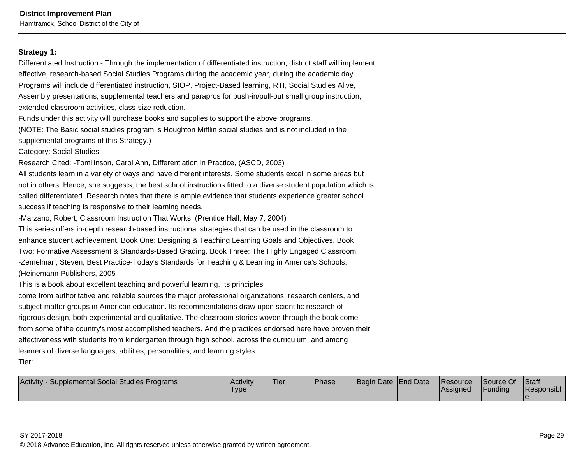#### **Strategy 1:**

Differentiated Instruction - Through the implementation of differentiated instruction, district staff will implementeffective, research-based Social Studies Programs during the academic year, during the academic day.Programs will include differentiated instruction, SIOP, Project-Based learning, RTI, Social Studies Alive,Assembly presentations, supplemental teachers and parapros for push-in/pull-out small group instruction,extended classroom activities, class-size reduction.

Funds under this activity will purchase books and supplies to support the above programs.

(NOTE: The Basic social studies program is Houghton Mifflin social studies and is not included in thesupplemental programs of this Strategy.)

Category: Social Studies

Research Cited: -Tomilinson, Carol Ann, Differentiation in Practice, (ASCD, 2003)

All students learn in a variety of ways and have different interests. Some students excel in some areas butnot in others. Hence, she suggests, the best school instructions fitted to a diverse student population which iscalled differentiated. Research notes that there is ample evidence that students experience greater schoolsuccess if teaching is responsive to their learning needs.

-Marzano, Robert, Classroom Instruction That Works, (Prentice Hall, May 7, 2004)

This series offers in-depth research-based instructional strategies that can be used in the classroom to enhance student achievement. Book One: Designing & Teaching Learning Goals and Objectives. BookTwo: Formative Assessment & Standards-Based Grading. Book Three: The Highly Engaged Classroom.-Zemelman, Steven, Best Practice-Today's Standards for Teaching & Learning in America's Schools,(Heinemann Publishers, 2005

This is a book about excellent teaching and powerful learning. Its principles

come from authoritative and reliable sources the major professional organizations, research centers, andsubject-matter groups in American education. Its recommendations draw upon scientific research ofrigorous design, both experimental and qualitative. The classroom stories woven through the book comefrom some of the country's most accomplished teachers. And the practices endorsed here have proven theireffectiveness with students from kindergarten through high school, across the curriculum, and amonglearners of diverse languages, abilities, personalities, and learning styles.

Tier:

| Supplemental Social Studies Programs<br>Activity | <b>Activity</b><br><b>Type</b> | Tier | <b>Phase</b> | Begin Date End Date | <b>Resource</b><br><b>Assigned</b> | Source Of<br>Funding | <b>Staff</b><br>Responsibl |
|--------------------------------------------------|--------------------------------|------|--------------|---------------------|------------------------------------|----------------------|----------------------------|
|                                                  |                                |      |              |                     |                                    |                      |                            |

#### SY 2017-2018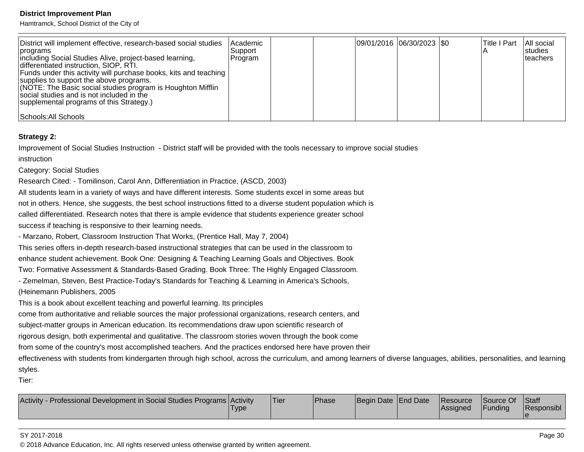Hamtramck, School District of the City of

| District will implement effective, research-based social studies<br>∣programs<br>including Social Studies Alive, project-based learning,<br>differentiated instruction, SIOP, RTI.                                                                                    | Academic<br>Support<br>Program |  | 09/01/2016 06/30/2023 \$0 |  | Title I Part | All social<br><b>Istudies</b><br>Iteachers |
|-----------------------------------------------------------------------------------------------------------------------------------------------------------------------------------------------------------------------------------------------------------------------|--------------------------------|--|---------------------------|--|--------------|--------------------------------------------|
| Funds under this activity will purchase books, kits and teaching  <br>supplies to support the above programs.<br>(NOTE: The Basic social studies program is Houghton Mifflin<br>social studies and is not included in the<br>supplemental programs of this Strategy.) |                                |  |                           |  |              |                                            |
| Schools: All Schools                                                                                                                                                                                                                                                  |                                |  |                           |  |              |                                            |

#### **Strategy 2:**

Improvement of Social Studies Instruction - District staff will be provided with the tools necessary to improve social studiesinstruction

Category: Social Studies

Research Cited: - Tomilinson, Carol Ann, Differentiation in Practice, (ASCD, 2003)

All students learn in a variety of ways and have different interests. Some students excel in some areas butnot in others. Hence, she suggests, the best school instructions fitted to a diverse student population which is

called differentiated. Research notes that there is ample evidence that students experience greater school

success if teaching is responsive to their learning needs.

- Marzano, Robert, Classroom Instruction That Works, (Prentice Hall, May 7, 2004)

This series offers in-depth research-based instructional strategies that can be used in the classroom to

enhance student achievement. Book One: Designing & Teaching Learning Goals and Objectives. Book

Two: Formative Assessment & Standards-Based Grading. Book Three: The Highly Engaged Classroom.

- Zemelman, Steven, Best Practice-Today's Standards for Teaching & Learning in America's Schools,

(Heinemann Publishers, 2005

This is a book about excellent teaching and powerful learning. Its principles

come from authoritative and reliable sources the major professional organizations, research centers, and

subject-matter groups in American education. Its recommendations draw upon scientific research of

rigorous design, both experimental and qualitative. The classroom stories woven through the book come

from some of the country's most accomplished teachers. And the practices endorsed here have proven their

effectiveness with students from kindergarten through high school, across the curriculum, and among learners of diverse languages, abilities, personalities, and learningstyles.

Tier:

| Activity - Professional Development in Social Studies Programs Activity | 'Type | 'Tier | <sup>1</sup> Phase | Begin Date End Date |  | <b>Resource</b><br>Assianed | <b>Source Of</b><br>Funding | Staff<br>Responsibl |
|-------------------------------------------------------------------------|-------|-------|--------------------|---------------------|--|-----------------------------|-----------------------------|---------------------|
|-------------------------------------------------------------------------|-------|-------|--------------------|---------------------|--|-----------------------------|-----------------------------|---------------------|

#### SY 2017-2018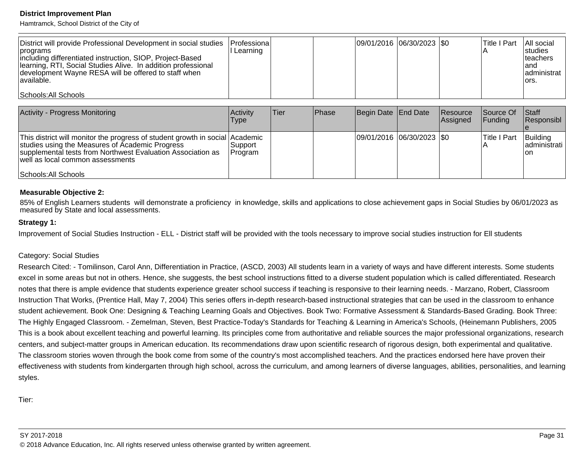Hamtramck, School District of the City of

| District will provide Professional Development in social studies   Professiona  <br><i></i>  programs<br>including differentiated instruction, SIOP, Project-Based<br>Ilearning, RTI, Social Studies Alive. In addition professional<br>development Wayne RESA will be offered to staff when<br>lavailable. | I Learning |  | 09/01/2016 06/30/2023 \$0 | lTitle I Part | <b>All social</b><br><b>Istudies</b><br>Iteachers<br>land<br>ladministrat<br>lors. |
|-------------------------------------------------------------------------------------------------------------------------------------------------------------------------------------------------------------------------------------------------------------------------------------------------------------|------------|--|---------------------------|---------------|------------------------------------------------------------------------------------|
| Schools: All Schools                                                                                                                                                                                                                                                                                        |            |  |                           |               |                                                                                    |

| <b>Activity - Progress Monitoring</b>                                                                                                                                                                                                                      | <b>Activity</b><br>Type | ∣Tier | <b>Phase</b> | Begin Date End Date        | Resource<br>Assigned | Source Of<br><b>IFundina</b> | <b>Staff</b><br> Responsibl      |
|------------------------------------------------------------------------------------------------------------------------------------------------------------------------------------------------------------------------------------------------------------|-------------------------|-------|--------------|----------------------------|----------------------|------------------------------|----------------------------------|
| This district will monitor the progress of student growth in social Academic<br>studies using the Measures of Academic Progress<br>supplemental tests from Northwest Evaluation Association as<br>well as local common assessments<br>Schools: All Schools | lSupport i<br> Program  |       |              | 09/01/2016 06/30/2023  \$0 |                      | Title I Part                 | Building<br>ladministrati<br>Ton |

#### **Measurable Objective 2:**

85% of English Learners students will demonstrate a proficiency in knowledge, skills and applications to close achievement gaps in Social Studies by 06/01/2023 asmeasured by State and local assessments.

#### **Strategy 1:**

Improvement of Social Studies Instruction - ELL - District staff will be provided with the tools necessary to improve social studies instruction for Ell students

#### Category: Social Studies

Research Cited: - Tomilinson, Carol Ann, Differentiation in Practice, (ASCD, 2003) All students learn in a variety of ways and have different interests. Some studentsexcel in some areas but not in others. Hence, she suggests, the best school instructions fitted to a diverse student population which is called differentiated. Researchnotes that there is ample evidence that students experience greater school success if teaching is responsive to their learning needs. - Marzano, Robert, Classroom Instruction That Works, (Prentice Hall, May 7, 2004) This series offers in-depth research-based instructional strategies that can be used in the classroom to enhance student achievement. Book One: Designing & Teaching Learning Goals and Objectives. Book Two: Formative Assessment & Standards-Based Grading. Book Three:The Highly Engaged Classroom. - Zemelman, Steven, Best Practice-Today's Standards for Teaching & Learning in America's Schools, (Heinemann Publishers, 2005This is a book about excellent teaching and powerful learning. Its principles come from authoritative and reliable sources the major professional organizations, researchcenters, and subject-matter groups in American education. Its recommendations draw upon scientific research of rigorous design, both experimental and qualitative.The classroom stories woven through the book come from some of the country's most accomplished teachers. And the practices endorsed here have proven theireffectiveness with students from kindergarten through high school, across the curriculum, and among learners of diverse languages, abilities, personalities, and learningstyles.

Tier: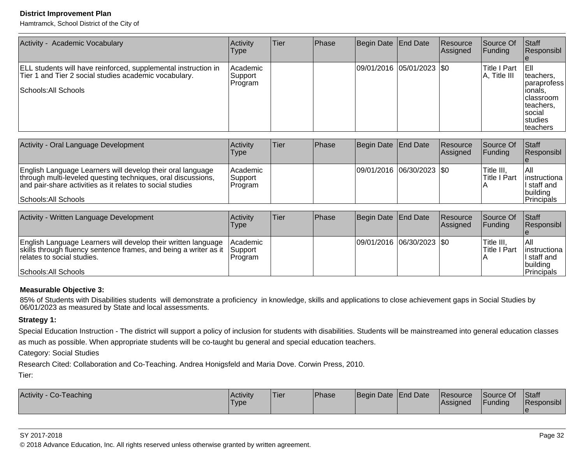Hamtramck, School District of the City of

| Activity - Academic Vocabulary                                                                                                                  | Activity<br>Type               | <b>Tier</b> | <b>Phase</b> | Begin Date End Date         | Resource<br>Assigned | Source Of<br> Funding        | Staff<br>Responsibl                                                                                                         |
|-------------------------------------------------------------------------------------------------------------------------------------------------|--------------------------------|-------------|--------------|-----------------------------|----------------------|------------------------------|-----------------------------------------------------------------------------------------------------------------------------|
| ELL students will have reinforced, supplemental instruction in<br>Tier 1 and Tier 2 social studies academic vocabulary.<br>Schools: All Schools | Academic<br>Support<br>Program |             |              | 09/01/2016 05/01/2023   \$0 |                      | Title I Part<br>A, Title III | TEIL<br>teachers.<br>Iparaprofess<br>lionals,<br><b>Iclassroom</b><br>Iteachers.<br>Isocial<br><b>Istudies</b><br> teachers |

| Activity - Oral Language Development                                                                                                                                                                            | Activity<br>Type                   | Tier | <b>IPhase</b> | Begin Date End Date       | <b>Resource</b><br><b>Assigned</b> | Source Of<br><b>IFundina</b> | <b>Staff</b><br>Responsibl                                                |
|-----------------------------------------------------------------------------------------------------------------------------------------------------------------------------------------------------------------|------------------------------------|------|---------------|---------------------------|------------------------------------|------------------------------|---------------------------------------------------------------------------|
| English Language Learners will develop their oral language<br>through multi-leveled questing techniques, oral discussions,<br>and pair-share activities as it relates to social studies<br>Schools: All Schools | l Academic<br> Support <br>Program |      |               | 09/01/2016 06/30/2023 \$0 |                                    | 'Title III.<br>lTitle I Part | l All<br>linstructional<br>I staff and<br> building<br><b>IPrincipals</b> |

| Activity - Written Language Development                                                                                                                                                 | Activitv<br>Type                              | lTier | <b>IPhase</b> | Begin Date End Date         | <b>Resource</b><br><b>Assigned</b> | <b>Source Of</b><br>IFundina             | <b>Staff</b><br>Responsibl                                       |
|-----------------------------------------------------------------------------------------------------------------------------------------------------------------------------------------|-----------------------------------------------|-------|---------------|-----------------------------|------------------------------------|------------------------------------------|------------------------------------------------------------------|
| English Language Learners will develop their written language<br>skills through fluency sentence frames, and being a writer as it<br>relates to social studies.<br>Schools: All Schools | <i>Academic</i><br><b>Support</b><br>IProgram |       |               | 09/01/2016 06/30/2023   \$0 |                                    | <sup>I</sup> Title III.<br>lTitle I Part | IAII<br>linstructiona<br>ll staff and<br>Ibuildina<br>Principals |

### **Measurable Objective 3:**

85% of Students with Disabilities students will demonstrate a proficiency in knowledge, skills and applications to close achievement gaps in Social Studies by<br>06/01/2023 as measured by State and local assessments.

#### **Strategy 1:**

Special Education Instruction - The district will support a policy of inclusion for students with disabilities. Students will be mainstreamed into general education classes

as much as possible. When appropriate students will be co-taught bu general and special education teachers.

Category: Social Studies

Research Cited: Collaboration and Co-Teaching. Andrea Honigsfeld and Maria Dove. Corwin Press, 2010.

Tier:

| Activity - Co-Teaching | Activity<br>'Type | 'Tier | Phase | Begin Date End Date | <b>Resource</b><br>Assigned | Source Of<br>Funding | Staff<br>Responsibl |
|------------------------|-------------------|-------|-------|---------------------|-----------------------------|----------------------|---------------------|
|                        |                   |       |       |                     |                             |                      |                     |

#### SY 2017-2018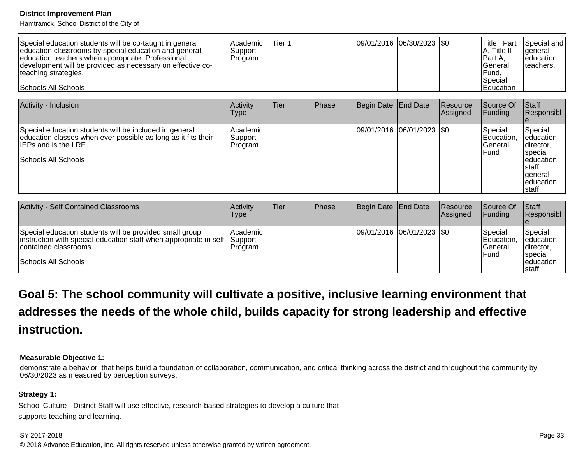Hamtramck, School District of the City of

| Special education students will be co-taught in general<br>education classrooms by special education and general<br>education teachers when appropriate. Professional<br>development will be provided as necessary on effective co-<br>teaching strategies.<br>Schools: All Schools | l Academic<br>Support<br>Program | Tier 1 |  | 09/01/2016 06/30/2023 0 |  |  | Title I Part<br>$A$ , Title II<br>IPart A.<br>lGeneral<br> Fund,<br>Special<br>lEducation | Special and<br><b>I</b> deneral<br>leducation<br>Iteachers. |
|-------------------------------------------------------------------------------------------------------------------------------------------------------------------------------------------------------------------------------------------------------------------------------------|----------------------------------|--------|--|-------------------------|--|--|-------------------------------------------------------------------------------------------|-------------------------------------------------------------|
|-------------------------------------------------------------------------------------------------------------------------------------------------------------------------------------------------------------------------------------------------------------------------------------|----------------------------------|--------|--|-------------------------|--|--|-------------------------------------------------------------------------------------------|-------------------------------------------------------------|

| Activity - Inclusion                                                                                                                                                                  | Activity<br>Type               | lTier. | Phase | Begin Date End Date |                           | <b>Resource</b><br>Assigned | Source Of<br><b>Funding</b>                       | <b>Staff</b><br>Responsibl                                                                                 |
|---------------------------------------------------------------------------------------------------------------------------------------------------------------------------------------|--------------------------------|--------|-------|---------------------|---------------------------|-----------------------------|---------------------------------------------------|------------------------------------------------------------------------------------------------------------|
| Special education students will be included in general<br>education classes when ever possible as long as it fits their<br>$\sf IIEPs$ and is the LRE $\sf I$<br>Schools: All Schools | Academic<br>Support<br>Program |        |       |                     | 09/01/2016 06/01/2023 \$0 |                             | Special<br>Education,<br>lGeneral<br><b>IFund</b> | Special<br>leducation<br>director,<br>special<br>leducation<br>Istaff.<br>lgeneral<br>leducation<br>Istaff |

| <b>Activity - Self Contained Classrooms</b>                                                                                                                                   | Activity<br>Type               | <b>Tier</b> | <b>Phase</b> | Begin Date End Date       | <b>Resource</b><br>Assigned | Source Of<br>IFundina                                     | Staff<br>Responsibl                                                             |
|-------------------------------------------------------------------------------------------------------------------------------------------------------------------------------|--------------------------------|-------------|--------------|---------------------------|-----------------------------|-----------------------------------------------------------|---------------------------------------------------------------------------------|
| Special education students will be provided small group<br>instruction with special education staff when appropriate in self<br>contained classrooms.<br>Schools: All Schools | Academic<br>Support<br>Program |             |              | 09/01/2016 06/01/2023 \$0 |                             | <b>Special</b><br><b>IEducation.</b><br>lGeneral<br>IFund | Special<br>leducation,<br>Idirector.<br><b>Ispecial</b><br>leducation<br>Istaff |

# **Goal 5: The school community will cultivate a positive, inclusive learning environment thataddresses the needs of the whole child, builds capacity for strong leadership and effectiveinstruction.**

#### **Measurable Objective 1:**

 demonstrate a behavior that helps build a foundation of collaboration, communication, and critical thinking across the district and throughout the community by06/30/2023 as measured by perception surveys.

## **Strategy 1:**

School Culture - District Staff will use effective, research-based strategies to develop a culture thatsupports teaching and learning.

#### SY 2017-2018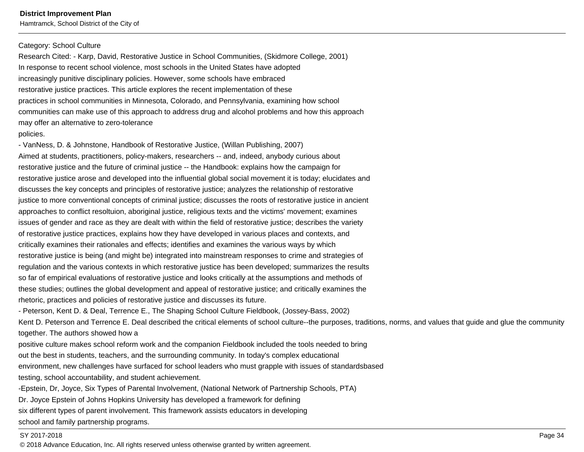#### Category: School Culture

Research Cited: - Karp, David, Restorative Justice in School Communities, (Skidmore College, 2001)In response to recent school violence, most schools in the United States have adoptedincreasingly punitive disciplinary policies. However, some schools have embracedrestorative justice practices. This article explores the recent implementation of thesepractices in school communities in Minnesota, Colorado, and Pennsylvania, examining how schoolcommunities can make use of this approach to address drug and alcohol problems and how this approachmay offer an alternative to zero-tolerance

#### policies.

- VanNess, D. & Johnstone, Handbook of Restorative Justice, (Willan Publishing, 2007)Aimed at students, practitioners, policy-makers, researchers -- and, indeed, anybody curious aboutrestorative justice and the future of criminal justice -- the Handbook: explains how the campaign forrestorative justice arose and developed into the influential global social movement it is today; elucidates anddiscusses the key concepts and principles of restorative justice; analyzes the relationship of restorativejustice to more conventional concepts of criminal justice; discusses the roots of restorative justice in ancientapproaches to conflict resoltuion, aboriginal justice, religious texts and the victims' movement; examinesissues of gender and race as they are dealt with within the field of restorative justice; describes the varietyof restorative justice practices, explains how they have developed in various places and contexts, andcritically examines their rationales and effects; identifies and examines the various ways by whichrestorative justice is being (and might be) integrated into mainstream responses to crime and strategies ofregulation and the various contexts in which restorative justice has been developed; summarizes the resultsso far of empirical evaluations of restorative justice and looks critically at the assumptions and methods ofthese studies; outlines the global development and appeal of restorative justice; and critically examines therhetoric, practices and policies of restorative justice and discusses its future.

- Peterson, Kent D. & Deal, Terrence E., The Shaping School Culture Fieldbook, (Jossey-Bass, 2002)

Kent D. Peterson and Terrence E. Deal described the critical elements of school culture--the purposes, traditions, norms, and values that guide and glue the communitytogether. The authors showed how a

positive culture makes school reform work and the companion Fieldbook included the tools needed to bringout the best in students, teachers, and the surrounding community. In today's complex educationalenvironment, new challenges have surfaced for school leaders who must grapple with issues of standardsbasedtesting, school accountability, and student achievement.

-Epstein, Dr, Joyce, Six Types of Parental Involvement, (National Network of Partnership Schools, PTA)Dr. Joyce Epstein of Johns Hopkins University has developed a framework for definingsix different types of parent involvement. This framework assists educators in developingschool and family partnership programs.

#### SY 2017-2018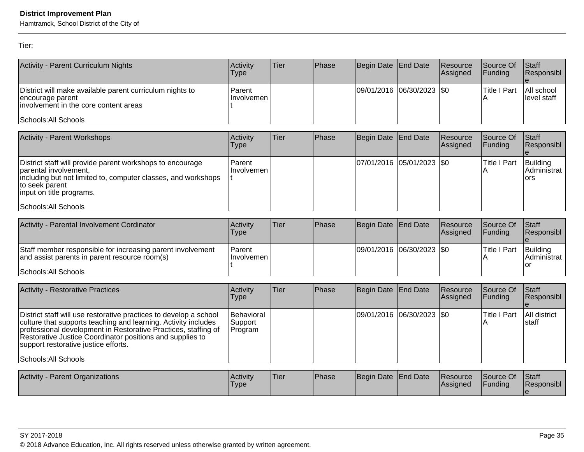Hamtramck, School District of the City of

Tier:

| Activity - Parent Curriculum Nights                                                                                                            | Activity<br>Type      | lTier | Phase | Begin Date End Date       | Resource<br>Assigned | Source Of<br><b>IFunding</b> | $\vert$ Staff<br>Responsibl |
|------------------------------------------------------------------------------------------------------------------------------------------------|-----------------------|-------|-------|---------------------------|----------------------|------------------------------|-----------------------------|
| District will make available parent curriculum nights to<br>encourage parent<br>linvolvement in the core content areas<br>Schools: All Schools | Parent<br>∣Involvemen |       |       | 09/01/2016 06/30/2023 \$0 |                      | lTitle I Part<br>IА          | All school<br>llevel staff  |

| <b>Activity - Parent Workshops</b>                                                                                                                                                                                         | Activity<br>Type         | Tier | <b>Phase</b> | Begin Date End Date           | <b>Resource</b><br>Assigned | <b>Source Of</b><br><b>IFundina</b> | <b>Staff</b><br><b>Responsibl</b> |
|----------------------------------------------------------------------------------------------------------------------------------------------------------------------------------------------------------------------------|--------------------------|------|--------------|-------------------------------|-----------------------------|-------------------------------------|-----------------------------------|
| District staff will provide parent workshops to encourage<br>parental involvement,<br>including but not limited to, computer classes, and workshops<br>to seek parent<br>linput on title programs.<br>Schools: All Schools | Parent <br>∣Involvemen I |      |              | $ 07/01/2016 05/01/2023 $ \$0 |                             | Title I Part                        | Building<br>Administrat<br>lors   |

| Activity - Parental Involvement Cordinator                                                                  | <b>Activity</b><br>Type        | Tier | Phase | Begin Date End Date         | Resource<br><b>Assigned</b> | Source Of<br><b>IFunding</b> | <b>Staff</b><br>Responsibl |
|-------------------------------------------------------------------------------------------------------------|--------------------------------|------|-------|-----------------------------|-----------------------------|------------------------------|----------------------------|
| Staff member responsible for increasing parent involvement<br>and assist parents in parent resource room(s) | <b>IParent</b><br>∏nvolvemen l |      |       | 09/01/2016  06/30/2023  \$0 |                             | lTitle I Part                | Building<br>IAdministrat l |
| Schools: All Schools                                                                                        |                                |      |       |                             |                             |                              |                            |

|                                                                                                                                                                                                                                                                                                                                                                        |  |                           | Assigned | <b>Funding</b> | Responsibl             |
|------------------------------------------------------------------------------------------------------------------------------------------------------------------------------------------------------------------------------------------------------------------------------------------------------------------------------------------------------------------------|--|---------------------------|----------|----------------|------------------------|
| Behavioral<br>District staff will use restorative practices to develop a school<br>culture that supports teaching and learning. Activity includes<br>Support<br>professional development in Restorative Practices, staffing of<br>Program<br>Restorative Justice Coordinator positions and supplies to<br>support restorative justice efforts.<br>Schools: All Schools |  | 09/01/2016 06/30/2023 \$0 |          | Title I Part   | All district<br>Istaff |

| Activity<br><b>Parent Organizations</b> | Activity<br>'Type | <b>Tier</b> | <b>Phase</b> | Begin Date End Date |  | <b>Resource</b><br><b>Assigned</b> | Source Of<br>Funding | Staff<br>Responsibl |
|-----------------------------------------|-------------------|-------------|--------------|---------------------|--|------------------------------------|----------------------|---------------------|
|-----------------------------------------|-------------------|-------------|--------------|---------------------|--|------------------------------------|----------------------|---------------------|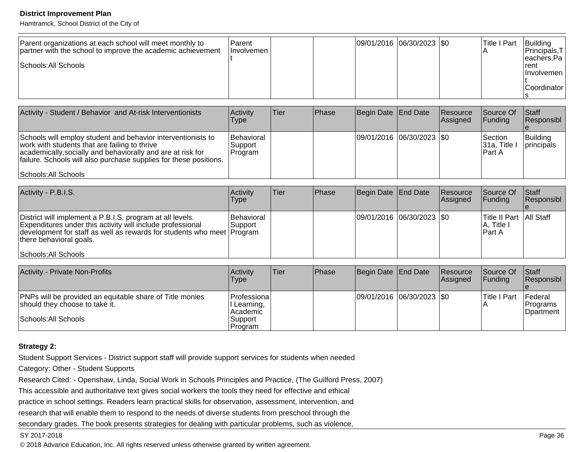Hamtramck, School District of the City of

| Parent organizations at each school will meet monthly to<br>partner with the school to improve the academic achievement<br>Schools: All Schools | <b>IParent</b><br><b>Involvemen</b> |  |  | 09/01/2016 06/30/2023 \$0 |  | Title I Part | Building<br> Principals,T <br>eachers, Pa<br>Irent<br><b>Ilnvolvemen</b><br>Coordinator |
|-------------------------------------------------------------------------------------------------------------------------------------------------|-------------------------------------|--|--|---------------------------|--|--------------|-----------------------------------------------------------------------------------------|
|-------------------------------------------------------------------------------------------------------------------------------------------------|-------------------------------------|--|--|---------------------------|--|--------------|-----------------------------------------------------------------------------------------|

| Activity - Student / Behavior and At-risk Interventionists                                                                                                                                                                                                                | Activity<br><b>Type</b>                    | lTier: | Phase | Begin Date End Date       | Resource<br>Assigned | Source Of<br><b>IFunding</b>            | <b>Staff</b><br>Responsibl |
|---------------------------------------------------------------------------------------------------------------------------------------------------------------------------------------------------------------------------------------------------------------------------|--------------------------------------------|--------|-------|---------------------------|----------------------|-----------------------------------------|----------------------------|
| Schools will employ student and behavior interventionists to<br>work with students that are failing to thrive<br>academically, socially and behaviorally and are at risk for<br>failure. Schools will also purchase supplies for these positions.<br>Schools: All Schools | <b>Behavioral</b><br> Support <br> Program |        |       | 09/01/2016 06/30/2023 \$0 |                      | lSection.<br>$ 31a,$ Title I<br>lPart A | Building<br>principals     |

| Activity - P.B.I.S.                                                                                                                                                                                                          | Activity<br><b>Type</b>  | ∣Tier∶ | Phase | Begin Date End Date           | Resource<br>Assigned | Source Of<br>IFundina                                      | <b>Staff</b><br>Responsibl |
|------------------------------------------------------------------------------------------------------------------------------------------------------------------------------------------------------------------------------|--------------------------|--------|-------|-------------------------------|----------------------|------------------------------------------------------------|----------------------------|
| District will implement a P.B.I.S. program at all levels.<br>Expenditures under this activity will include professional<br>development for staff as well as rewards for students who meet Program<br>there behavioral goals. | Behavioral<br>lSupport i |        |       | $ 09/01/2016 06/30/2023 $ \$0 |                      | <b>Title II Part   All Staff</b><br> A, Title I<br>IPart A |                            |
| Schools: All Schools                                                                                                                                                                                                         |                          |        |       |                               |                      |                                                            |                            |

| <b>Activity - Private Non-Profits</b>                                                             | Activity<br>Type                        | Tier | <b>Phase</b> | Begin Date End Date       | Resource<br>Assigned | <b>Source Of</b><br>IFundina | <b>Staff</b><br><b>Responsibl</b>            |
|---------------------------------------------------------------------------------------------------|-----------------------------------------|------|--------------|---------------------------|----------------------|------------------------------|----------------------------------------------|
| <b>PNPs will be provided an equitable share of Title monies</b><br>should they choose to take it. | Professiona <br>Learning,<br>l Academic |      |              | 09/01/2016 06/30/2023 \$0 |                      | lTitle I Part                | <b>IFederal</b><br> Programs<br>IDpartment l |
| Schools: All Schools                                                                              | Support<br>Program                      |      |              |                           |                      |                              |                                              |

#### **Strategy 2:**

Student Support Services - District support staff will provide support services for students when needed

Category: Other - Student Supports

Research Cited: - Openshaw, Linda, Social Work in Schools Principles and Practice, (The Guilford Press, 2007)

This accessible and authoritative text gives social workers the tools they need for effective and ethical

practice in school settings. Readers learn practical skills for observation, assessment, intervention, and

research that will enable them to respond to the needs of diverse students from preschool through the

secondary grades. The book presents strategies for dealing with particular problems, such as violence,

#### SY 2017-2018

entities and the contract of the contract of the contract of the contract of the contract of the contract of the contract of the contract of the contract of the contract of the contract of the contract of the contract of t © 2018 Advance Education, Inc. All rights reserved unless otherwise granted by written agreement.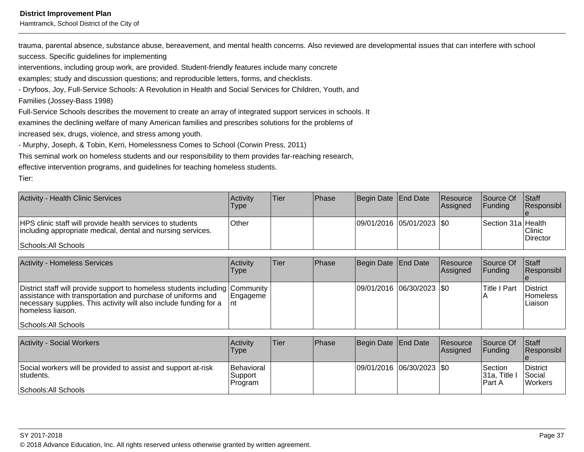Hamtramck, School District of the City of

trauma, parental absence, substance abuse, bereavement, and mental health concerns. Also reviewed are developmental issues that can interfere with school

success. Specific guidelines for implementing

interventions, including group work, are provided. Student-friendly features include many concrete

examples; study and discussion questions; and reproducible letters, forms, and checklists.

- Dryfoos, Joy, Full-Service Schools: A Revolution in Health and Social Services for Children, Youth, and

Families (Jossey-Bass 1998)

Full-Service Schools describes the movement to create an array of integrated support services in schools. It

examines the declining welfare of many American families and prescribes solutions for the problems of

increased sex, drugs, violence, and stress among youth.

- Murphy, Joseph, & Tobin, Kerri, Homelessness Comes to School (Corwin Press, 2011)

This seminal work on homeless students and our responsibility to them provides far-reaching research,

effective intervention programs, and guidelines for teaching homeless students.

Tier:

| Activity - Health Clinic Services                                                                                                                | <b>Activity</b><br>Type | <b>Tier</b> | <b>Phase</b> | Begin Date End Date         | <b>Resource</b><br>Assigned | <b>Source Of</b><br><b>IFunding</b> | <b>Staff</b><br>Responsibl  |
|--------------------------------------------------------------------------------------------------------------------------------------------------|-------------------------|-------------|--------------|-----------------------------|-----------------------------|-------------------------------------|-----------------------------|
| HPS clinic staff will provide health services to students<br>including appropriate medical, dental and nursing services.<br>Schools: All Schools | Other                   |             |              | 09/01/2016 05/01/2023   \$0 |                             | Section 31a Health                  | l Clinic<br><b>Director</b> |

| Activity - Homeless Services                                                                                                                                                                                                                                   | <b>Activity</b><br>Type | lTier. | <b>IPhase</b> | Begin Date End Date        | Resource<br><b>Assigned</b> | Source Of<br><b>IFunding</b> | <b>Staff</b><br>Responsibl             |
|----------------------------------------------------------------------------------------------------------------------------------------------------------------------------------------------------------------------------------------------------------------|-------------------------|--------|---------------|----------------------------|-----------------------------|------------------------------|----------------------------------------|
| District staff will provide support to homeless students including Community<br>assistance with transportation and purchase of uniforms and<br>necessary supplies. This activity will also include funding for a<br>Thomeless liaison.<br>Schools: All Schools | Engageme<br>Tnt.        |        |               | 09/01/2016 06/30/2023  \$0 |                             | lTitle I Part                | District<br><b>Homeless</b><br>Liaison |

| <b>Activity - Social Workers</b>                                                                   | Activity<br>Type                          | <b>Tier</b> | Phase | Begin Date End Date         | <b>Resource</b><br><b>Assigned</b> | Source Of<br><b>IFundina</b>                | <b>Staff</b><br><b>Responsibl</b>            |
|----------------------------------------------------------------------------------------------------|-------------------------------------------|-------------|-------|-----------------------------|------------------------------------|---------------------------------------------|----------------------------------------------|
| Social workers will be provided to assist and support at-risk<br>students.<br>Schools: All Schools | <b>Behavioral</b><br> Support <br>Program |             |       | 09/01/2016 06/30/2023   \$0 |                                    | <b>Section</b><br>Title<br>'31a.<br>IPart A | District<br><b>Social</b><br><b>IWorkers</b> |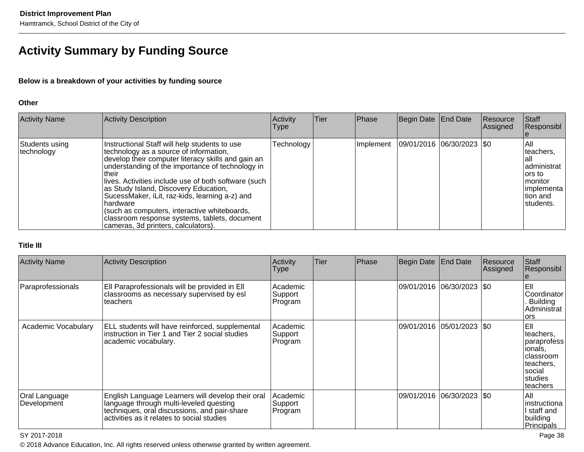# **Activity Summary by Funding Source**

### **Below is a breakdown of your activities by funding source**

#### **Other**

| <b>Activity Name</b>         | Activity Description                                                                                                                                                                                                                                                                                                                                                                                                                                                                                                | Activity<br><b>Type</b> | <b>Tier</b> | Phase     | Begin Date End Date |                          | Resource<br>Assigned | Staff<br>Responsibl                                                                                      |
|------------------------------|---------------------------------------------------------------------------------------------------------------------------------------------------------------------------------------------------------------------------------------------------------------------------------------------------------------------------------------------------------------------------------------------------------------------------------------------------------------------------------------------------------------------|-------------------------|-------------|-----------|---------------------|--------------------------|----------------------|----------------------------------------------------------------------------------------------------------|
| Students using<br>technology | Instructional Staff will help students to use<br>technology as a source of information,<br>develop their computer literacy skills and gain an<br>understanding of the importance of technology in<br>Itheir<br>lives. Activities include use of both software (such<br>as Study Island, Discovery Education,<br>SucessMaker, iLit, raz-kids, learning a-z) and<br>Ihardware<br>(such as computers, interactive whiteboards,<br>classroom response systems, tablets, document<br>cameras, 3d printers, calculators). | Technology              |             | Implement |                     | 09/01/2016 06/30/2023 50 |                      | IAII<br>teachers.<br>lall<br>administrat<br>lors to<br>Imonitor<br>limplementa<br>Ition and<br>students. |

#### **Title III**

| <b>Activity Name</b>         | Activity Description                                                                                                                                                                       | Activity<br><b>Type</b>        | Tier | Phase | Begin Date                  | <b>End Date</b>            | Resource<br> Assigned | Staff<br>Responsibl                                                                                        |
|------------------------------|--------------------------------------------------------------------------------------------------------------------------------------------------------------------------------------------|--------------------------------|------|-------|-----------------------------|----------------------------|-----------------------|------------------------------------------------------------------------------------------------------------|
| Paraprofessionals            | Ell Paraprofessionals will be provided in Ell<br>classrooms as necessary supervised by esl<br>teachers                                                                                     | Academic<br>Support<br>Program |      |       | 09/01/2016                  | $ 06/30/2023 $ \$0         |                       | leil<br>Coordinator<br><b>Building</b><br>Administrat<br>lors                                              |
| Academic Vocabulary          | ELL students will have reinforced, supplemental<br>instruction in Tier 1 and Tier 2 social studies<br>academic vocabulary.                                                                 | Academic<br>Support<br>Program |      |       |                             | 09/01/2016 05/01/2023  \$0 |                       | leil<br>teachers,<br>paraprofess<br>ionals,<br>Iclassroom<br>teachers.<br>Isocial<br>Istudies<br>lteachers |
| Oral Language<br>Development | English Language Learners will develop their oral<br>language through multi-leveled questing<br>techniques, oral discussions, and pair-share<br>activities as it relates to social studies | Academic<br>Support<br>Program |      |       | 09/01/2016  06/30/2023  \$0 |                            |                       | lail<br>instructiona<br>l staff and<br>building<br>Principals                                              |

#### SY 2017-2018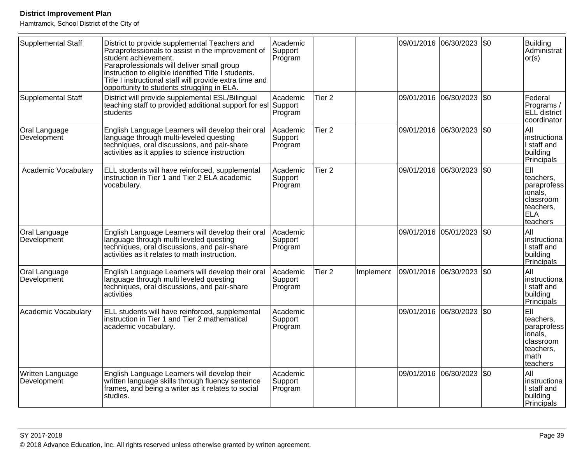| Supplemental Staff              | District to provide supplemental Teachers and<br>Paraprofessionals to assist in the improvement of<br>student achievement.<br>Paraprofessionals will deliver small group<br>instruction to eligible identified Title I students.<br>Title I instructional staff will provide extra time and<br>opportunity to students struggling in ELA. | Academic<br>Support<br>Program |                   |           |            | 09/01/2016 06/30/2023 \$0 |     | Building<br>Administrat<br> or(s)                                                                |
|---------------------------------|-------------------------------------------------------------------------------------------------------------------------------------------------------------------------------------------------------------------------------------------------------------------------------------------------------------------------------------------|--------------------------------|-------------------|-----------|------------|---------------------------|-----|--------------------------------------------------------------------------------------------------|
| Supplemental Staff              | District will provide supplemental ESL/Bilingual<br>teaching staff to provided additional support for esl Support<br>students                                                                                                                                                                                                             | Academic<br>Program            | Tier 2            |           | 09/01/2016 | 06/30/2023                | \$0 | <b>Federal</b><br>Programs /<br>ELL district<br>coordinator                                      |
| Oral Language<br>Development    | English Language Learners will develop their oral<br>language through multi-leveled questing<br>techniques, oral discussions, and pair-share<br>activities as it applies to science instruction                                                                                                                                           | Academic<br>Support<br>Program | Tier <sub>2</sub> |           |            | 09/01/2016 06/30/2023     | \$0 | All<br>Instructiona<br>I staff and<br>building<br>Principals                                     |
| Academic Vocabulary             | ELL students will have reinforced, supplemental<br>instruction in Tier 1 and Tier 2 ELA academic<br>vocabulary.                                                                                                                                                                                                                           | Academic<br>Support<br>Program | Tier <sub>2</sub> |           |            | 09/01/2016 06/30/2023     | \$0 | EII<br>teachers,<br>paraprofess<br>lionals,<br>classroom<br>lteachers.<br><b>ELA</b><br>teachers |
| Oral Language<br>Development    | English Language Learners will develop their oral<br>language through multi leveled questing<br>techniques, oral discussions, and pair-share<br>activities as it relates to math instruction.                                                                                                                                             | Academic<br>Support<br>Program |                   |           |            | 09/01/2016 05/01/2023     | \$0 | All<br>Instructiona<br>I staff and<br>building<br>Principals                                     |
| Oral Language<br>Development    | English Language Learners will develop their oral<br>language through multi leveled questing<br>techniques, oral discussions, and pair-share<br>activities                                                                                                                                                                                | Academic<br>Support<br>Program | Tier <sub>2</sub> | Implement |            | 09/01/2016 06/30/2023     | \$0 | All<br>Instructiona<br>I staff and<br>building<br><b>Principals</b>                              |
| Academic Vocabulary             | ELL students will have reinforced, supplemental<br>instruction in Tier 1 and Tier 2 mathematical<br>academic vocabulary.                                                                                                                                                                                                                  | Academic<br>Support<br>Program |                   |           |            | 09/01/2016 06/30/2023     | \$0 | EII<br>teachers.<br>paraprofess<br>lionals,<br>Iclassroom<br>teachers,<br>Imath<br>teachers      |
| Written Language<br>Development | English Language Learners will develop their<br>written language skills through fluency sentence<br>frames, and being a writer as it relates to social<br>studies.                                                                                                                                                                        | Academic<br>Support<br>Program |                   |           | 09/01/2016 | 06/30/2023                | \$0 | All<br>Instructiona<br>I staff and<br>building<br>Principals                                     |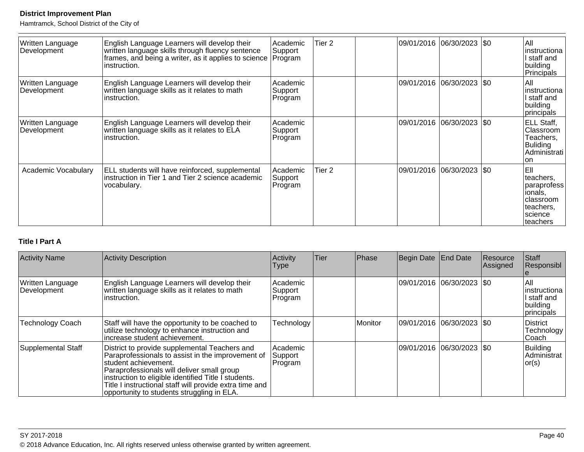Hamtramck, School District of the City of

| Written Language<br>Development | English Language Learners will develop their<br>written language skills through fluency sentence<br>frames, and being a writer, as it applies to science<br>instruction. | Academic<br>Support<br>Program | Tier 2 | 09/01/2016 06/30/2023  \$0  | All<br>instructiona<br>l staff and<br>building<br>Principals                                   |
|---------------------------------|--------------------------------------------------------------------------------------------------------------------------------------------------------------------------|--------------------------------|--------|-----------------------------|------------------------------------------------------------------------------------------------|
| Written Language<br>Development | English Language Learners will develop their<br>written language skills as it relates to math<br>instruction.                                                            | Academic<br>Support<br>Program |        | 09/01/2016 06/30/2023   \$0 | All<br>instructiona<br>l staff and<br>building<br>principals                                   |
| Written Language<br>Development | English Language Learners will develop their<br>written language skills as it relates to ELA<br>instruction.                                                             | Academic<br>Support<br>Program |        | 09/01/2016 06/30/2023  \$0  | ELL Staff,<br>Classroom<br>Teachers,<br><b>Buliding</b><br>Administrati<br>on                  |
| Academic Vocabulary             | ELL students will have reinforced, supplemental<br>instruction in Tier 1 and Tier 2 science academic<br>vocabulary.                                                      | Academic<br>Support<br>Program | Tier 2 | 09/01/2016 06/30/2023   \$0 | EII<br>teachers,<br>paraprofess<br>ionals,<br>Iclassroom<br>lteachers.<br>science<br> teachers |

# **Title I Part A**

| <b>Activity Name</b>            | Activity Description                                                                                                                                                                                                                                                                                                                      | Activity<br><b>Type</b>        | <b>Tier</b> | Phase   | Begin Date End Date         | Resource<br>Assigned | Staff<br>Responsibl                                            |
|---------------------------------|-------------------------------------------------------------------------------------------------------------------------------------------------------------------------------------------------------------------------------------------------------------------------------------------------------------------------------------------|--------------------------------|-------------|---------|-----------------------------|----------------------|----------------------------------------------------------------|
| Written Language<br>Development | English Language Learners will develop their<br>written language skills as it relates to math<br>instruction.                                                                                                                                                                                                                             | Academic<br>Support<br>Program |             |         | 09/01/2016  06/30/2023  \$0 |                      | All<br>linstructiona<br>I staff and<br>building<br> principals |
| <b>Technology Coach</b>         | Staff will have the opportunity to be coached to<br>utilize technology to enhance instruction and<br>increase student achievement.                                                                                                                                                                                                        | Technology                     |             | Monitor | 09/01/2016  06/30/2023  \$0 |                      | District<br>Technology<br>lCoach.                              |
| Supplemental Staff              | District to provide supplemental Teachers and<br>Paraprofessionals to assist in the improvement of<br>student achievement.<br>Paraprofessionals will deliver small group<br>instruction to eligible identified Title I students.<br>Title I instructional staff will provide extra time and<br>opportunity to students struggling in ELA. | Academic<br>Support<br>Program |             |         | 09/01/2016  06/30/2023  \$0 |                      | Building<br>Administrat<br> or(s)                              |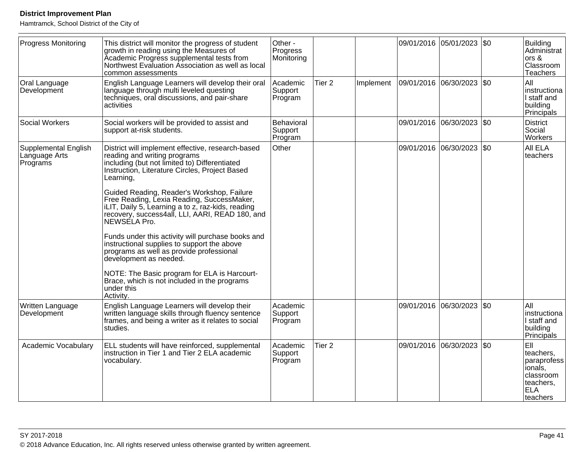| <b>Progress Monitoring</b>                               | This district will monitor the progress of student<br>growth in reading using the Measures of<br>Academic Progress supplemental tests from<br>Northwest Evaluation Association as well as local<br>common assessments | Other -<br>Progress<br>Monitoring |                   |           | 09/01/2016 05/01/2023 \$0 |     | <b>Building</b><br>Administrat<br>ors &<br>Classroom<br><b>Teachers</b>                         |
|----------------------------------------------------------|-----------------------------------------------------------------------------------------------------------------------------------------------------------------------------------------------------------------------|-----------------------------------|-------------------|-----------|---------------------------|-----|-------------------------------------------------------------------------------------------------|
| Oral Language<br>Development                             | English Language Learners will develop their oral<br>language through multi leveled questing<br>techniques, oral discussions, and pair-share<br>activities                                                            | Academic<br>Support<br>Program    | Tier <sub>2</sub> | Implement | 09/01/2016  06/30/2023    | \$0 | All<br>instructiona<br>I staff and<br>building<br>Principals                                    |
| <b>Social Workers</b>                                    | Social workers will be provided to assist and<br>support at-risk students.                                                                                                                                            | Behavioral<br>Support<br>Program  |                   |           | 09/01/2016 06/30/2023     | \$0 | <b>District</b><br>Social<br>Workers                                                            |
| <b>Supplemental English</b><br>Language Arts<br>Programs | District will implement effective, research-based<br>reading and writing programs<br>including (but not limited to) Differentiated<br>Instruction, Literature Circles, Project Based<br>Learning,                     | Other                             |                   |           | 09/01/2016 06/30/2023     | \$0 | All ELA<br>teachers                                                                             |
|                                                          | Guided Reading, Reader's Workshop, Failure<br>Free Reading, Lexia Reading, SuccessMaker,<br>ILIT, Daily 5, Learning a to z, raz-kids, reading<br>recovery, success4all, LLI, AARI, READ 180, and<br>NEWSÉLA Pro.      |                                   |                   |           |                           |     |                                                                                                 |
|                                                          | Funds under this activity will purchase books and<br>instructional supplies to support the above<br>programs as well as provide professional<br>development as needed.                                                |                                   |                   |           |                           |     |                                                                                                 |
|                                                          | NOTE: The Basic program for ELA is Harcourt-<br>Brace, which is not included in the programs<br>under this<br>Activity.                                                                                               |                                   |                   |           |                           |     |                                                                                                 |
| Written Language<br>Development                          | English Language Learners will develop their<br>written language skills through fluency sentence<br>frames, and being a writer as it relates to social<br>studies.                                                    | Academic<br>Support<br>Program    |                   |           | 09/01/2016 06/30/2023     | \$0 | All<br>instructiona<br>I staff and<br>building<br>Principals                                    |
| Academic Vocabulary                                      | ELL students will have reinforced, supplemental<br>Instruction in Tier 1 and Tier 2 ELA academic<br>vocabulary.                                                                                                       | Academic<br>Support<br>Program    | Tier <sub>2</sub> |           | 09/01/2016 06/30/2023     | \$0 | EII<br>teachers.<br>paraprofess<br>ionals,<br>classroom<br>teachers,<br><b>ELA</b><br>lteachers |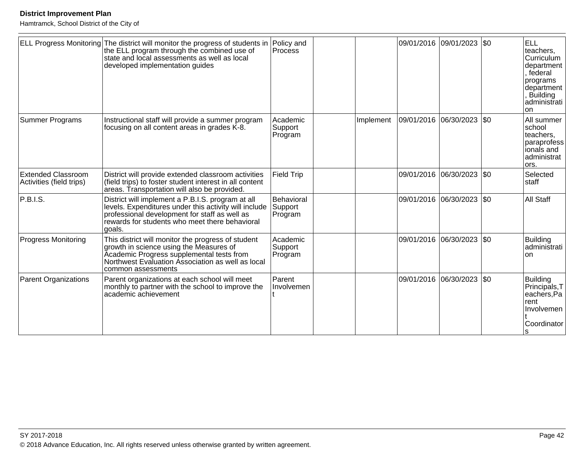|                                                       | ELL Progress Monitoring The district will monitor the progress of students in<br>the ELL program through the combined use of<br>state and local assessments as well as local<br>developed implementation guides         | Policy and<br>Process            |           | 09/01/2016 09/01/2023 \$0   | <b>ELL</b><br>teachers.<br>Curriculum<br>department<br>, federal<br>programs<br>department<br>Building<br>administrati<br>lon |
|-------------------------------------------------------|-------------------------------------------------------------------------------------------------------------------------------------------------------------------------------------------------------------------------|----------------------------------|-----------|-----------------------------|-------------------------------------------------------------------------------------------------------------------------------|
| Summer Programs                                       | Instructional staff will provide a summer program<br>focusing on all content areas in grades K-8.                                                                                                                       | Academic<br>Support<br>Program   | Implement | 09/01/2016 06/30/2023 \$0   | All summer<br>school<br>teachers,<br>paraprofess<br>ionals and<br>administrat<br>ors.                                         |
| <b>Extended Classroom</b><br>Activities (field trips) | District will provide extended classroom activities<br>(field trips) to foster student interest in all content<br>areas. Transportation will also be provided.                                                          | <b>Field Trip</b>                |           | 09/01/2016 06/30/2023   \$0 | Selected<br>staff                                                                                                             |
| P.B.I.S.                                              | District will implement a P.B.I.S. program at all<br>levels. Expenditures under this activity will include<br>professional development for staff as well as<br>rewards for students who meet there behavioral<br>goals. | Behavioral<br>Support<br>Program |           | 09/01/2016 06/30/2023 \$0   | All Staff                                                                                                                     |
| <b>Progress Monitoring</b>                            | This district will monitor the progress of student<br>growth in science using the Measures of<br>Academic Progress supplemental tests from<br>Northwest Evaluation Association as well as local<br>common assessments   | Academic<br>Support<br>Program   |           | 09/01/2016 06/30/2023 \$0   | <b>Building</b><br>administrati<br><b>on</b>                                                                                  |
| <b>Parent Organizations</b>                           | Parent organizations at each school will meet<br>monthly to partner with the school to improve the<br>academic achievement                                                                                              | Parent<br>Involvemen             |           | 09/01/2016 06/30/2023 \$0   | <b>Building</b><br>Principals, T<br>eachers, Pa<br>rent<br>Involvemen<br>Coordinator                                          |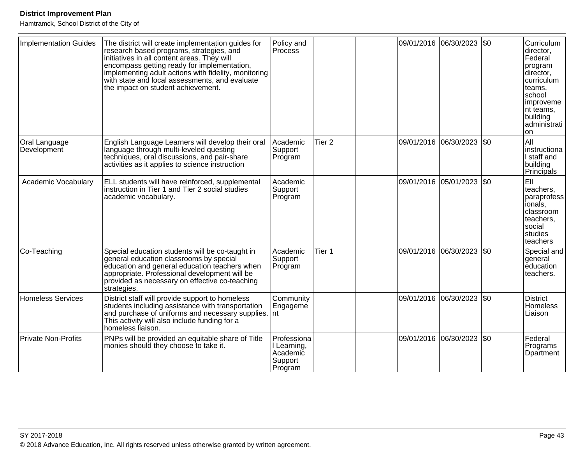| <b>Implementation Guides</b> | The district will create implementation guides for<br>research based programs, strategies, and<br>initiatives in all content areas. They will<br>encompass getting ready for implementation,<br>implementing adult actions with fidelity, monitoring<br>with state and local assessments, and evaluate<br>the impact on student achievement. | Policy and<br>Process                                        |                   | 09/01/2016 06/30/2023  \$0 |           | Curriculum<br>director,<br>Federal<br>program<br>director,<br>curriculum<br>teams.<br>school<br>improveme<br>nt teams,<br>building<br>ladministrati<br>on |
|------------------------------|----------------------------------------------------------------------------------------------------------------------------------------------------------------------------------------------------------------------------------------------------------------------------------------------------------------------------------------------|--------------------------------------------------------------|-------------------|----------------------------|-----------|-----------------------------------------------------------------------------------------------------------------------------------------------------------|
| Oral Language<br>Development | English Language Learners will develop their oral<br>language through multi-leveled questing<br>techniques, oral discussions, and pair-share<br>activities as it applies to science instruction                                                                                                                                              | Academic<br>Support<br>Program                               | Tier <sub>2</sub> | 09/01/2016 06/30/2023      | <b>SO</b> | All<br>instructiona<br>I staff and<br>building<br>Principals                                                                                              |
| Academic Vocabulary          | ELL students will have reinforced, supplemental<br>instruction in Tier 1 and Tier 2 social studies<br>academic vocabulary.                                                                                                                                                                                                                   | Academic<br>Support<br>Program                               |                   | 09/01/2016 05/01/2023      | l\$0      | EII<br>teachers.<br>paraprofess<br>ionals,<br>classroom<br>teachers,<br>social<br>studies<br>teachers                                                     |
| Co-Teaching                  | Special education students will be co-taught in<br>general education classrooms by special<br>education and general education teachers when<br>appropriate. Professional development will be<br>provided as necessary on effective co-teaching<br>strategies.                                                                                | Academic<br>Support<br>Program                               | Tier 1            | 09/01/2016 06/30/2023  \$0 |           | Special and<br>general<br>education<br>teachers.                                                                                                          |
| <b>Homeless Services</b>     | District staff will provide support to homeless<br>students including assistance with transportation<br>and purchase of uniforms and necessary supplies.<br>This activity will also include funding for a<br>homeless liaison.                                                                                                               | Community<br>Engageme<br>Int                                 |                   | 09/01/2016 06/30/2023      | <b>SO</b> | <b>District</b><br>Homeless<br>Liaison                                                                                                                    |
| <b>Private Non-Profits</b>   | PNPs will be provided an equitable share of Title<br>monies should they choose to take it.                                                                                                                                                                                                                                                   | Professiona<br>I Learning,<br>Academic<br>Support<br>Program |                   | 09/01/2016 06/30/2023      | \$0       | Federal<br>Programs<br>Dpartment                                                                                                                          |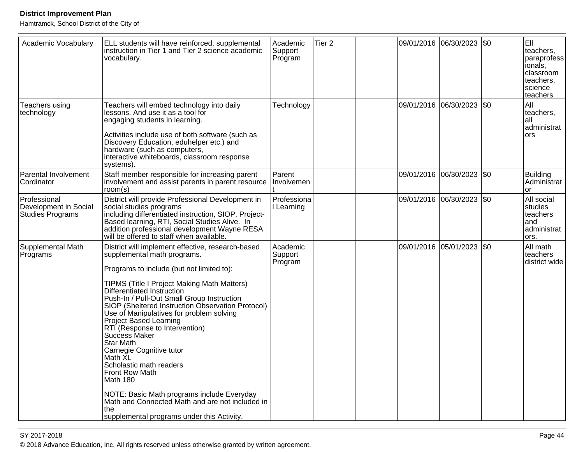Hamtramck, School District of the City of

| Academic Vocabulary                                       | ELL students will have reinforced, supplemental<br>instruction in Tier 1 and Tier 2 science academic<br>vocabulary.                                                                                                                                                                                                                                                                                                                                                                                                                                                                                                                                                                                        | Academic<br>Support<br>Program | Tier <sub>2</sub> | 09/01/2016 06/30/2023 \$0 | EII<br>teachers,<br>paraprofess<br>ionals,<br>classroom<br>teachers.<br>science<br>teachers |
|-----------------------------------------------------------|------------------------------------------------------------------------------------------------------------------------------------------------------------------------------------------------------------------------------------------------------------------------------------------------------------------------------------------------------------------------------------------------------------------------------------------------------------------------------------------------------------------------------------------------------------------------------------------------------------------------------------------------------------------------------------------------------------|--------------------------------|-------------------|---------------------------|---------------------------------------------------------------------------------------------|
| Teachers using<br>technology                              | Teachers will embed technology into daily<br>lessons. And use it as a tool for<br>engaging students in learning.<br>Activities include use of both software (such as<br>Discovery Education, eduhelper etc.) and<br>hardware (such as computers,<br>interactive whiteboards, classroom response<br>systems).                                                                                                                                                                                                                                                                                                                                                                                               | Technology                     |                   | 09/01/2016 06/30/2023 \$0 | All<br>teachers,<br>lall<br>administrat<br><b>ors</b>                                       |
| Parental Involvement<br>Cordinator                        | Staff member responsible for increasing parent<br>involvement and assist parents in parent resource<br>room(s)                                                                                                                                                                                                                                                                                                                                                                                                                                                                                                                                                                                             | Parent<br>Involvemen           |                   | 09/01/2016 06/30/2023 \$0 | Building<br>Administrat<br>or                                                               |
| Professional<br>Development in Social<br>Studies Programs | District will provide Professional Development in<br>social studies programs<br>including differentiated instruction, SIOP, Project-<br>Based learning, RTI, Social Studies Alive. In<br>addition professional development Wayne RESA<br>will be offered to staff when available.                                                                                                                                                                                                                                                                                                                                                                                                                          | Professiona<br>I Learning      |                   | 09/01/2016 06/30/2023 \$0 | All social<br>studies<br>teachers<br>land<br>administrat<br>ors.                            |
| Supplemental Math<br>Programs                             | District will implement effective, research-based<br>supplemental math programs.<br>Programs to include (but not limited to):<br>TIPMS (Title I Project Making Math Matters)<br>Differentiated Instruction<br>Push-In / Pull-Out Small Group Instruction<br>SIOP (Sheltered Instruction Observation Protocol)<br>Use of Manipulatives for problem solving<br>Project Based Learning<br>RTI (Response to Intervention)<br>Success Maker<br>Star Math<br>Carnegie Cognitive tutor<br>Math XL<br>Scholastic math readers<br>Front Row Math<br>Math 180<br>NOTE: Basic Math programs include Everyday<br>Math and Connected Math and are not included in<br>Ithe<br>supplemental programs under this Activity. | Academic<br>Support<br>Program |                   | 09/01/2016 05/01/2023 \$0 | All math<br>teachers<br>district wide                                                       |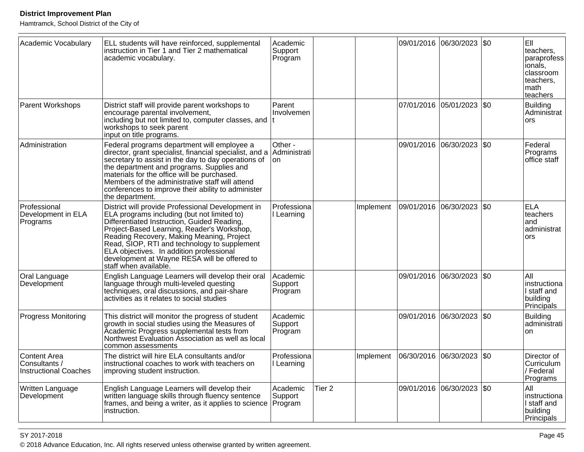Hamtramck, School District of the City of

| Academic Vocabulary                                           | ELL students will have reinforced, supplemental<br>instruction in Tier 1 and Tier 2 mathematical<br>academic vocabulary.                                                                                                                                                                                                                                                                                        | Academic<br>Support<br>Program |                   |           |                       | 09/01/2016 06/30/2023 \$0 |     | EII<br>teachers,<br>paraprofess<br>ionals,<br>classroom<br>teachers,<br>math<br>teachers |
|---------------------------------------------------------------|-----------------------------------------------------------------------------------------------------------------------------------------------------------------------------------------------------------------------------------------------------------------------------------------------------------------------------------------------------------------------------------------------------------------|--------------------------------|-------------------|-----------|-----------------------|---------------------------|-----|------------------------------------------------------------------------------------------|
| <b>Parent Workshops</b>                                       | District staff will provide parent workshops to<br>encourage parental involvement,<br>including but not limited to, computer classes, and<br>workshops to seek parent<br>input on title programs.                                                                                                                                                                                                               | Parent<br>Involvemen           |                   |           |                       | 07/01/2016 05/01/2023 \$0 |     | <b>Building</b><br>Administrat<br>ors                                                    |
| Administration                                                | Federal programs department will employee a<br>director, grant specialist, financial specialist, and a<br>secretary to assist in the day to day operations of<br>the department and programs. Supplies and<br>materials for the office will be purchased.<br>Members of the administrative staff will attend<br>conferences to improve their ability to administer<br>the department.                           | Other -<br>Administrati<br>on. |                   |           |                       | 09/01/2016 06/30/2023 \$0 |     | Federal<br>Programs<br>office staff                                                      |
| Professional<br>Development in ELA<br>Programs                | District will provide Professional Development in<br>ELA programs including (but not limited to)<br>Differentiated Instruction, Guided Reading,<br>Project-Based Learning, Reader's Workshop,<br>Reading Recovery, Making Meaning, Project<br>Read, SIOP, RTI and technology to supplement<br>ELA objectives. In addition professional<br>development at Wayne RESA will be offered to<br>staff when available. | Professiona<br>I Learning      |                   | Implement |                       | 09/01/2016 06/30/2023 \$0 |     | <b>ELA</b><br>teachers<br>and<br>administrat<br>ors                                      |
| Oral Language<br>Development                                  | English Language Learners will develop their oral<br>language through multi-leveled questing<br>techniques, oral discussions, and pair-share<br>activities as it relates to social studies                                                                                                                                                                                                                      | Academic<br>Support<br>Program |                   |           |                       | 09/01/2016 06/30/2023     | \$0 | All<br>instructiona<br>I staff and<br>building<br>Principals                             |
| <b>Progress Monitoring</b>                                    | This district will monitor the progress of student<br>growth in social studies using the Measures of<br>Academic Progress supplemental tests from<br>Northwest Evaluation Association as well as local<br>common assessments                                                                                                                                                                                    | Academic<br>Support<br>Program |                   |           |                       | 09/01/2016 06/30/2023     | \$0 | <b>Building</b><br>administrati<br>on                                                    |
| Content Area<br>/ Consultants<br><b>Instructional Coaches</b> | The district will hire ELA consultants and/or<br>instructional coaches to work with teachers on<br>improving student instruction.                                                                                                                                                                                                                                                                               | Professiona<br>I Learning      |                   | Implement | 06/30/2016 06/30/2023 |                           | \$0 | Director of<br>Curriculum<br>/ Federal<br>Programs                                       |
| Written Language<br>Development                               | English Language Learners will develop their<br>written language skills through fluency sentence<br>frames, and being a writer, as it applies to science   Program<br>instruction.                                                                                                                                                                                                                              | Academic<br>Support            | Tier <sub>2</sub> |           |                       | 09/01/2016 06/30/2023 \$0 |     | All<br>instructiona<br>I staff and<br>building<br>Principals                             |

en and the set of the set of the set of the set of the set of the set of the set of the set of the set of the set of the set of the set of the set of the set of the set of the set of the set of the set of the set of the se © 2018 Advance Education, Inc. All rights reserved unless otherwise granted by written agreement.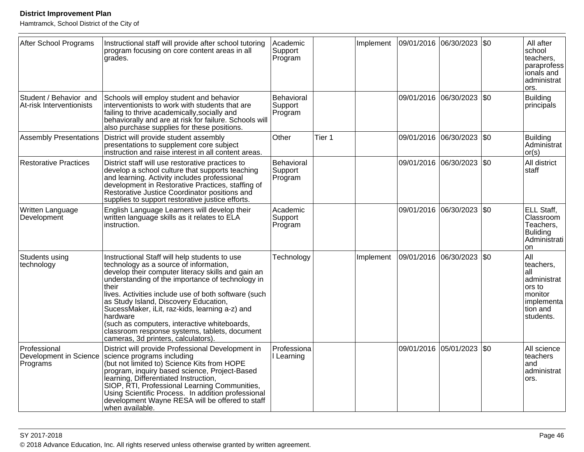| After School Programs                              | Instructional staff will provide after school tutoring<br>program focusing on core content areas in all<br>grades.                                                                                                                                                                                                                                                                                                                                                                                               | Academic<br>Support<br>Program   |        | Implement | 09/01/2016 06/30/2023 \$0 |                       |     | All after<br>school<br>teachers,<br>paraprofess<br>ionals and<br>administrat<br>ors.               |
|----------------------------------------------------|------------------------------------------------------------------------------------------------------------------------------------------------------------------------------------------------------------------------------------------------------------------------------------------------------------------------------------------------------------------------------------------------------------------------------------------------------------------------------------------------------------------|----------------------------------|--------|-----------|---------------------------|-----------------------|-----|----------------------------------------------------------------------------------------------------|
| Student / Behavior and<br>At-risk Interventionists | Schools will employ student and behavior<br>interventionists to work with students that are<br>failing to thrive academically, socially and<br>behaviorally and are at risk for failure. Schools will<br>also purchase supplies for these positions.                                                                                                                                                                                                                                                             | Behavioral<br>Support<br>Program |        |           | 09/01/2016                | 06/30/2023            | \$0 | <b>Building</b><br>principals                                                                      |
| <b>Assembly Presentations</b>                      | District will provide student assembly<br>presentations to supplement core subject<br>instruction and raise interest in all content areas.                                                                                                                                                                                                                                                                                                                                                                       | Other                            | Tier 1 |           |                           | 09/01/2016 06/30/2023 | \$0 | <b>Building</b><br>Administrat<br>or(s)                                                            |
| <b>Restorative Practices</b>                       | District staff will use restorative practices to<br>develop a school culture that supports teaching<br>and learning. Activity includes professional<br>development in Restorative Practices, staffing of<br>Restorative Justice Coordinator positions and<br>supplies to support restorative justice efforts.                                                                                                                                                                                                    | Behavioral<br>Support<br>Program |        |           |                           | 09/01/2016 06/30/2023 | \$0 | All district<br>staff                                                                              |
| Written Language<br>Development                    | English Language Learners will develop their<br>written language skills as it relates to ELA<br>instruction.                                                                                                                                                                                                                                                                                                                                                                                                     | Academic<br>Support<br>Program   |        |           |                           | 09/01/2016 06/30/2023 | \$0 | ELL Staff,<br>Classroom<br>Teachers,<br><b>Buliding</b><br>Administrati<br>on                      |
| Students using<br>technology                       | Instructional Staff will help students to use<br>technology as a source of information,<br>develop their computer literacy skills and gain an<br>understanding of the importance of technology in<br>their<br>lives. Activities include use of both software (such<br>as Study Island, Discovery Education,<br>SucessMaker, iLit, raz-kids, learning a-z) and<br>hardware<br>(such as computers, interactive whiteboards,<br>classroom response systems, tablets, document<br>cameras, 3d printers, calculators) | Technology                       |        | Implement | 09/01/2016 06/30/2023     |                       | \$0 | All<br>teachers.<br>all<br>administrat<br>ors to<br>monitor<br>implementa<br>tion and<br>students. |
| Professional<br>Development in Science<br>Programs | District will provide Professional Development in<br>science programs including<br>(but not limited to) Science Kits from HOPE<br>program, inquiry based science, Project-Based<br>learning, Differentiated Instruction,<br>SIOP, RTI, Professional Learning Communities,<br>Using Scientific Process. In addition professional<br>development Wayne RESA will be offered to staff<br>when available.                                                                                                            | Professiona<br>I Learning        |        |           | 09/01/2016                | 05/01/2023            | \$0 | All science<br>teachers<br>and<br>administrat<br>ors.                                              |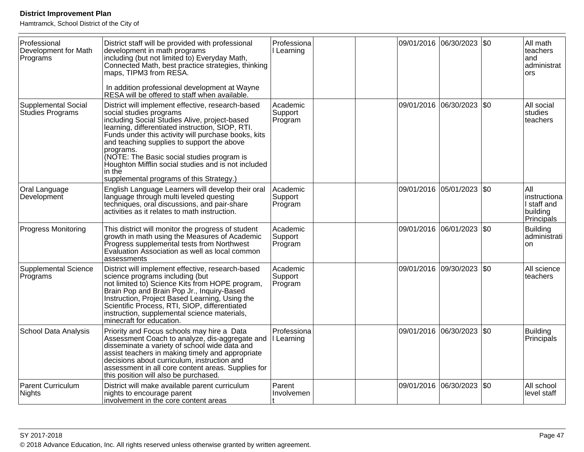| Professional<br>Development for Math<br>Programs | District staff will be provided with professional<br>development in math programs<br>including (but not limited to) Everyday Math,<br>Connected Math, best practice strategies, thinking<br>maps, TIPM3 from RESA.<br>In addition professional development at Wayne                                                                                                                                                                                                                                             | Professiona<br>Learning        |  | 09/01/2016 06/30/2023 \$0 |              | All math<br>teachers<br>and<br>administrat<br>ors            |
|--------------------------------------------------|-----------------------------------------------------------------------------------------------------------------------------------------------------------------------------------------------------------------------------------------------------------------------------------------------------------------------------------------------------------------------------------------------------------------------------------------------------------------------------------------------------------------|--------------------------------|--|---------------------------|--------------|--------------------------------------------------------------|
| Supplemental Social<br>Studies Programs          | RESA will be offered to staff when available.<br>District will implement effective, research-based<br>social studies programs<br>including Social Studies Alive, project-based<br>learning, differentiated instruction, SIOP, RTI.<br>Funds under this activity will purchase books, kits<br>and teaching supplies to support the above<br>programs.<br>(NOTE: The Basic social studies program is<br>Houghton Mifflin social studies and is not included<br>in the<br>supplemental programs of this Strategy.) | Academic<br>Support<br>Program |  | 09/01/2016 06/30/2023     | $ 30\rangle$ | All social<br>studies<br>teachers                            |
| Oral Language<br>Development                     | English Language Learners will develop their oral<br>language through multi leveled questing<br>techniques, oral discussions, and pair-share<br>activities as it relates to math instruction.                                                                                                                                                                                                                                                                                                                   | Academic<br>Support<br>Program |  | 09/01/2016 05/01/2023     | $ $ \$0      | All<br>instructiona<br>I staff and<br>building<br>Principals |
| <b>Progress Monitoring</b>                       | This district will monitor the progress of student<br>growth in math using the Measures of Academic<br>Progress supplemental tests from Northwest<br>Evaluation Association as well as local common<br>assessments                                                                                                                                                                                                                                                                                              | Academic<br>Support<br>Program |  | 09/01/2016 06/01/2023     | $ $ \$0      | <b>Building</b><br>administrati<br><b>on</b>                 |
| Supplemental Science<br>Programs                 | District will implement effective, research-based<br>science programs including (but<br>not limited to) Science Kits from HOPE program,<br>Brain Pop and Brain Pop Jr., Inquiry-Based<br>Instruction, Project Based Learning, Using the<br>Scientific Process, RTI, SIOP, differentiated<br>instruction, supplemental science materials,<br>minecraft for education.                                                                                                                                            | Academic<br>Support<br>Program |  | 09/01/2016 09/30/2023     | $ 30\rangle$ | All science<br>teachers                                      |
| School Data Analysis                             | Priority and Focus schools may hire a Data<br>Assessment Coach to analyze, dis-aggregate and<br>disseminate a variety of school wide data and<br>assist teachers in making timely and appropriate<br>decisions about curriculum, instruction and<br>assessment in all core content areas. Supplies for<br>this position will also be purchased.                                                                                                                                                                 | Professiona<br>I Learning      |  | 09/01/2016 06/30/2023     | \$0          | <b>Building</b><br>Principals                                |
| Parent Curriculum<br>Nights                      | District will make available parent curriculum<br>nights to encourage parent<br>involvement in the core content areas                                                                                                                                                                                                                                                                                                                                                                                           | Parent<br>Involvemen           |  | 09/01/2016 06/30/2023     | \$0          | All school<br>level staff                                    |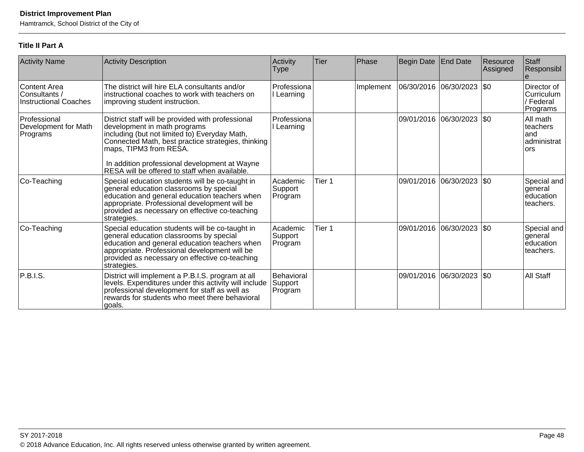Hamtramck, School District of the City of

# **Title II Part A**

| <b>Activity Name</b>                                          | <b>Activity Description</b>                                                                                                                                                                                                                                                                                          | Activity<br><b>Type</b>          | Tier   | Phase     | Begin Date End Date   |                           | Resource<br>Assigned | Staff<br>Responsibl                                 |
|---------------------------------------------------------------|----------------------------------------------------------------------------------------------------------------------------------------------------------------------------------------------------------------------------------------------------------------------------------------------------------------------|----------------------------------|--------|-----------|-----------------------|---------------------------|----------------------|-----------------------------------------------------|
| Content Area<br>Consultants /<br><b>Instructional Coaches</b> | The district will hire ELA consultants and/or<br>instructional coaches to work with teachers on<br>improving student instruction.                                                                                                                                                                                    | Professiona<br>I Learning        |        | Implement | 06/30/2016 06/30/2023 |                           | $\sqrt{50}$          | Director of<br> Curriculum<br>/ Federal<br>Programs |
| Professional<br>Development for Math<br>Programs              | District staff will be provided with professional<br>development in math programs<br>including (but not limited to) Everyday Math,<br>Connected Math, best practice strategies, thinking<br>maps, TIPM3 from RESA.<br>In addition professional development at Wayne<br>RESA will be offered to staff when available. | Professiona<br>Learning          |        |           |                       | 09/01/2016 06/30/2023 \$0 |                      | All math<br>teachers<br>and<br>administrat<br>lors  |
| Co-Teaching                                                   | Special education students will be co-taught in<br>general education classrooms by special<br>education and general education teachers when<br>appropriate. Professional development will be<br>provided as necessary on effective co-teaching<br>strategies.                                                        | Academic<br>Support<br>Program   | Tier 1 |           |                       | 09/01/2016 06/30/2023 \$0 |                      | Special and<br>general<br>education<br>teachers.    |
| Co-Teaching                                                   | Special education students will be co-taught in<br>general education classrooms by special<br>education and general education teachers when<br>appropriate. Professional development will be<br>provided as necessary on effective co-teaching<br>strategies.                                                        | Academic<br>Support<br>Program   | Tier 1 |           |                       | 09/01/2016 06/30/2023 \$0 |                      | Special and<br>general<br>education<br>lteachers.   |
| <b>P.B.I.S.</b>                                               | District will implement a P.B.I.S. program at all<br>levels. Expenditures under this activity will include<br>professional development for staff as well as<br>rewards for students who meet there behavioral<br>goals.                                                                                              | Behavioral<br>Support<br>Program |        |           |                       | 09/01/2016 06/30/2023     | $ \$0$               | <b>All Staff</b>                                    |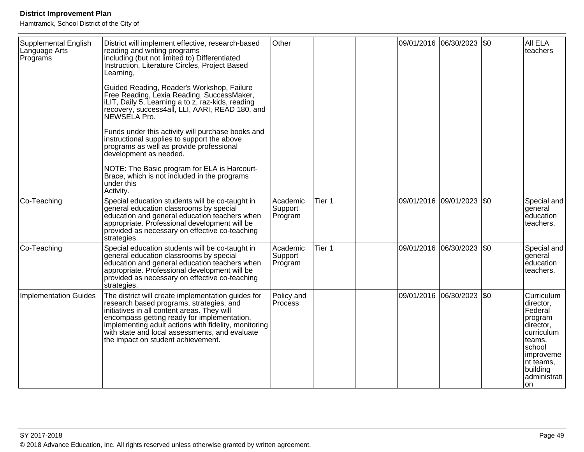| Supplemental English<br>Language Arts<br>Programs | District will implement effective, research-based<br>reading and writing programs<br>including (but not limited to) Differentiated<br>Instruction, Literature Circles, Project Based<br>Learning,                                                                                                                                            | Other                          |        |  | 09/01/2016 06/30/2023 \$0 | AII ELA<br>teachers                                                                                                                                          |
|---------------------------------------------------|----------------------------------------------------------------------------------------------------------------------------------------------------------------------------------------------------------------------------------------------------------------------------------------------------------------------------------------------|--------------------------------|--------|--|---------------------------|--------------------------------------------------------------------------------------------------------------------------------------------------------------|
|                                                   | Guided Reading, Reader's Workshop, Failure<br>Free Reading, Lexia Reading, SuccessMaker,<br>iLIT, Daily 5, Learning a to z, raz-kids, reading<br>recovery, success4all, LLI, AARI, READ 180, and<br>NEWSELA Pro.                                                                                                                             |                                |        |  |                           |                                                                                                                                                              |
|                                                   | Funds under this activity will purchase books and<br>instructional supplies to support the above<br>programs as well as provide professional<br>development as needed.                                                                                                                                                                       |                                |        |  |                           |                                                                                                                                                              |
|                                                   | NOTE: The Basic program for ELA is Harcourt-<br>Brace, which is not included in the programs<br>under this<br>Activity.                                                                                                                                                                                                                      |                                |        |  |                           |                                                                                                                                                              |
| Co-Teaching                                       | Special education students will be co-taught in<br>general education classrooms by special<br>education and general education teachers when<br>appropriate. Professional development will be<br>provided as necessary on effective co-teaching<br>strategies.                                                                                | Academic<br>Support<br>Program | Tier 1 |  | 09/01/2016 09/01/2023 \$0 | Special and<br>general<br>education<br>teachers.                                                                                                             |
| Co-Teaching                                       | Special education students will be co-taught in<br>general education classrooms by special<br>education and general education teachers when<br>appropriate. Professional development will be<br>provided as necessary on effective co-teaching<br>strategies.                                                                                | Academic<br>Support<br>Program | Tier 1 |  | 09/01/2016 06/30/2023 \$0 | Special and<br>general<br>education<br>teachers.                                                                                                             |
| Implementation Guides                             | The district will create implementation guides for<br>research based programs, strategies, and<br>initiatives in all content areas. They will<br>encompass getting ready for implementation,<br>implementing adult actions with fidelity, monitoring<br>with state and local assessments, and evaluate<br>the impact on student achievement. | Policy and<br><b>Process</b>   |        |  | 09/01/2016 06/30/2023 \$0 | Curriculum<br>director,<br>Federal<br> program<br>director,<br>curriculum<br>lteams.<br>school<br>improveme<br>nt teams,<br>building<br>administrati<br>lon. |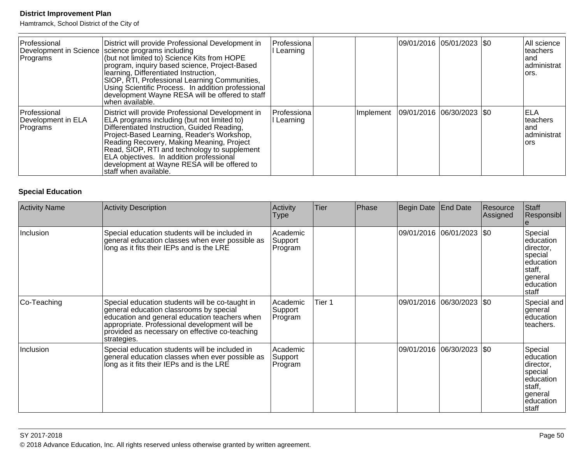Hamtramck, School District of the City of

| Professional<br>Programs                       | District will provide Professional Development in<br>Development in Science   science programs including<br>(but not limited to) Science Kits from HOPE<br>program, inquiry based science, Project-Based<br>learning, Differentiated Instruction,<br>SIOP, RTI, Professional Learning Communities,<br>Using Scientific Process. In addition professional<br>development Wayne RESA will be offered to staff<br>when available. | Professiona<br>Learning  |           | 09/01/2016  05/01/2023  \$0 |  | All science<br>Iteachers<br>land<br>administrat<br>lors. |
|------------------------------------------------|--------------------------------------------------------------------------------------------------------------------------------------------------------------------------------------------------------------------------------------------------------------------------------------------------------------------------------------------------------------------------------------------------------------------------------|--------------------------|-----------|-----------------------------|--|----------------------------------------------------------|
| Professional<br>Development in ELA<br>Programs | District will provide Professional Development in<br>ELA programs including (but not limited to)<br>Differentiated Instruction, Guided Reading,<br>Project-Based Learning, Reader's Workshop,<br>Reading Recovery, Making Meaning, Project<br>Read, SIOP, RTI and technology to supplement<br>ELA objectives. In addition professional<br>development at Wayne RESA will be offered to<br>staff when available.                | lProfessiona<br>Learning | Implement | 09/01/2016 06/30/2023 \$0   |  | ELA<br>lteachers<br>land<br>administrat<br>lors          |

# **Special Education**

| <b>Activity Name</b> | Activity Description                                                                                                                                                                                                                                          | Activity<br><b>Type</b>        | Tier   | Phase | Begin Date End Date |                             | Resource<br>Assigned | Staff<br>Responsibl                                                                                      |
|----------------------|---------------------------------------------------------------------------------------------------------------------------------------------------------------------------------------------------------------------------------------------------------------|--------------------------------|--------|-------|---------------------|-----------------------------|----------------------|----------------------------------------------------------------------------------------------------------|
| Inclusion            | Special education students will be included in<br>general education classes when ever possible as<br>long as it fits their IEPs and is the LRE                                                                                                                | Academic<br>Support<br>Program |        |       |                     | 09/01/2016 06/01/2023   \$0 |                      | Special<br>education<br>director,<br> special<br>leducation<br>staff,<br>lgeneral<br>education<br>Istaff |
| Co-Teaching          | Special education students will be co-taught in<br>general education classrooms by special<br>education and general education teachers when<br>appropriate. Professional development will be<br>provided as necessary on effective co-teaching<br>strategies. | Academic<br>Support<br>Program | Tier 1 |       | 09/01/2016          | 06/30/2023 \$0              |                      | Special and<br>general<br>leducation<br>teachers.                                                        |
| Inclusion            | Special education students will be included in<br>general education classes when ever possible as<br>long as it fits their IEPs and is the LRE                                                                                                                | Academic<br>Support<br>Program |        |       |                     | 09/01/2016 06/30/2023  \$0  |                      | Special<br>leducation<br>director,<br>special<br>leducation<br>staff,<br> general<br>education<br>staff  |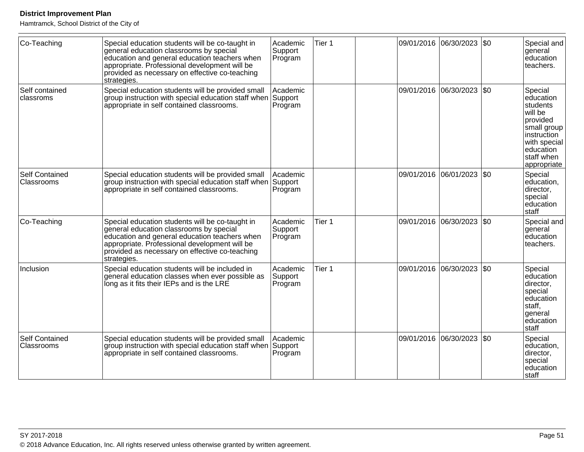| Co-Teaching                         | Special education students will be co-taught in<br>general education classrooms by special<br>education and general education teachers when<br>appropriate. Professional development will be<br>provided as necessary on effective co-teaching<br>strategies. | Academic<br>Support<br>Program | Tier 1 |            | 09/01/2016 06/30/2023 \$0 | Special and<br>general<br>education<br>teachers.                                                                                                                         |
|-------------------------------------|---------------------------------------------------------------------------------------------------------------------------------------------------------------------------------------------------------------------------------------------------------------|--------------------------------|--------|------------|---------------------------|--------------------------------------------------------------------------------------------------------------------------------------------------------------------------|
| Self contained<br>classroms         | Special education students will be provided small<br>group instruction with special education staff when Support<br>appropriate in self contained classrooms.                                                                                                 | Academic<br>Program            |        | 09/01/2016 | 06/30/2023   \$0          | Special<br>education<br>students<br>will be<br>provided<br>small group<br>$ $ instruction $\rule{1em}{0.15mm}$<br>with special<br>education<br>staff when<br>appropriate |
| <b>Self Contained</b><br>Classrooms | Special education students will be provided small<br>group instruction with special education staff when<br>appropriate in self contained classrooms.                                                                                                         | Academic<br>Support<br>Program |        | 09/01/2016 | 06/01/2023 \\$0           | Special<br>education,<br>director,<br>special<br>education<br>İstaff                                                                                                     |
| Co-Teaching                         | Special education students will be co-taught in<br>general education classrooms by special<br>education and general education teachers when<br>appropriate. Professional development will be<br>provided as necessary on effective co-teaching<br>strategies. | Academic<br>Support<br>Program | Tier 1 |            | 09/01/2016 06/30/2023 50  | Special and<br>general<br>education<br>teachers.                                                                                                                         |
| Inclusion                           | Special education students will be included in<br>general education classes when ever possible as<br>long as it fits their IEPs and is the LRE                                                                                                                | Academic<br>Support<br>Program | Tier 1 |            | 09/01/2016 06/30/2023 \$0 | Special<br>education<br>director,<br>special<br>education<br>staff,<br>general<br>education<br>staff                                                                     |
| <b>Self Contained</b><br>Classrooms | Special education students will be provided small<br>group instruction with special education staff when Support<br>appropriate in self contained classrooms.                                                                                                 | Academic<br>Program            |        | 09/01/2016 | 06/30/2023 \\$0           | Special<br>education,<br>director,<br>special<br>education<br><b>Staff</b>                                                                                               |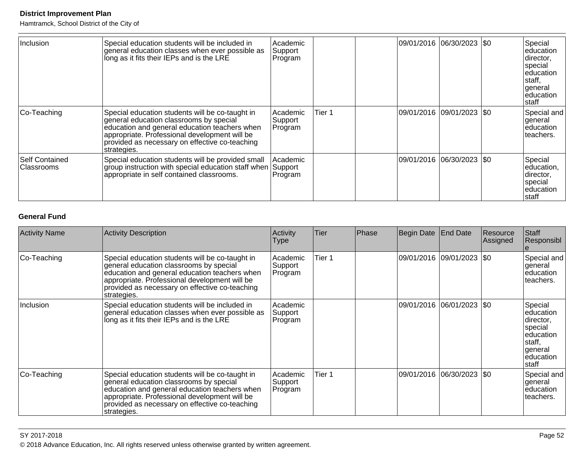Hamtramck, School District of the City of

| Inclusion                           | Special education students will be included in<br>general education classes when ever possible as<br>long as it fits their IEPs and is the LRE                                                                                                                | Academic<br>Support<br>Program |        | 09/01/2016  06/30/2023  \$0 | Special<br>education<br>director,<br> special <br>leducation<br>staff,<br>general<br>leducation<br>staff |
|-------------------------------------|---------------------------------------------------------------------------------------------------------------------------------------------------------------------------------------------------------------------------------------------------------------|--------------------------------|--------|-----------------------------|----------------------------------------------------------------------------------------------------------|
| Co-Teaching                         | Special education students will be co-taught in<br>general education classrooms by special<br>education and general education teachers when<br>appropriate. Professional development will be<br>provided as necessary on effective co-teaching<br>strategies. | Academic<br>Support<br>Program | Tier 1 | 09/01/2016  09/01/2023  \$0 | Special and<br>lgeneral<br>leducation<br>lteachers.                                                      |
| <b>Self Contained</b><br>Classrooms | Special education students will be provided small<br>group instruction with special education staff when Support<br>appropriate in self contained classrooms.                                                                                                 | l Academic<br>Program          |        | 09/01/2016 06/30/2023  \$0  | Special<br>leducation,<br>director,<br>special<br>Ieducation<br> staff                                   |

# **General Fund**

| <b>Activity Name</b> | <b>Activity Description</b>                                                                                                                                                                                                                                   | <b>Activity</b><br><b>Type</b> | <b>Tier</b> | <b>Phase</b> | Begin Date | <b>End Date</b>           | Resource<br> Assigned | Staff<br> Responsibl_                                                                                       |
|----------------------|---------------------------------------------------------------------------------------------------------------------------------------------------------------------------------------------------------------------------------------------------------------|--------------------------------|-------------|--------------|------------|---------------------------|-----------------------|-------------------------------------------------------------------------------------------------------------|
| Co-Teaching          | Special education students will be co-taught in<br>general education classrooms by special<br>education and general education teachers when<br>appropriate. Professional development will be<br>provided as necessary on effective co-teaching<br>strategies. | Academic<br>Support<br>Program | Tier 1      |              |            | 09/01/2016 09/01/2023 \$0 |                       | Special and<br> general<br>leducation<br>lteachers.                                                         |
| <b>Inclusion</b>     | Special education students will be included in<br>general education classes when ever possible as<br>long as it fits their IEPs and is the LRE                                                                                                                | Academic<br>Support<br>Program |             |              |            | 09/01/2016 06/01/2023 \$0 |                       | Special<br>leducation<br>director,<br> special<br>leducation<br>Istaff,<br> general<br>leducation<br>Istaff |
| Co-Teaching          | Special education students will be co-taught in<br>general education classrooms by special<br>education and general education teachers when<br>appropriate. Professional development will be<br>provided as necessary on effective co-teaching<br>strategies. | Academic<br>Support<br>Program | Tier 1      |              |            | 09/01/2016 06/30/2023 \$0 |                       | Special and<br> general<br>education<br>lteachers.                                                          |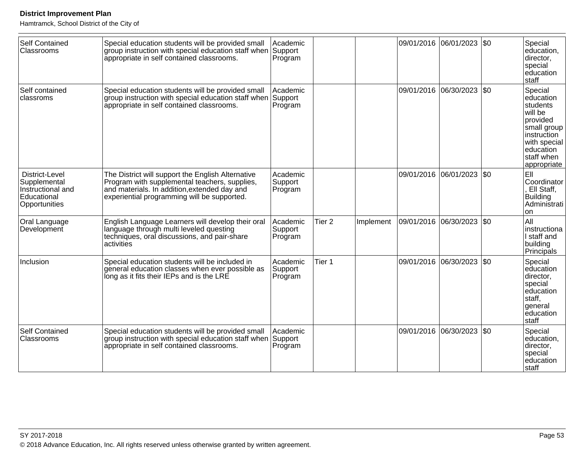| <b>Self Contained</b><br>Classrooms                                                 | Special education students will be provided small<br>group instruction with special education staff when Support<br>appropriate in self contained classrooms.                                     | Academic<br>Program            |                   |           |                       | 09/01/2016 06/01/2023 | \$0 | Special<br>education,<br>director,<br>special<br>education<br>staff                                                                             |
|-------------------------------------------------------------------------------------|---------------------------------------------------------------------------------------------------------------------------------------------------------------------------------------------------|--------------------------------|-------------------|-----------|-----------------------|-----------------------|-----|-------------------------------------------------------------------------------------------------------------------------------------------------|
| Self contained<br>classroms                                                         | Special education students will be provided small<br>group instruction with special education staff when Support<br>appropriate in self contained classrooms.                                     | Academic<br>Program            |                   |           | 09/01/2016            | 06/30/2023            | \$0 | Special<br>education<br>students<br>will be<br>provided<br>small group<br>instruction<br>with special<br>education<br>staff when<br>appropriate |
| District-Level<br>Supplemental<br>Instructional and<br>Educational<br>Opportunities | The District will support the English Alternative<br>Program with supplemental teachers, supplies,<br>and materials. In addition, extended day and<br>experiential programming will be supported. | Academic<br>Support<br>Program |                   |           |                       | 09/01/2016 06/01/2023 | \$0 | EII<br>Coordinator<br>, Ell Staff,<br><b>Building</b><br>Administrati<br><b>on</b>                                                              |
| Oral Language<br>Development                                                        | English Language Learners will develop their oral<br>language through multi leveled questing<br>techniques, oral discussions, and pair-share<br>activities                                        | Academic<br>Support<br>Program | Tier <sub>2</sub> | Implement | 09/01/2016 06/30/2023 |                       | \$0 | All<br>instructiona<br>I staff and<br>building<br>Principals                                                                                    |
| Inclusion                                                                           | Special education students will be included in<br>general education classes when ever possible as<br>long as it fits their IEPs and is the LRE                                                    | Academic<br>Support<br>Program | Tier 1            |           | 09/01/2016            | 06/30/2023            | \$0 | Special<br>education<br>director,<br>special<br>education<br>staff,<br>general<br>education<br>staff                                            |
| <b>Self Contained</b><br>Classrooms                                                 | Special education students will be provided small<br>group instruction with special education staff when Support<br>appropriate in self contained classrooms.                                     | Academic<br>Program            |                   |           | 09/01/2016            | 06/30/2023            | \$0 | Special<br>education,<br>director,<br>special<br>education<br><b>Istaff</b>                                                                     |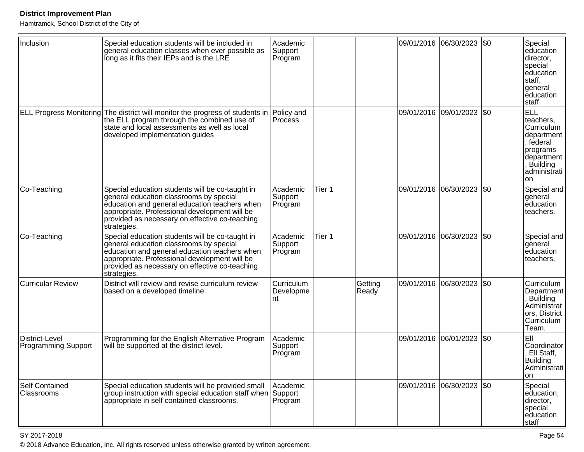Hamtramck, School District of the City of

| Inclusion                                    | Special education students will be included in<br>general education classes when ever possible as<br>long as it fits their IEPs and is the LRE                                                                                                                | Academic<br>Support<br>Program |        |                  |            | 09/01/2016 06/30/2023 \$0   |             | Special<br>education<br>director,<br>special<br>education<br>staff,<br>general<br>education<br>staff                                       |
|----------------------------------------------|---------------------------------------------------------------------------------------------------------------------------------------------------------------------------------------------------------------------------------------------------------------|--------------------------------|--------|------------------|------------|-----------------------------|-------------|--------------------------------------------------------------------------------------------------------------------------------------------|
|                                              | ELL Progress Monitoring The district will monitor the progress of students in<br>the ELL program through the combined use of<br>state and local assessments as well as local<br>developed implementation guides                                               | Policy and<br><b>Process</b>   |        |                  |            | 09/01/2016 09/01/2023 \$0   |             | <b>ELL</b><br>teachers,<br>Curriculum<br>department<br>, federal<br>programs<br>department<br><b>Building</b><br>administrati<br><b>on</b> |
| Co-Teaching                                  | Special education students will be co-taught in<br>general education classrooms by special<br>education and general education teachers when<br>appropriate. Professional development will be<br>provided as necessary on effective co-teaching<br>strategies. | Academic<br>Support<br>Program | Tier 1 |                  |            | 09/01/2016 06/30/2023 \$0   |             | Special and<br>general<br>education<br>teachers.                                                                                           |
| Co-Teaching                                  | Special education students will be co-taught in<br>general education classrooms by special<br>education and general education teachers when<br>appropriate. Professional development will be<br>provided as necessary on effective co-teaching<br>strategies. | Academic<br>Support<br>Program | Tier 1 |                  |            | 09/01/2016 06/30/2023       | $\sqrt{50}$ | Special and<br>general<br>education<br>teachers.                                                                                           |
| <b>Curricular Review</b>                     | District will review and revise curriculum review<br>based on a developed timeline.                                                                                                                                                                           | Curriculum<br>Developme<br>nt  |        | Getting<br>Ready | 09/01/2016 | 06/30/2023                  | $ $ \$0     | Curriculum<br>Department<br>Building<br>Administrat<br>ors, District<br>Curriculum<br>Team.                                                |
| District-Level<br><b>Programming Support</b> | Programming for the English Alternative Program<br>will be supported at the district level.                                                                                                                                                                   | Academic<br>Support<br>Program |        |                  |            | 09/01/2016 06/01/2023       | \$0         | EII<br>Coordinator<br>Ell Staff,<br>Building<br>Administrati<br>on                                                                         |
| Self Contained<br>Classrooms                 | Special education students will be provided small<br>group instruction with special education staff when Support<br>appropriate in self contained classrooms.                                                                                                 | Academic<br>Program            |        |                  |            | 09/01/2016 06/30/2023   \$0 |             | Special<br>education,<br>director,<br>special<br>education<br>staff                                                                        |

en and the set of the set of the set of the set of the set of the set of the set of the set of the set of the set of the set of the set of the set of the set of the set of the set of the set of the set of the set of the se © 2018 Advance Education, Inc. All rights reserved unless otherwise granted by written agreement.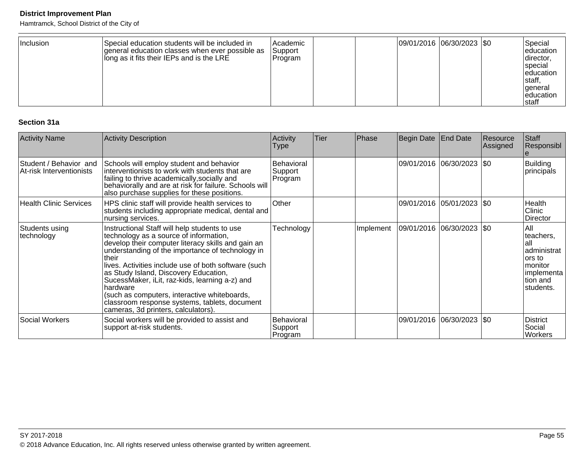Hamtramck, School District of the City of

| Inclusion | Special education students will be included in<br>Igeneral education classes when ever possible as<br>long as it fits their IEPs and is the LRE | l Academic<br><b>Support</b><br> Program |  |  | 09/01/2016 06/30/2023 \$0 |  | Special<br>leducation<br> director,<br><b>Special</b><br>leducation<br>Istaff,<br>general<br>leducation<br>Istaff |
|-----------|-------------------------------------------------------------------------------------------------------------------------------------------------|------------------------------------------|--|--|---------------------------|--|-------------------------------------------------------------------------------------------------------------------|
|-----------|-------------------------------------------------------------------------------------------------------------------------------------------------|------------------------------------------|--|--|---------------------------|--|-------------------------------------------------------------------------------------------------------------------|

### **Section 31a**

| <b>Activity Name</b>                               | Activity Description                                                                                                                                                                                                                                                                                                                                                                                                                                                                                                | Activity<br>Type                        | <b>Tier</b> | Phase     | Begin Date                | <b>End Date</b>             | Resource<br>Assigned | Staff<br>Responsibl                                                                                    |
|----------------------------------------------------|---------------------------------------------------------------------------------------------------------------------------------------------------------------------------------------------------------------------------------------------------------------------------------------------------------------------------------------------------------------------------------------------------------------------------------------------------------------------------------------------------------------------|-----------------------------------------|-------------|-----------|---------------------------|-----------------------------|----------------------|--------------------------------------------------------------------------------------------------------|
| Student / Behavior and<br>At-risk Interventionists | Schools will employ student and behavior<br>interventionists to work with students that are<br>failing to thrive academically, socially and<br>behaviorally and are at risk for failure. Schools will<br>also purchase supplies for these positions.                                                                                                                                                                                                                                                                | <b>Behavioral</b><br>Support<br>Program |             |           |                           | 09/01/2016 06/30/2023   \$0 |                      | <b>Building</b><br>principals                                                                          |
| <b>Health Clinic Services</b>                      | HPS clinic staff will provide health services to<br>students including appropriate medical, dental and<br>nursing services.                                                                                                                                                                                                                                                                                                                                                                                         | Other                                   |             |           |                           | 09/01/2016 05/01/2023   \$0 |                      | Health<br>Clinic<br>Director                                                                           |
| Students using<br>technology                       | Instructional Staff will help students to use<br>technology as a source of information,<br>develop their computer literacy skills and gain an<br>understanding of the importance of technology in<br>Itheir<br>lives. Activities include use of both software (such<br>as Study Island, Discovery Education,<br>SucessMaker, iLit, raz-kids, learning a-z) and<br>Ihardware<br>(such as computers, interactive whiteboards,<br>classroom response systems, tablets, document<br>cameras, 3d printers, calculators). | Technology                              |             | Implement | 09/01/2016 06/30/2023 \$0 |                             |                      | All<br>teachers,<br>lall<br>administrat<br>lors to<br>lmonitor<br>implementa<br>Ition and<br>students. |
| <b>Social Workers</b>                              | Social workers will be provided to assist and<br>support at-risk students.                                                                                                                                                                                                                                                                                                                                                                                                                                          | Behavioral<br>Support<br>Program        |             |           |                           | 09/01/2016 06/30/2023   \$0 |                      | <b>District</b><br>Social<br><b>Workers</b>                                                            |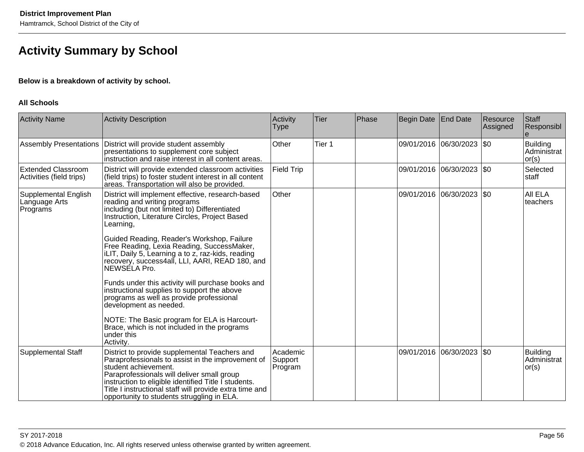# **Activity Summary by School**

### **Below is a breakdown of activity by school.**

#### **All Schools**

| <b>Activity Name</b>                                  | <b>Activity Description</b>                                                                                                                                                                                                                                                                                                               | Activity<br>Type               | <b>Tier</b> | Phase | Begin Date | End Date                    | Resource<br>Assigned | Staff<br>Responsibl                     |
|-------------------------------------------------------|-------------------------------------------------------------------------------------------------------------------------------------------------------------------------------------------------------------------------------------------------------------------------------------------------------------------------------------------|--------------------------------|-------------|-------|------------|-----------------------------|----------------------|-----------------------------------------|
| <b>Assembly Presentations</b>                         | District will provide student assembly<br>presentations to supplement core subject<br>instruction and raise interest in all content areas.                                                                                                                                                                                                | Other                          | Tier 1      |       |            | 09/01/2016 06/30/2023       | \$0                  | <b>Building</b><br>Administrat<br>or(s) |
| <b>Extended Classroom</b><br>Activities (field trips) | District will provide extended classroom activities<br>(field trips) to foster student interest in all content<br>areas. Transportation will also be provided.                                                                                                                                                                            | <b>Field Trip</b>              |             |       |            | 09/01/2016 06/30/2023   \$0 |                      | Selected<br> staff                      |
| Supplemental English<br>Language Arts<br>Programs     | District will implement effective, research-based<br>reading and writing programs<br>including (but not limited to) Differentiated<br>Instruction, Literature Circles, Project Based<br>Learning,                                                                                                                                         | Other                          |             |       |            | 09/01/2016 06/30/2023       | \$0                  | All ELA<br>teachers                     |
|                                                       | Guided Reading, Reader's Workshop, Failure<br>Free Reading, Lexia Reading, SuccessMaker,<br>ILIT, Daily 5, Learning a to z, raz-kids, reading<br>recovery, success4all, LLI, AARI, READ 180, and<br>NEWSÉLA Pro.                                                                                                                          |                                |             |       |            |                             |                      |                                         |
|                                                       | Funds under this activity will purchase books and<br>instructional supplies to support the above<br>programs as well as provide professional<br>development as needed.                                                                                                                                                                    |                                |             |       |            |                             |                      |                                         |
|                                                       | NOTE: The Basic program for ELA is Harcourt-<br>Brace, which is not included in the programs<br>under this<br>Activity.                                                                                                                                                                                                                   |                                |             |       |            |                             |                      |                                         |
| <b>Supplemental Staff</b>                             | District to provide supplemental Teachers and<br>Paraprofessionals to assist in the improvement of<br>student achievement.<br>Paraprofessionals will deliver small group<br>instruction to eligible identified Title l students.<br>Title I instructional staff will provide extra time and<br>opportunity to students struggling in ELA. | Academic<br>Support<br>Program |             |       |            | 09/01/2016 06/30/2023       | \$0                  | <b>Building</b><br>Administrat<br>or(s) |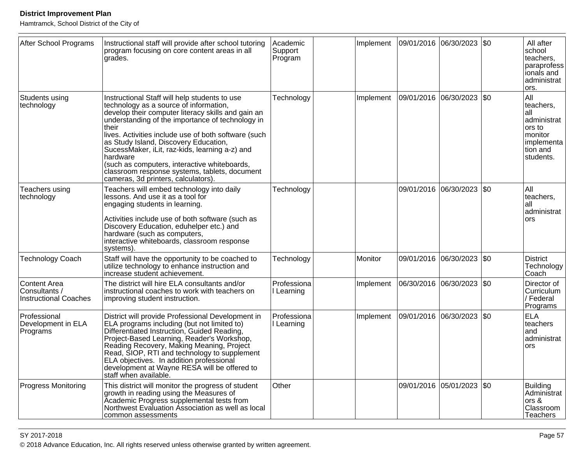Hamtramck, School District of the City of

| After School Programs                                         | Instructional staff will provide after school tutoring<br>program focusing on core content areas in all<br>grades.                                                                                                                                                                                                                                                                                                                                                                                                | Academic<br>Support<br>Program | Implement | 09/01/2016 06/30/2023 \$0 |                           |              | All after<br>school<br>teachers,<br>paraprofess<br>ionals and<br>administrat<br>ors.                   |
|---------------------------------------------------------------|-------------------------------------------------------------------------------------------------------------------------------------------------------------------------------------------------------------------------------------------------------------------------------------------------------------------------------------------------------------------------------------------------------------------------------------------------------------------------------------------------------------------|--------------------------------|-----------|---------------------------|---------------------------|--------------|--------------------------------------------------------------------------------------------------------|
| Students using<br>technology                                  | Instructional Staff will help students to use<br>technology as a source of information,<br>develop their computer literacy skills and gain an<br>understanding of the importance of technology in<br>their<br>lives. Activities include use of both software (such<br>as Study Island, Discovery Education,<br>SucessMaker, iLit, raz-kids, learning a-z) and<br>hardware<br>(such as computers, interactive whiteboards,<br>classroom response systems, tablets, document<br>cameras, 3d printers, calculators). | Technology                     | Implement |                           | 09/01/2016 06/30/2023     | \$0          | All<br>teachers,<br>all<br>administrat<br>ors to<br>l monitor<br> implementa<br>tion and<br>Istudents. |
| Teachers using<br>technology                                  | Teachers will embed technology into daily<br>lessons. And use it as a tool for<br>engaging students in learning.<br>Activities include use of both software (such as<br>Discovery Education, eduhelper etc.) and<br>hardware (such as computers,<br>interactive whiteboards, classroom response<br>systems).                                                                                                                                                                                                      | Technology                     |           |                           | 09/01/2016 06/30/2023     | I\$0         | All<br>teachers,<br>lall<br>administrat<br>ors                                                         |
| Technology Coach                                              | Staff will have the opportunity to be coached to<br>utilize technology to enhance instruction and<br>increase student achievement.                                                                                                                                                                                                                                                                                                                                                                                | Technology                     | Monitor   |                           | 09/01/2016 06/30/2023 \$0 |              | <b>District</b><br>Technology<br>Coach                                                                 |
| Content Area<br>Consultants /<br><b>Instructional Coaches</b> | The district will hire ELA consultants and/or<br>instructional coaches to work with teachers on<br>improving student instruction.                                                                                                                                                                                                                                                                                                                                                                                 | Professiona<br>I Learning      | Implement | 06/30/2016                | 06/30/2023                | <b>\$0</b>   | Director of<br>Curriculum<br>/ Federal<br>Programs                                                     |
| Professional<br>Development in ELA<br>Programs                | District will provide Professional Development in<br>ELA programs including (but not limited to)<br>Differentiated Instruction, Guided Reading,<br>Project-Based Learning, Reader's Workshop,<br>Reading Recovery, Making Meaning, Project<br>Read, SIOP, RTI and technology to supplement<br>ELA objectives. In addition professional<br>development at Wayne RESA will be offered to<br>staff when available.                                                                                                   | Professiona<br>Learning        | Implement | 09/01/2016                | 06/30/2023                | <b>SO</b>    | ELA<br>teachers<br>land<br>administrat<br>ors                                                          |
| <b>Progress Monitoring</b>                                    | This district will monitor the progress of student<br>growth in reading using the Measures of<br>Academic Progress supplemental tests from<br>Northwest Evaluation Association as well as local<br>common assessments                                                                                                                                                                                                                                                                                             | Other                          |           | 09/01/2016                | 05/01/2023                | $ 30\rangle$ | Building<br>Administrat<br>$ors 8$<br>Classroom<br><b>Teachers</b>                                     |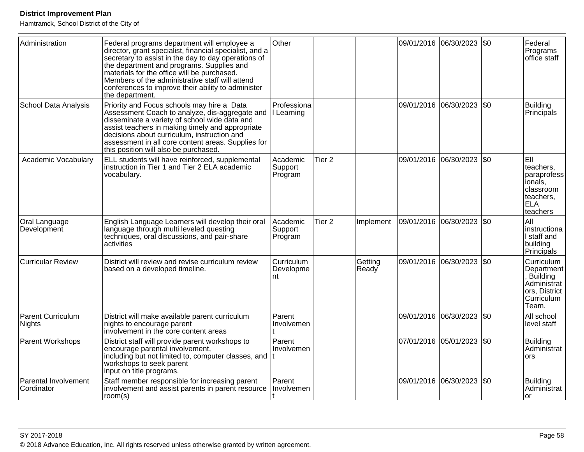| Administration                            | Federal programs department will employee a<br>director, grant specialist, financial specialist, and a<br>secretary to assist in the day to day operations of<br>the department and programs. Supplies and<br>materials for the office will be purchased.<br>Members of the administrative staff will attend<br>conferences to improve their ability to administer<br>the department. | Other                          |                   |                  |            | 09/01/2016 06/30/2023     | \$0  | Federal<br>Programs<br>office staff                                                            |
|-------------------------------------------|---------------------------------------------------------------------------------------------------------------------------------------------------------------------------------------------------------------------------------------------------------------------------------------------------------------------------------------------------------------------------------------|--------------------------------|-------------------|------------------|------------|---------------------------|------|------------------------------------------------------------------------------------------------|
| <b>School Data Analysis</b>               | Priority and Focus schools may hire a Data<br>Assessment Coach to analyze, dis-aggregate and<br>disseminate a variety of school wide data and<br>assist teachers in making timely and appropriate<br>decisions about curriculum, instruction and<br>assessment in all core content areas. Supplies for<br>this position will also be purchased.                                       | Professiona<br>Learning        |                   |                  | 09/01/2016 | 06/30/2023                | \$0  | <b>Building</b><br>Principals                                                                  |
| Academic Vocabulary                       | ELL students will have reinforced, supplemental<br>instruction in Tier 1 and Tier 2 ELA academic<br>vocabulary.                                                                                                                                                                                                                                                                       | Academic<br>Support<br>Program | Tier <sub>2</sub> |                  |            | 09/01/2016 06/30/2023     | l\$0 | EII<br>teachers.<br>paraprofess<br>ionals.<br>classroom<br>teachers.<br><b>ELA</b><br>teachers |
| Oral Language<br>Development              | English Language Learners will develop their oral<br>language through multi leveled questing<br>techniques, oral discussions, and pair-share<br>activities                                                                                                                                                                                                                            | Academic<br>Support<br>Program | Tier <sub>2</sub> | Implement        | 09/01/2016 | 06/30/2023                | \$0  | All<br>instructiona<br>I staff and<br>building<br>Principals                                   |
| <b>Curricular Review</b>                  | District will review and revise curriculum review<br>based on a developed timeline.                                                                                                                                                                                                                                                                                                   | Curriculum<br>Developme<br>nt  |                   | Getting<br>Ready |            | 09/01/2016 06/30/2023     | l\$0 | Curriculum<br>Department<br>Building<br>Administrat<br>ors, District<br>Curriculum<br>Team.    |
| <b>Parent Curriculum</b><br><b>Nights</b> | District will make available parent curriculum<br>nights to encourage parent<br>involvement in the core content areas                                                                                                                                                                                                                                                                 | Parent<br>Involvemen           |                   |                  |            | 09/01/2016 06/30/2023     | \$0  | All school<br>level staff                                                                      |
| <b>Parent Workshops</b>                   | District staff will provide parent workshops to<br>encourage parental involvement,<br>including but not limited to, computer classes, and<br>workshops to seek parent<br>input on title programs.                                                                                                                                                                                     | Parent<br>Involvemen           |                   |                  |            | 07/01/2016 05/01/2023 \$0 |      | <b>Building</b><br>Administrat<br><b>ors</b>                                                   |
| Parental Involvement<br>Cordinator        | Staff member responsible for increasing parent<br>involvement and assist parents in parent resource<br>room(s)                                                                                                                                                                                                                                                                        | Parent<br>Involvemen           |                   |                  |            | 09/01/2016 06/30/2023     | \$0  | <b>Building</b><br>Administrat<br>lor                                                          |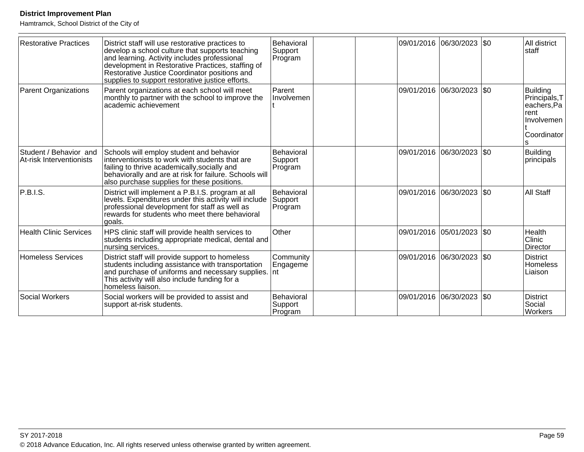| <b>Restorative Practices</b>                       | District staff will use restorative practices to<br>develop a school culture that supports teaching<br>and learning. Activity includes professional<br>development in Restorative Practices, staffing of<br>Restorative Justice Coordinator positions and<br>supplies to support restorative justice efforts. | Behavioral<br>Support<br>Program |  | 09/01/2016 06/30/2023 \$0   |     | All district<br>staff                                                                     |
|----------------------------------------------------|---------------------------------------------------------------------------------------------------------------------------------------------------------------------------------------------------------------------------------------------------------------------------------------------------------------|----------------------------------|--|-----------------------------|-----|-------------------------------------------------------------------------------------------|
| <b>Parent Organizations</b>                        | Parent organizations at each school will meet<br>monthly to partner with the school to improve the<br>academic achievement                                                                                                                                                                                    | Parent<br>Involvemen             |  | 09/01/2016 06/30/2023       | \$0 | <b>Building</b><br>Principals, T<br>eachers, Pa<br>rent<br>Involvemen<br>Coordinator<br>s |
| Student / Behavior and<br>At-risk Interventionists | Schools will employ student and behavior<br>interventionists to work with students that are<br>failing to thrive academically, socially and<br>behaviorally and are at risk for failure. Schools will<br>also purchase supplies for these positions.                                                          | Behavioral<br>Support<br>Program |  | 09/01/2016 06/30/2023 \$0   |     | <b>Building</b><br>principals                                                             |
| P.B.I.S.                                           | District will implement a P.B.I.S. program at all<br>levels. Expenditures under this activity will include<br>professional development for staff as well as<br>rewards for students who meet there behavioral<br>goals.                                                                                       | Behavioral<br>Support<br>Program |  | 09/01/2016 06/30/2023       | \$0 | All Staff                                                                                 |
| <b>Health Clinic Services</b>                      | HPS clinic staff will provide health services to<br>students including appropriate medical, dental and<br>nursing services.                                                                                                                                                                                   | Other                            |  | 09/01/2016 05/01/2023       | \$0 | Health<br>Clinic<br><b>Director</b>                                                       |
| Homeless Services                                  | District staff will provide support to homeless<br>students including assistance with transportation<br>and purchase of uniforms and necessary supplies.<br>This activity will also include funding for a<br>homeless liaison.                                                                                | Community<br>Engageme<br>Int     |  | 09/01/2016  06/30/2023  \$0 |     | <b>District</b><br><b>Homeless</b><br>Liaison                                             |
| Social Workers                                     | Social workers will be provided to assist and<br>support at-risk students.                                                                                                                                                                                                                                    | Behavioral<br>Support<br>Program |  | 09/01/2016 06/30/2023       | \$0 | <b>District</b><br>Social<br><b>Workers</b>                                               |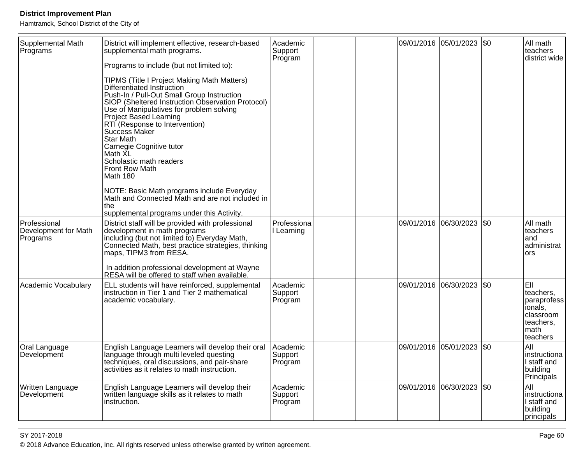Hamtramck, School District of the City of

| Supplemental Math<br>Programs                    | District will implement effective, research-based<br>supplemental math programs.<br>Programs to include (but not limited to):<br><b>TIPMS (Title I Project Making Math Matters)</b><br>Differentiated Instruction<br>Push-In / Pull-Out Small Group Instruction<br>SIOP (Sheltered Instruction Observation Protocol)<br>Use of Manipulatives for problem solving<br><b>Project Based Learning</b><br>RTI (Response to Intervention)<br>Success Maker<br>Star Math<br>Carnegie Cognitive tutor<br>Math XL<br>Scholastic math readers<br><b>Front Row Math</b><br>Math 180<br>NOTE: Basic Math programs include Everyday<br>Math and Connected Math and are not included in<br>the<br>supplemental programs under this Activity. | Academic<br>Support<br>Program |                       | 09/01/2016 05/01/2023 \$0 |           | All math<br>teachers<br>district wide                                                    |
|--------------------------------------------------|--------------------------------------------------------------------------------------------------------------------------------------------------------------------------------------------------------------------------------------------------------------------------------------------------------------------------------------------------------------------------------------------------------------------------------------------------------------------------------------------------------------------------------------------------------------------------------------------------------------------------------------------------------------------------------------------------------------------------------|--------------------------------|-----------------------|---------------------------|-----------|------------------------------------------------------------------------------------------|
| Professional<br>Development for Math<br>Programs | District staff will be provided with professional<br>development in math programs<br>including (but not limited to) Everyday Math,<br>Connected Math, best practice strategies, thinking<br>maps, TIPM3 from RESA.<br>In addition professional development at Wayne<br>RESA will be offered to staff when available.                                                                                                                                                                                                                                                                                                                                                                                                           | Professiona<br>Learning        | 09/01/2016 06/30/2023 |                           | \$0       | All math<br>teachers<br>land<br>ladministrat<br>ors                                      |
| Academic Vocabulary                              | ELL students will have reinforced, supplemental<br>instruction in Tier 1 and Tier 2 mathematical<br>academic vocabulary.                                                                                                                                                                                                                                                                                                                                                                                                                                                                                                                                                                                                       | Academic<br>Support<br>Program | 09/01/2016 06/30/2023 |                           | <b>SO</b> | EII<br>teachers,<br>paraprofess<br>ionals,<br>classroom<br>teachers,<br>math<br>teachers |
| Oral Language<br>Development                     | English Language Learners will develop their oral<br>language through multi leveled questing<br>techniques, oral discussions, and pair-share<br>activities as it relates to math instruction.                                                                                                                                                                                                                                                                                                                                                                                                                                                                                                                                  | Academic<br>Support<br>Program | 09/01/2016 05/01/2023 |                           | <b>SO</b> | All<br>instructiona<br>I staff and<br>building<br>Principals                             |
| Written Language<br>Development                  | English Language Learners will develop their<br>written language skills as it relates to math<br>instruction.                                                                                                                                                                                                                                                                                                                                                                                                                                                                                                                                                                                                                  | Academic<br>Support<br>Program |                       | 09/01/2016 06/30/2023     | \$0       | All<br>instructiona<br>I staff and<br>building<br>principals                             |

entities are the contract of the contract of the contract of the contract of the contract of the contract of the contract of the contract of the contract of the contract of the contract of the contract of the contract of t © 2018 Advance Education, Inc. All rights reserved unless otherwise granted by written agreement.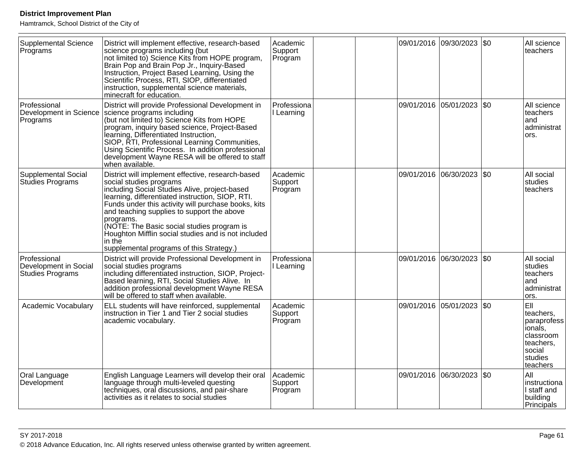| <b>Supplemental Science</b><br>Programs                   | District will implement effective, research-based<br>science programs including (but<br>not limited to) Science Kits from HOPE program,<br>Brain Pop and Brain Pop Jr., Inquiry-Based<br>Instruction, Project Based Learning, Using the<br>Scientific Process, RTI, SIOP, differentiated<br>instruction, supplemental science materials,<br>minecraft for education.                                                                                           | Academic<br>Support<br>Program |  | 09/01/2016 09/30/2023 \$0   |             | All science<br>teachers                                                                               |
|-----------------------------------------------------------|----------------------------------------------------------------------------------------------------------------------------------------------------------------------------------------------------------------------------------------------------------------------------------------------------------------------------------------------------------------------------------------------------------------------------------------------------------------|--------------------------------|--|-----------------------------|-------------|-------------------------------------------------------------------------------------------------------|
| Professional<br>Development in Science<br>Programs        | District will provide Professional Development in<br>science programs including<br>(but not limited to) Science Kits from HOPE<br>program, inquiry based science, Project-Based<br>learning, Differentiated Instruction,<br>SIOP, RTI, Professional Learning Communities,<br>Using Scientific Process. In addition professional<br>development Wayne RESA will be offered to staff<br>when available.                                                          | Professiona<br>I Learning      |  | 09/01/2016 05/01/2023       | $\sqrt{50}$ | All science<br>teachers<br>and<br>administrat<br>ors.                                                 |
| Supplemental Social<br>Studies Programs                   | District will implement effective, research-based<br>social studies programs<br>including Social Studies Alive, project-based<br>learning, differentiated instruction, SIOP, RTI.<br>Funds under this activity will purchase books, kits<br>and teaching supplies to support the above<br>programs.<br>(NOTE: The Basic social studies program is<br>Houghton Mifflin social studies and is not included<br>in the<br>supplemental programs of this Strategy.) | Academic<br>Support<br>Program |  | 09/01/2016  06/30/2023  \$0 |             | All social<br>studies<br>teachers                                                                     |
| Professional<br>Development in Social<br>Studies Programs | District will provide Professional Development in<br>social studies programs<br>including differentiated instruction, SIOP, Project-<br>Based learning, RTI, Social Studies Alive. In<br>addition professional development Wayne RESA<br>will be offered to staff when available.                                                                                                                                                                              | Professiona<br>I Learning      |  | 09/01/2016 06/30/2023 \$0   |             | All social<br>studies<br>teachers<br>and<br>administrat<br>ors.                                       |
| Academic Vocabulary                                       | ELL students will have reinforced, supplemental<br>instruction in Tier 1 and Tier 2 social studies<br>academic vocabulary.                                                                                                                                                                                                                                                                                                                                     | Academic<br>Support<br>Program |  | 09/01/2016 05/01/2023       | <b>SO</b>   | EII<br>teachers.<br>paraprofess<br>ionals,<br>classroom<br>teachers,<br>social<br>studies<br>teachers |
| Oral Language<br>Development                              | English Language Learners will develop their oral<br>language through multi-leveled questing<br>techniques, oral discussions, and pair-share<br>activities as it relates to social studies                                                                                                                                                                                                                                                                     | Academic<br>Support<br>Program |  | 09/01/2016 06/30/2023       | \$0         | All<br>instructiona<br>I staff and<br>building<br>Principals                                          |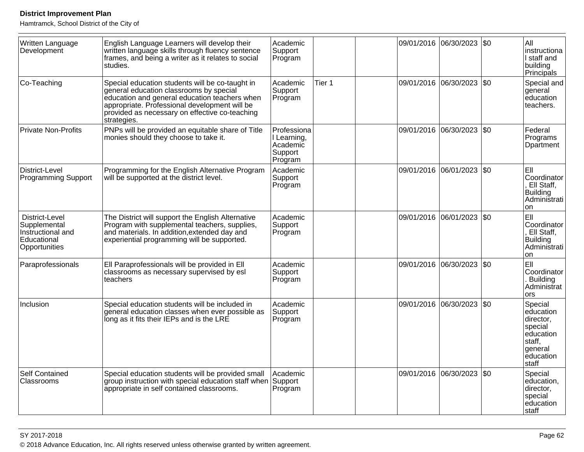| Written Language<br>Development                                                     | English Language Learners will develop their<br>written language skills through fluency sentence<br>frames, and being a writer as it relates to social<br>studies.                                                                                            | Academic<br>Support<br>Program                               |        | 09/01/2016 06/30/2023 \$0   | All<br>instructiona<br>l staff and<br>building<br><b>Principals</b>                                  |
|-------------------------------------------------------------------------------------|---------------------------------------------------------------------------------------------------------------------------------------------------------------------------------------------------------------------------------------------------------------|--------------------------------------------------------------|--------|-----------------------------|------------------------------------------------------------------------------------------------------|
| Co-Teaching                                                                         | Special education students will be co-taught in<br>general education classrooms by special<br>education and general education teachers when<br>appropriate. Professional development will be<br>provided as necessary on effective co-teaching<br>strategies. | Academic<br>Support<br>Program                               | Tier 1 | 09/01/2016 06/30/2023 \$0   | Special and<br>general<br>education<br>teachers.                                                     |
| Private Non-Profits                                                                 | PNPs will be provided an equitable share of Title<br>monies should they choose to take it.                                                                                                                                                                    | Professiona<br>I Learning.<br>Academic<br>Support<br>Program |        | 09/01/2016 06/30/2023 \$0   | Federal<br>Programs<br>Dpartment                                                                     |
| District-Level<br><b>Programming Support</b>                                        | Programming for the English Alternative Program<br>will be supported at the district level.                                                                                                                                                                   | Academic<br>Support<br>Program                               |        | 09/01/2016 06/01/2023   \$0 | EII<br>Coordinator<br>, Ell Staff,<br>Building<br>Administrati<br>on                                 |
| District-Level<br>Supplemental<br>Instructional and<br>Educational<br>Opportunities | The District will support the English Alternative<br>Program with supplemental teachers, supplies,<br>and materials. In addition, extended day and<br>experiential programming will be supported.                                                             | Academic<br>Support<br>Program                               |        | 09/01/2016 06/01/2023 \$0   | EII<br>Coordinator<br>Ell Staff,<br>Building<br>Administrati<br>on                                   |
| Paraprofessionals                                                                   | Ell Paraprofessionals will be provided in Ell<br>classrooms as necessary supervised by esl<br>teachers                                                                                                                                                        | Academic<br>Support<br>Program                               |        | 09/01/2016 06/30/2023 \$0   | EII<br>Coordinator<br>. Building<br>Administrat<br>ors                                               |
| Inclusion                                                                           | Special education students will be included in<br>general education classes when ever possible as<br>long as it fits their IEPs and is the LRE                                                                                                                | Academic<br>Support<br>Program                               |        | 09/01/2016 06/30/2023   \$0 | Special<br>education<br>director,<br>special<br>education<br>staff,<br>general<br>education<br>staff |
| Self Contained<br>Classrooms                                                        | Special education students will be provided small<br>group instruction with special education staff when<br>appropriate in self contained classrooms.                                                                                                         | Academic<br>Support<br>Program                               |        | 09/01/2016 06/30/2023 \$0   | Special<br>education,<br>director,<br>special<br>education<br>staff                                  |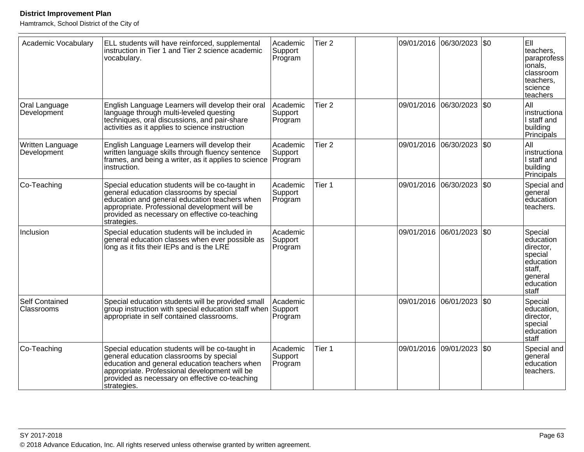| Academic Vocabulary             | ELL students will have reinforced, supplemental<br>instruction in Tier 1 and Tier 2 science academic<br>vocabulary.                                                                                                                                           | Academic<br>Support<br>Program | Tier <sub>2</sub> |            | 09/01/2016 06/30/2023 | \$0 | EII<br>teachers.<br>paraprofess<br>ionals,<br>classroom<br>teachers.<br>science<br>teachers          |
|---------------------------------|---------------------------------------------------------------------------------------------------------------------------------------------------------------------------------------------------------------------------------------------------------------|--------------------------------|-------------------|------------|-----------------------|-----|------------------------------------------------------------------------------------------------------|
| Oral Language<br>Development    | English Language Learners will develop their oral<br>language through multi-leveled questing<br>techniques, oral discussions, and pair-share<br>activities as it applies to science instruction                                                               | Academic<br>Support<br>Program | Tier <sub>2</sub> |            | 09/01/2016 06/30/2023 | \$0 | All<br>instructiona<br>I staff and<br>building<br><b>Principals</b>                                  |
| Written Language<br>Development | English Language Learners will develop their<br>written language skills through fluency sentence<br>frames, and being a writer, as it applies to science<br>instruction.                                                                                      | Academic<br>Support<br>Program | Tier <sub>2</sub> | 09/01/2016 | 06/30/2023            | \$0 | All<br>instructiona<br>I staff and<br>building<br>Principals                                         |
| Co-Teaching                     | Special education students will be co-taught in<br>general education classrooms by special<br>education and general education teachers when<br>appropriate. Professional development will be<br>provided as necessary on effective co-teaching<br>strategies. | Academic<br>Support<br>Program | Tier 1            |            | 09/01/2016 06/30/2023 | \$0 | Special and<br>general<br>education<br>teachers.                                                     |
| Inclusion                       | Special education students will be included in<br>general education classes when ever possible as<br>long as it fits their IEPs and is the LRE                                                                                                                | Academic<br>Support<br>Program |                   | 09/01/2016 | 06/01/2023            | \$0 | Special<br>education<br>director,<br>special<br>education<br>staff,<br>general<br>education<br>staff |
| Self Contained<br>Classrooms    | Special education students will be provided small<br>group instruction with special education staff when Support<br>appropriate in self contained classrooms.                                                                                                 | Academic<br>Program            |                   | 09/01/2016 | 06/01/2023            | \$0 | Special<br>education,<br>director,<br>special<br>education<br>staff                                  |
| Co-Teaching                     | Special education students will be co-taught in<br>general education classrooms by special<br>education and general education teachers when<br>appropriate. Professional development will be<br>provided as necessary on effective co-teaching<br>strategies. | Academic<br>Support<br>Program | Tier 1            | 09/01/2016 | 09/01/2023            | \$0 | Special and<br>general<br>education<br>teachers.                                                     |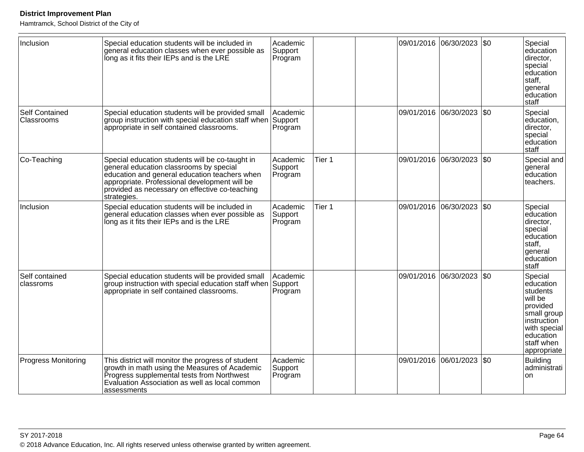| Inclusion                    | Special education students will be included in<br>general education classes when ever possible as<br>long as it fits their IEPs and is the LRE                                                                                                                | Academic<br>Support<br>Program |        |            | 09/01/2016 06/30/2023 | \$0  | Special<br>education<br>director,<br>special<br>education<br>staff,<br>general<br>education<br>staff                                            |
|------------------------------|---------------------------------------------------------------------------------------------------------------------------------------------------------------------------------------------------------------------------------------------------------------|--------------------------------|--------|------------|-----------------------|------|-------------------------------------------------------------------------------------------------------------------------------------------------|
| Self Contained<br>Classrooms | Special education students will be provided small<br>group instruction with special education staff when Support<br>appropriate in self contained classrooms.                                                                                                 | Academic<br>Program            |        | 09/01/2016 | 06/30/2023            | l\$0 | Special<br>education.<br>director,<br>special<br>education<br>staff                                                                             |
| Co-Teaching                  | Special education students will be co-taught in<br>general education classrooms by special<br>education and general education teachers when<br>appropriate. Professional development will be<br>provided as necessary on effective co-teaching<br>strategies. | Academic<br>Support<br>Program | Tier 1 |            | 09/01/2016 06/30/2023 | \$0  | Special and<br>general<br>education<br>teachers.                                                                                                |
| Inclusion                    | Special education students will be included in<br>general education classes when ever possible as<br>long as it fits their IEPs and is the LRE                                                                                                                | Academic<br>Support<br>Program | Tier 1 |            | 09/01/2016 06/30/2023 | \$0  | Special<br>education<br>director,<br>special<br>education<br>staff,<br>general<br>education<br>staff                                            |
| Self contained<br>classroms  | Special education students will be provided small<br>group instruction with special education staff when Support<br>appropriate in self contained classrooms.                                                                                                 | Academic<br>Program            |        | 09/01/2016 | 06/30/2023            | l\$0 | Special<br>education<br>students<br>will be<br>provided<br>small group<br>instruction<br>with special<br>education<br>staff when<br>appropriate |
| <b>Progress Monitoring</b>   | This district will monitor the progress of student<br>growth in math using the Measures of Academic<br>Progress supplemental tests from Northwest<br>Evaluation Association as well as local common<br>assessments                                            | Academic<br>Support<br>Program |        |            | 09/01/2016 06/01/2023 | \$0  | <b>Building</b><br>administrati<br><b>on</b>                                                                                                    |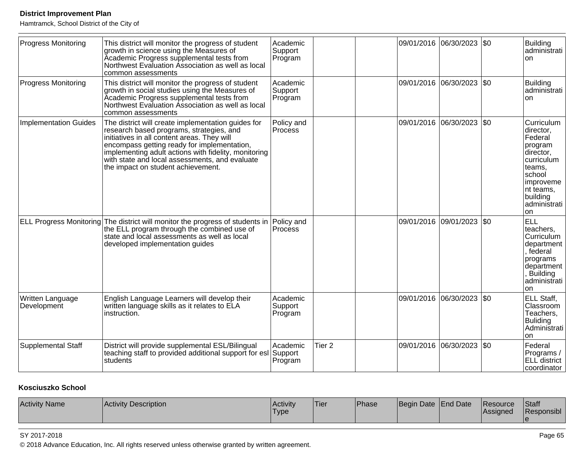Hamtramck, School District of the City of

| <b>Progress Monitoring</b>      | This district will monitor the progress of student<br>growth in science using the Measures of<br>Academic Progress supplemental tests from<br>Northwest Evaluation Association as well as local<br>common assessments                                                                                                                        | Academic<br>Support<br>Program |                   | 09/01/2016 06/30/2023 \$0 |            | <b>Building</b><br>administrati<br>on                                                                                                                           |
|---------------------------------|----------------------------------------------------------------------------------------------------------------------------------------------------------------------------------------------------------------------------------------------------------------------------------------------------------------------------------------------|--------------------------------|-------------------|---------------------------|------------|-----------------------------------------------------------------------------------------------------------------------------------------------------------------|
| <b>Progress Monitoring</b>      | This district will monitor the progress of student<br>growth in social studies using the Measures of<br>Academic Progress supplemental tests from<br>Northwest Evaluation Association as well as local<br>common assessments                                                                                                                 | Academic<br>Support<br>Program |                   | 09/01/2016 06/30/2023     | l\$0       | <b>Building</b><br>administrati<br>on                                                                                                                           |
| <b>Implementation Guides</b>    | The district will create implementation guides for<br>research based programs, strategies, and<br>initiatives in all content areas. They will<br>encompass getting ready for implementation,<br>implementing adult actions with fidelity, monitoring<br>with state and local assessments, and evaluate<br>the impact on student achievement. | Policy and<br>Process          |                   | 09/01/2016 06/30/2023     | \$0        | Curriculum<br>director,<br>Federal<br>program<br>director,<br>curriculum<br>teams,<br>school<br>improveme<br>nt teams,<br>building<br>administrati<br><b>on</b> |
|                                 | ELL Progress Monitoring The district will monitor the progress of students in<br>the ELL program through the combined use of<br>state and local assessments as well as local<br>developed implementation guides                                                                                                                              | Policy and<br>Process          |                   | 09/01/2016 09/01/2023     | \$0        | <b>ELL</b><br>teachers,<br>Curriculum<br>department<br>, federal<br>programs<br>department<br>, Building<br>administrati<br>on                                  |
| Written Language<br>Development | English Language Learners will develop their<br>written language skills as it relates to ELA<br>instruction.                                                                                                                                                                                                                                 | Academic<br>Support<br>Program |                   | 09/01/2016 06/30/2023     | <b>\$0</b> | ELL Staff,<br>Classroom<br>Teachers,<br><b>Buliding</b><br>Administrati<br>on                                                                                   |
| <b>Supplemental Staff</b>       | District will provide supplemental ESL/Bilingual<br>teaching staff to provided additional support for esl<br>students                                                                                                                                                                                                                        | Academic<br>Support<br>Program | Tier <sub>2</sub> | 09/01/2016 06/30/2023 \$0 |            | Federal<br>Programs /<br>ELL district<br>coordinator                                                                                                            |

### **Kosciuszko School**

| <b>Activity Name</b><br>Activity Description | <b>Activity</b><br>'Type | 'Tier | Phase | Begin Date   End Date |  | Resource<br>lAssianed | Staff<br>Responsibl |
|----------------------------------------------|--------------------------|-------|-------|-----------------------|--|-----------------------|---------------------|
|----------------------------------------------|--------------------------|-------|-------|-----------------------|--|-----------------------|---------------------|

#### SY 2017-2018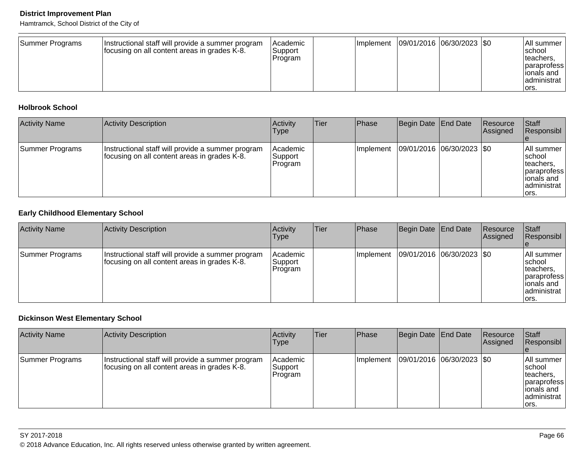Hamtramck, School District of the City of

| Summer Programs | Instructional staff will provide a summer program<br>focusing on all content areas in grades K-8. | <b>Academic</b><br>lSupport<br>Program |  |  | Implement   09/01/2016   06/30/2023   \$0 |  | <b>All summer</b><br>Ischool<br>Iteachers.<br>paraprofess<br>lionals and<br>administrat<br>lors. |
|-----------------|---------------------------------------------------------------------------------------------------|----------------------------------------|--|--|-------------------------------------------|--|--------------------------------------------------------------------------------------------------|
|-----------------|---------------------------------------------------------------------------------------------------|----------------------------------------|--|--|-------------------------------------------|--|--------------------------------------------------------------------------------------------------|

### **Holbrook School**

| <b>Activity Name</b> | Activity Description                                                                              | Activity<br><b>Type</b>        | Tier | <b>Phase</b> | Begin Date   End Date   | Resource<br>Assigned | Staff<br>Responsibl                                                                       |
|----------------------|---------------------------------------------------------------------------------------------------|--------------------------------|------|--------------|-------------------------|----------------------|-------------------------------------------------------------------------------------------|
| Summer Programs      | Instructional staff will provide a summer program<br>focusing on all content areas in grades K-8. | Academic<br>Support<br>Program |      | Implement    | 09/01/2016 06/30/2023 0 |                      | All summer<br>Ischool<br>teachers.<br> paraprofess<br> ionals and<br>administrat<br>lors. |

### **Early Childhood Elementary School**

| <b>Activity Name</b> | Activity Description                                                                              | <b>Activity</b><br><b>Type</b> | Tier | Phase     | Begin Date   End Date |                               | Resource<br>Assigned | Staff<br>Responsibl                                                                                 |
|----------------------|---------------------------------------------------------------------------------------------------|--------------------------------|------|-----------|-----------------------|-------------------------------|----------------------|-----------------------------------------------------------------------------------------------------|
| Summer Programs      | Instructional staff will provide a summer program<br>focusing on all content areas in grades K-8. | Academic<br>Support<br>Program |      | Implement |                       | $ 09/01/2016 06/30/2023 $ \$0 |                      | All summer<br>Ischool<br>Iteachers,<br><i>s</i> lparaprofess<br>lionals and<br>administrat<br>lors. |

## **Dickinson West Elementary School**

| <b>Activity Name</b> | <b>Activity Description</b>                                                                       | Activity<br>Type                | Tier | Phase            | Begin Date End Date       | Resource<br><b>Assigned</b> | Staff<br>Responsibl                                                                                    |
|----------------------|---------------------------------------------------------------------------------------------------|---------------------------------|------|------------------|---------------------------|-----------------------------|--------------------------------------------------------------------------------------------------------|
| Summer Programs      | Instructional staff will provide a summer program<br>focusing on all content areas in grades K-8. | Academic<br>Support<br> Program |      | <b>Implement</b> | 09/01/2016 06/30/2023 \$0 |                             | All summer<br>Ischool<br>teachers.<br><i><b>paraprofess</b></i><br>lionals and<br>administrat<br>lors. |